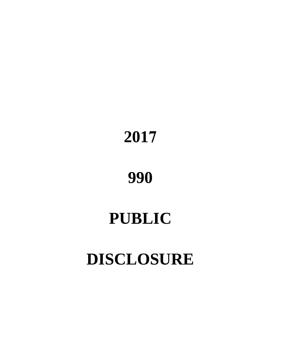### **2017**

# **PUBLIC**

## **990**

### **DISCLOSURE**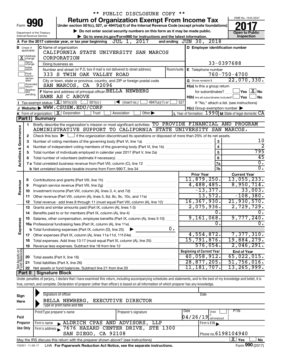|                                |                                  |                                                                                                                                             | ** PUBLIC DISCLOSURE COPY **                                                                                                                                               |                                                 |                                                     |                                                                                       |
|--------------------------------|----------------------------------|---------------------------------------------------------------------------------------------------------------------------------------------|----------------------------------------------------------------------------------------------------------------------------------------------------------------------------|-------------------------------------------------|-----------------------------------------------------|---------------------------------------------------------------------------------------|
|                                |                                  |                                                                                                                                             | <b>Return of Organization Exempt From Income Tax</b>                                                                                                                       |                                                 |                                                     | OMB No. 1545-0047                                                                     |
|                                |                                  | Form 990                                                                                                                                    | Under section 501(c), 527, or 4947(a)(1) of the Internal Revenue Code (except private foundations)                                                                         |                                                 |                                                     |                                                                                       |
|                                |                                  | Department of the Treasury                                                                                                                  | Do not enter social security numbers on this form as it may be made public.                                                                                                |                                                 |                                                     | <b>Open to Public</b>                                                                 |
|                                |                                  | Internal Revenue Service                                                                                                                    | Go to www.irs.gov/Form990 for instructions and the latest information.                                                                                                     |                                                 |                                                     | Inspection                                                                            |
|                                |                                  |                                                                                                                                             | 2017<br>JUL 1,<br>A For the 2017 calendar year, or tax year beginning                                                                                                      | and ending JUN 30, 2018                         |                                                     |                                                                                       |
|                                | <b>B</b> Check if<br>applicable: |                                                                                                                                             | <b>C</b> Name of organization                                                                                                                                              |                                                 | D Employer identification number                    |                                                                                       |
|                                | Address<br>]change               |                                                                                                                                             | CALIFORNIA STATE UNIVERSITY SAN MARCOS<br>CORPORATION                                                                                                                      |                                                 |                                                     |                                                                                       |
|                                | ]Name<br>]change                 |                                                                                                                                             |                                                                                                                                                                            |                                                 | 33-0397688                                          |                                                                                       |
|                                | Initial<br>return                |                                                                                                                                             | Doing business as<br>Number and street (or P.O. box if mail is not delivered to street address)<br>Room/suite                                                              | E Telephone number                              |                                                     |                                                                                       |
|                                | Final<br>return/                 |                                                                                                                                             | 333 S TWIN OAK VALLEY ROAD                                                                                                                                                 |                                                 |                                                     | $760 - 750 - 4700$                                                                    |
|                                | termin-<br>ated                  |                                                                                                                                             | City or town, state or province, country, and ZIP or foreign postal code                                                                                                   | G Gross receipts \$                             |                                                     | 22,070,330.                                                                           |
|                                | Amended<br>Ireturn               |                                                                                                                                             | SAN MARCOS, CA<br>92096                                                                                                                                                    |                                                 | H(a) Is this a group return                         |                                                                                       |
|                                | Applica-<br>Ition                |                                                                                                                                             | F Name and address of principal officer: BELLA NEWBERG                                                                                                                     |                                                 | for subordinates?                                   | $\Box$ Yes $\Box X$ No                                                                |
|                                | pending                          |                                                                                                                                             | SAME AS C ABOVE                                                                                                                                                            |                                                 |                                                     | $H(b)$ Are all subordinates included? $\Box$ Yes $\Box$<br><b>No</b>                  |
|                                |                                  | <b>I</b> Tax-exempt status: $X \overline{301(c)(3)}$                                                                                        | $501(c)$ (<br>$4947(a)(1)$ or<br>$\sqrt{\bullet}$ (insert no.)                                                                                                             | 527                                             |                                                     | If "No," attach a list. (see instructions)                                            |
|                                |                                  |                                                                                                                                             | J Website: WWW.CSUSM.EDU/CORP                                                                                                                                              |                                                 | $H(c)$ Group exemption number $\blacktriangleright$ |                                                                                       |
|                                |                                  |                                                                                                                                             | K Form of organization: $X$ Corporation<br>Other $\blacktriangleright$<br>Trust<br>Association                                                                             |                                                 |                                                     | L Year of formation: $1990 \text{ m}$ State of legal domicile: $\overline{\text{CA}}$ |
|                                | Part I                           | <b>Summary</b>                                                                                                                              |                                                                                                                                                                            |                                                 |                                                     |                                                                                       |
|                                | 1                                |                                                                                                                                             | Briefly describe the organization's mission or most significant activities: TO PROVIDE FINANCIAL AND PROGRAM                                                               |                                                 |                                                     |                                                                                       |
|                                |                                  |                                                                                                                                             | ADMINISTRATIVE SUPPORT TO CALIFORNIA STATE UNIVERSITY SAN MARCOS.                                                                                                          |                                                 |                                                     |                                                                                       |
| Governance                     | 2                                | Check this box $\blacktriangleright$ $\Box$ if the organization discontinued its operations or disposed of more than 25% of its net assets. |                                                                                                                                                                            |                                                 |                                                     |                                                                                       |
|                                | З                                | Number of voting members of the governing body (Part VI, line 1a)                                                                           | 3                                                                                                                                                                          | 10<br>2                                         |                                                     |                                                                                       |
|                                | 4                                |                                                                                                                                             | $\overline{\mathbf{4}}$                                                                                                                                                    | 795                                             |                                                     |                                                                                       |
|                                | 5                                |                                                                                                                                             | 5                                                                                                                                                                          | 45                                              |                                                     |                                                                                       |
| Activities &                   | 6                                |                                                                                                                                             |                                                                                                                                                                            |                                                 | 6<br>7a                                             | $\overline{0}$ .                                                                      |
|                                |                                  |                                                                                                                                             |                                                                                                                                                                            |                                                 | 7b                                                  | $\overline{0}$ .                                                                      |
|                                |                                  |                                                                                                                                             |                                                                                                                                                                            | <b>Prior Year</b>                               |                                                     | <b>Current Year</b>                                                                   |
|                                | 8                                |                                                                                                                                             | Contributions and grants (Part VIII, line 1h)                                                                                                                              | 11,879,250.                                     |                                                     | 13,055,233.                                                                           |
| Revenue                        | 9                                |                                                                                                                                             | Program service revenue (Part VIII, line 2g)                                                                                                                               | 4,488,485.                                      |                                                     | 8,950,714.                                                                            |
|                                | 10                               |                                                                                                                                             |                                                                                                                                                                            |                                                 | $-13,377.$                                          | 33,003.                                                                               |
|                                | 11                               |                                                                                                                                             | Other revenue (Part VIII, column (A), lines 5, 6d, 8c, 9c, 10c, and 11e)                                                                                                   |                                                 | 13,572.                                             | $-108, 380.$                                                                          |
|                                | 12                               |                                                                                                                                             | Total revenue - add lines 8 through 11 (must equal Part VIII, column (A), line 12)                                                                                         | 16, 367, 930.                                   |                                                     | 21,930,570.                                                                           |
|                                | 13                               |                                                                                                                                             | Grants and similar amounts paid (Part IX, column (A), lines 1-3)                                                                                                           | 2,075,936.                                      |                                                     | 2,729,729.                                                                            |
|                                |                                  |                                                                                                                                             |                                                                                                                                                                            |                                                 | 0.                                                  | $\overline{0}$ .                                                                      |
|                                |                                  |                                                                                                                                             | Salaries, other compensation, employee benefits (Part IX, column (A), lines 5-10)                                                                                          | 9,161,068.                                      |                                                     | 9,777,240.                                                                            |
|                                |                                  |                                                                                                                                             |                                                                                                                                                                            |                                                 | $\overline{0}$ .                                    | σ.                                                                                    |
| Expenses                       |                                  |                                                                                                                                             | $0$ .<br><b>b</b> Total fundraising expenses (Part IX, column (D), line 25)                                                                                                |                                                 |                                                     |                                                                                       |
|                                |                                  |                                                                                                                                             |                                                                                                                                                                            | 4,554,872.                                      |                                                     | 7,377,310.                                                                            |
|                                | 18                               |                                                                                                                                             | Total expenses. Add lines 13-17 (must equal Part IX, column (A), line 25)                                                                                                  | 15,791,876.                                     |                                                     | 19,884,279.                                                                           |
|                                | 19                               |                                                                                                                                             |                                                                                                                                                                            |                                                 | 576,054.                                            | 2,046,291.                                                                            |
| Net Assets or<br>Fund Balances |                                  |                                                                                                                                             |                                                                                                                                                                            | <b>Beginning of Current Year</b><br>40,058,912. |                                                     | <b>End of Year</b><br>65,022,015.                                                     |
|                                | 20                               | Total assets (Part X, line 16)                                                                                                              |                                                                                                                                                                            | 28,877,205.                                     |                                                     | 51,756,016.                                                                           |
|                                | 21                               |                                                                                                                                             | Total liabilities (Part X, line 26)                                                                                                                                        | 11, 181, 707.                                   |                                                     | 13, 265, 999.                                                                         |
|                                | 22<br>Part II                    | <b>Signature Block</b>                                                                                                                      |                                                                                                                                                                            |                                                 |                                                     |                                                                                       |
|                                |                                  |                                                                                                                                             | Under penalties of perjury, I declare that I have examined this return, including accompanying schedules and statements, and to the best of my knowledge and belief, it is |                                                 |                                                     |                                                                                       |
|                                |                                  |                                                                                                                                             | true, correct, and complete. Declaration of preparer (other than officer) is based on all information of which preparer has any knowledge.                                 |                                                 |                                                     |                                                                                       |
|                                |                                  |                                                                                                                                             |                                                                                                                                                                            |                                                 |                                                     |                                                                                       |

| Sign<br>Here | Signature of officer<br>Date<br>BELLA NEWBERG,<br>EXECUTIVE DIRECTOR<br>Type or print name and title |                      |      |                                                   |  |  |  |  |  |  |
|--------------|------------------------------------------------------------------------------------------------------|----------------------|------|---------------------------------------------------|--|--|--|--|--|--|
|              | Print/Type preparer's name                                                                           | Preparer's signature | Date | <b>PTIN</b><br>Check                              |  |  |  |  |  |  |
| Paid         |                                                                                                      |                      |      | $\vert 0\,4$ / $2\,6$ / $1\,9\vert$ self-employed |  |  |  |  |  |  |
| Preparer     | ALDRICH CPAS AND ADVISORS, LLP<br>Firm's name                                                        |                      |      | Firm's EIN                                        |  |  |  |  |  |  |
| Use Only     | Firm's address 37676 HAZARD CENTER DRIVE, STE 1300                                                   |                      |      |                                                   |  |  |  |  |  |  |
|              | SAN DIEGO, CA 92108<br>Phone no. $6198104940$                                                        |                      |      |                                                   |  |  |  |  |  |  |
|              | May the IRS discuss this return with the preparer shown above? (see instructions)                    |                      |      | х<br>Yes<br><b>No</b>                             |  |  |  |  |  |  |
|              |                                                                                                      |                      |      |                                                   |  |  |  |  |  |  |

732001 11-28-17 **For Paperwork Reduction Act Notice, see the separate instructions.** LHA Form (2017)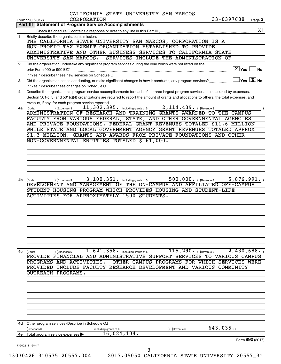|              | CALIFORNIA STATE UNIVERSITY SAN MARCOS<br>CORPORATION<br>33-0397688<br>Page 2<br>Form 990 (2017)                                                                                                                                   |
|--------------|------------------------------------------------------------------------------------------------------------------------------------------------------------------------------------------------------------------------------------|
|              | Part III   Statement of Program Service Accomplishments                                                                                                                                                                            |
|              | $\boxed{\text{X}}$                                                                                                                                                                                                                 |
| 1            | Briefly describe the organization's mission:<br>THE CALIFORNIA STATE UNIVERSITY SAN MARCOS, CORPORATION IS A                                                                                                                       |
|              | NON-PROFIT TAX EXEMPT ORGANIZATION ESTABLISHED TO PROVIDE                                                                                                                                                                          |
|              | ADMINISTRATIVE AND OTHER BUSINESS SERVICES TO CALIFORNIA STATE                                                                                                                                                                     |
|              | UNIVERSITY SAN MARCOS.<br>SERVICES INCLUDE THE ADMINISTRATION OF                                                                                                                                                                   |
| $\mathbf{2}$ | Did the organization undertake any significant program services during the year which were not listed on the<br>$\boxed{\text{X}}$ Yes<br>No.<br>prior Form 990 or 990-EZ?<br>If "Yes," describe these new services on Schedule O. |
| 3            | $\Box$ Yes $[\overline{\mathrm{X}}]$ No<br>Did the organization cease conducting, or make significant changes in how it conducts, any program services?                                                                            |
| 4            | If "Yes," describe these changes on Schedule O.<br>Describe the organization's program service accomplishments for each of its three largest program services, as measured by expenses.                                            |
|              | Section 501(c)(3) and 501(c)(4) organizations are required to report the amount of grants and allocations to others, the total expenses, and<br>revenue, if any, for each program service reported.                                |
|              | $2, 114, 439$ $\cdot$ ) (Revenue \$<br>$11, 302, 395$ $\cdot$ including grants of \$<br>) (Expenses \$<br>4a (Code:                                                                                                                |
|              | ADMINISTRATION OF RESEARCH AND TRAINING GRANTS AWARDED TO THE CAMPUS                                                                                                                                                               |
|              | FACULTY FROM VARIOUS FEDERAL, STATE, AND OTHER GOVERNMENTAL AGENCIES                                                                                                                                                               |
|              | AND PRIVATE FOUNDATIONS. FEDERAL GRANT REVENUES TOTALED \$11.6 MILLION                                                                                                                                                             |
|              | WHILE STATE AND LOCAL GOVERNMENT AGENCY GRANT REVENUES TOTALED APPROX                                                                                                                                                              |
|              | \$1.3 MILLION. GRANTS AND AWARDS FROM PRIVATE FOUNDATIONS AND OTHER                                                                                                                                                                |
|              | NON-GOVERNMENTAL ENTITIES TOTALED \$161,000.                                                                                                                                                                                       |
|              |                                                                                                                                                                                                                                    |
|              |                                                                                                                                                                                                                                    |
|              |                                                                                                                                                                                                                                    |
|              |                                                                                                                                                                                                                                    |
|              |                                                                                                                                                                                                                                    |
|              | $\overline{500,000\cdot)}$ (Revenue \$<br>3, 100, 351. including grants of \$<br>5,876,991.<br>) (Expenses \$<br>4b (Code:<br>DEVELOPMENT AND MANAGEMENT OF THE ON-CAMPUS AND AFFILIATED OFF-CAMPUS                                |
|              | STUDENT HOUSING PROGRAM WHICH PROVIDES HOUSING AND STUDENT-LIFE                                                                                                                                                                    |
|              | <b>ACTIVITIES FOR APPROXIMATELY 1500 STUDENTS.</b>                                                                                                                                                                                 |
|              |                                                                                                                                                                                                                                    |
|              |                                                                                                                                                                                                                                    |
|              |                                                                                                                                                                                                                                    |
|              |                                                                                                                                                                                                                                    |
|              |                                                                                                                                                                                                                                    |
|              |                                                                                                                                                                                                                                    |
|              |                                                                                                                                                                                                                                    |
|              |                                                                                                                                                                                                                                    |
| 4с           | $115, 290.$ (Revenue \$)<br>2,430,688.<br>1,621,358.<br>including grants of \$<br>(Code:<br>(Expenses \$                                                                                                                           |
|              | FINANCIAL AND ADMINISTRATIVE SUPPORT SERVICES TO VARIOUS CAMPUS<br>PROVIDE                                                                                                                                                         |
|              | OTHER CAMPUS PROGRAMS FOR WHICH SERVICES WERE<br>PROGRAMS AND ACTIVITIES.                                                                                                                                                          |
|              | INCLUDE FACULTY RESEARCH DEVELOPMENT AND VARIOUS<br>PROVIDED<br>COMMUNITY                                                                                                                                                          |
|              | OUTREACH<br>PROGRAMS.                                                                                                                                                                                                              |
|              |                                                                                                                                                                                                                                    |
|              |                                                                                                                                                                                                                                    |
|              |                                                                                                                                                                                                                                    |
|              |                                                                                                                                                                                                                                    |
|              |                                                                                                                                                                                                                                    |
|              |                                                                                                                                                                                                                                    |
|              |                                                                                                                                                                                                                                    |
| 4d -         | Other program services (Describe in Schedule O.)                                                                                                                                                                                   |
|              | 643,035.<br>(Expenses \$<br>(Revenue \$<br>including grants of \$<br>16,024,104.<br>Total program service expenses                                                                                                                 |
| 4е           | Form 990 (2017)                                                                                                                                                                                                                    |
|              | 732002 11-28-17                                                                                                                                                                                                                    |
|              | 3                                                                                                                                                                                                                                  |
|              | 13030426 310575 20557.004<br>2017.05050 CALIFORNIA STATE UNIVERSITY 20557_31                                                                                                                                                       |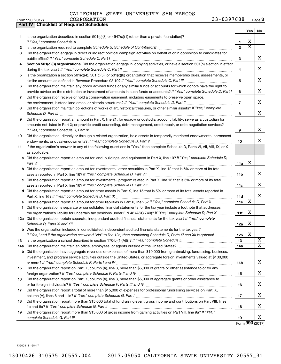|  |  | CALIFORNIA STATE UNIVERSITY SAN MARCOS |  |  |
|--|--|----------------------------------------|--|--|
|--|--|----------------------------------------|--|--|

|    | Part IV   Checklist of Required Schedules                                                                                            |                 |                         |     |
|----|--------------------------------------------------------------------------------------------------------------------------------------|-----------------|-------------------------|-----|
|    |                                                                                                                                      |                 | Yes                     | No. |
| 1. | Is the organization described in section 501(c)(3) or $4947(a)(1)$ (other than a private foundation)?                                |                 |                         |     |
|    |                                                                                                                                      | 1               | х                       |     |
| 2  |                                                                                                                                      | $\mathbf{2}$    | $\overline{\textbf{x}}$ |     |
| 3  | Did the organization engage in direct or indirect political campaign activities on behalf of or in opposition to candidates for      |                 |                         |     |
|    |                                                                                                                                      | з               |                         | x   |
| 4  | Section 501(c)(3) organizations. Did the organization engage in lobbying activities, or have a section 501(h) election in effect     |                 |                         |     |
|    |                                                                                                                                      | 4               |                         | х   |
| 5  | Is the organization a section 501(c)(4), 501(c)(5), or 501(c)(6) organization that receives membership dues, assessments, or         |                 |                         |     |
|    |                                                                                                                                      | 5               |                         | х   |
| 6  | Did the organization maintain any donor advised funds or any similar funds or accounts for which donors have the right to            |                 |                         |     |
|    | provide advice on the distribution or investment of amounts in such funds or accounts? If "Yes," complete Schedule D, Part I         | 6               |                         | х   |
| 7  | Did the organization receive or hold a conservation easement, including easements to preserve open space,                            |                 |                         |     |
|    | the environment, historic land areas, or historic structures? If "Yes," complete Schedule D, Part II                                 | $\overline{7}$  |                         | х   |
|    | Did the organization maintain collections of works of art, historical treasures, or other similar assets? If "Yes," complete         |                 |                         |     |
| 8  |                                                                                                                                      |                 |                         | x   |
|    |                                                                                                                                      | 8               |                         |     |
| 9  | Did the organization report an amount in Part X, line 21, for escrow or custodial account liability, serve as a custodian for        |                 |                         |     |
|    | amounts not listed in Part X; or provide credit counseling, debt management, credit repair, or debt negotiation services?            |                 |                         | x   |
|    | If "Yes," complete Schedule D, Part IV                                                                                               | 9               |                         |     |
| 10 | Did the organization, directly or through a related organization, hold assets in temporarily restricted endowments, permanent        |                 |                         |     |
|    |                                                                                                                                      | 10              |                         | х   |
| 11 | If the organization's answer to any of the following questions is "Yes," then complete Schedule D, Parts VI, VII, VIII, IX, or X     |                 |                         |     |
|    | as applicable.                                                                                                                       |                 |                         |     |
|    | a Did the organization report an amount for land, buildings, and equipment in Part X, line 10? If "Yes," complete Schedule D,        |                 |                         |     |
|    | Part VI                                                                                                                              | 11a             | X                       |     |
|    | <b>b</b> Did the organization report an amount for investments - other securities in Part X, line 12 that is 5% or more of its total |                 |                         |     |
|    |                                                                                                                                      | 11 <sub>b</sub> |                         | x   |
|    | c Did the organization report an amount for investments - program related in Part X, line 13 that is 5% or more of its total         |                 |                         |     |
|    |                                                                                                                                      | 11c             |                         | х   |
|    | d Did the organization report an amount for other assets in Part X, line 15 that is 5% or more of its total assets reported in       |                 |                         |     |
|    |                                                                                                                                      | 11d             |                         | x   |
|    | e Did the organization report an amount for other liabilities in Part X, line 25? If "Yes," complete Schedule D, Part X              | 11e             | X                       |     |
| f  | Did the organization's separate or consolidated financial statements for the tax year include a footnote that addresses              |                 |                         |     |
|    | the organization's liability for uncertain tax positions under FIN 48 (ASC 740)? If "Yes," complete Schedule D, Part X               | 11f             | X                       |     |
|    | 12a Did the organization obtain separate, independent audited financial statements for the tax year? If "Yes," complete              |                 |                         |     |
|    | Schedule D, Parts XI and XII                                                                                                         | 12a             | X                       |     |
|    | b Was the organization included in consolidated, independent audited financial statements for the tax year?                          |                 |                         |     |
|    | If "Yes," and if the organization answered "No" to line 12a, then completing Schedule D, Parts XI and XII is optional                | 12b             | X                       |     |
| 13 |                                                                                                                                      | 13              |                         | х   |
|    | 14a Did the organization maintain an office, employees, or agents outside of the United States?                                      | 14a             |                         | x   |
|    | <b>b</b> Did the organization have aggregate revenues or expenses of more than \$10,000 from grantmaking, fundraising, business,     |                 |                         |     |
|    | investment, and program service activities outside the United States, or aggregate foreign investments valued at \$100,000           |                 |                         |     |
|    |                                                                                                                                      | 14b             |                         | х   |
| 15 | Did the organization report on Part IX, column (A), line 3, more than \$5,000 of grants or other assistance to or for any            |                 |                         |     |
|    |                                                                                                                                      | 15              |                         | х   |
| 16 | Did the organization report on Part IX, column (A), line 3, more than \$5,000 of aggregate grants or other assistance to             |                 |                         |     |
|    |                                                                                                                                      | 16              |                         | х   |
| 17 | Did the organization report a total of more than \$15,000 of expenses for professional fundraising services on Part IX,              |                 |                         |     |
|    |                                                                                                                                      | 17              |                         | х   |
| 18 | Did the organization report more than \$15,000 total of fundraising event gross income and contributions on Part VIII, lines         |                 |                         |     |
|    |                                                                                                                                      | 18              |                         | х   |
| 19 | Did the organization report more than \$15,000 of gross income from gaming activities on Part VIII, line 9a? If "Yes,"               |                 |                         |     |
|    |                                                                                                                                      | 19              |                         | x   |
|    |                                                                                                                                      |                 |                         |     |

Form (2017) **990**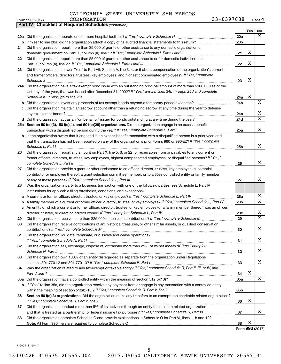| Form 990 (2017) | CORPORATION | 33-0397688 | Page 4 |
|-----------------|-------------|------------|--------|
|-----------------|-------------|------------|--------|

|    | <b>Part IV   Checklist of Required Schedules (continued)</b>                                                                        |     |     |                         |
|----|-------------------------------------------------------------------------------------------------------------------------------------|-----|-----|-------------------------|
|    |                                                                                                                                     |     | Yes | No                      |
|    | 20a Did the organization operate one or more hospital facilities? If "Yes," complete Schedule H                                     | 20a |     | X                       |
|    |                                                                                                                                     | 20b |     |                         |
| 21 | Did the organization report more than \$5,000 of grants or other assistance to any domestic organization or                         |     |     |                         |
|    |                                                                                                                                     | 21  | X   |                         |
| 22 | Did the organization report more than \$5,000 of grants or other assistance to or for domestic individuals on                       |     |     |                         |
|    |                                                                                                                                     | 22  | х   |                         |
| 23 | Did the organization answer "Yes" to Part VII, Section A, line 3, 4, or 5 about compensation of the organization's current          |     |     |                         |
|    | and former officers, directors, trustees, key employees, and highest compensated employees? If "Yes," complete                      |     |     |                         |
|    |                                                                                                                                     | 23  | X   |                         |
|    | 24a Did the organization have a tax-exempt bond issue with an outstanding principal amount of more than \$100,000 as of the         |     |     |                         |
|    | last day of the year, that was issued after December 31, 2002? If "Yes," answer lines 24b through 24d and complete                  |     |     |                         |
|    | Schedule K. If "No", go to line 25a                                                                                                 | 24a | X   |                         |
|    |                                                                                                                                     | 24b |     | х                       |
|    | c Did the organization maintain an escrow account other than a refunding escrow at any time during the year to defease              |     |     |                         |
|    |                                                                                                                                     | 24c |     | X                       |
|    |                                                                                                                                     | 24d |     | $\overline{\textbf{x}}$ |
|    | 25a Section 501(c)(3), 501(c)(4), and 501(c)(29) organizations. Did the organization engage in an excess benefit                    |     |     |                         |
|    |                                                                                                                                     | 25a |     | X                       |
|    | <b>b</b> Is the organization aware that it engaged in an excess benefit transaction with a disqualified person in a prior year, and |     |     |                         |
|    | that the transaction has not been reported on any of the organization's prior Forms 990 or 990-EZ? If "Yes," complete               |     |     |                         |
|    | Schedule L, Part I                                                                                                                  | 25b |     | X                       |
| 26 | Did the organization report any amount on Part X, line 5, 6, or 22 for receivables from or payables to any current or               |     |     |                         |
|    | former officers, directors, trustees, key employees, highest compensated employees, or disqualified persons? If "Yes,"              |     |     |                         |
|    | complete Schedule L, Part II                                                                                                        | 26  |     | х                       |
| 27 | Did the organization provide a grant or other assistance to an officer, director, trustee, key employee, substantial                |     |     |                         |
|    | contributor or employee thereof, a grant selection committee member, or to a 35% controlled entity or family member                 |     |     |                         |
|    |                                                                                                                                     | 27  |     | х                       |
| 28 | Was the organization a party to a business transaction with one of the following parties (see Schedule L, Part IV                   |     |     |                         |
|    | instructions for applicable filing thresholds, conditions, and exceptions):                                                         |     |     |                         |
|    | a A current or former officer, director, trustee, or key employee? If "Yes," complete Schedule L, Part IV                           | 28a |     | х                       |
|    | <b>b</b> A family member of a current or former officer, director, trustee, or key employee? If "Yes," complete Schedule L, Part IV | 28b |     | $\overline{\mathbf{X}}$ |
|    | c An entity of which a current or former officer, director, trustee, or key employee (or a family member thereof) was an officer,   |     |     |                         |
|    | director, trustee, or direct or indirect owner? If "Yes," complete Schedule L, Part IV                                              | 28c |     | х                       |
| 29 |                                                                                                                                     | 29  |     | $\overline{\mathbf{X}}$ |
| 30 | Did the organization receive contributions of art, historical treasures, or other similar assets, or qualified conservation         |     |     |                         |
|    |                                                                                                                                     | 30  |     | Χ                       |
| 31 | Did the organization liquidate, terminate, or dissolve and cease operations?                                                        |     |     |                         |
|    |                                                                                                                                     | 31  |     | х                       |
| 32 | Did the organization sell, exchange, dispose of, or transfer more than 25% of its net assets? If "Yes," complete                    |     |     |                         |
|    | Schedule N, Part II                                                                                                                 | 32  |     | х                       |
| 33 | Did the organization own 100% of an entity disregarded as separate from the organization under Regulations                          |     |     |                         |
|    |                                                                                                                                     | 33  |     | x                       |
| 34 | Was the organization related to any tax-exempt or taxable entity? If "Yes," complete Schedule R, Part II, III, or IV, and           |     |     |                         |
|    | Part V, line 1                                                                                                                      | 34  | X   |                         |
|    |                                                                                                                                     | 35a |     | х                       |
|    | b If "Yes" to line 35a, did the organization receive any payment from or engage in any transaction with a controlled entity         |     |     |                         |
|    |                                                                                                                                     | 35b |     |                         |
| 36 | Section 501(c)(3) organizations. Did the organization make any transfers to an exempt non-charitable related organization?          |     |     |                         |
|    |                                                                                                                                     | 36  | X   |                         |
| 37 | Did the organization conduct more than 5% of its activities through an entity that is not a related organization                    |     |     |                         |
|    |                                                                                                                                     | 37  |     | x                       |
| 38 | Did the organization complete Schedule O and provide explanations in Schedule O for Part VI, lines 11b and 19?                      |     |     |                         |
|    |                                                                                                                                     | 38  | Х   |                         |
|    |                                                                                                                                     |     |     | Form 990 (2017)         |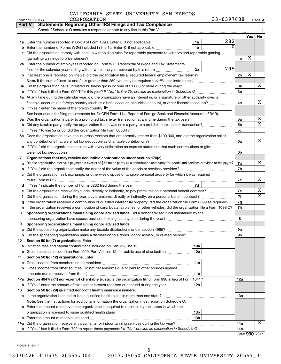| Form 990 (2017) | CORPORATION | 33-0397688 | Page 5 |
|-----------------|-------------|------------|--------|
|-----------------|-------------|------------|--------|

| <b>Part V</b> | <b>Statements Regarding Other IRS Filings and Tax Compliance</b>                                                                                                                                                        |                 |                 |                         |
|---------------|-------------------------------------------------------------------------------------------------------------------------------------------------------------------------------------------------------------------------|-----------------|-----------------|-------------------------|
|               | Check if Schedule O contains a response or note to any line in this Part V                                                                                                                                              |                 |                 |                         |
|               |                                                                                                                                                                                                                         |                 | Yes             | No                      |
|               | 1a                                                                                                                                                                                                                      | 282             |                 |                         |
|               | 1 <sub>b</sub><br><b>b</b> Enter the number of Forms W-2G included in line 1a. Enter -0- if not applicable <i>manumumumum</i>                                                                                           | <sup>0</sup>    |                 |                         |
|               | c Did the organization comply with backup withholding rules for reportable payments to vendors and reportable gaming                                                                                                    |                 |                 |                         |
|               |                                                                                                                                                                                                                         | 1c              | х               |                         |
|               | 2a Enter the number of employees reported on Form W-3, Transmittal of Wage and Tax Statements,                                                                                                                          |                 |                 |                         |
|               | filed for the calendar year ending with or within the year covered by this return<br>2a                                                                                                                                 | 795             |                 |                         |
|               |                                                                                                                                                                                                                         | 2 <sub>b</sub>  | X               |                         |
|               |                                                                                                                                                                                                                         |                 |                 |                         |
|               | 3a Did the organization have unrelated business gross income of \$1,000 or more during the year?                                                                                                                        | 3a              |                 | x                       |
|               | <b>b</b> If "Yes," has it filed a Form 990-T for this year? If "No," to line 3b, provide an explanation in Schedule O                                                                                                   | 3 <sub>b</sub>  |                 |                         |
|               | 4a At any time during the calendar year, did the organization have an interest in, or a signature or other authority over, a                                                                                            |                 |                 |                         |
|               | financial account in a foreign country (such as a bank account, securities account, or other financial account)?                                                                                                        | 4a              |                 | x                       |
|               | <b>b</b> If "Yes," enter the name of the foreign country: $\blacktriangleright$                                                                                                                                         |                 |                 |                         |
|               | See instructions for filing requirements for FinCEN Form 114, Report of Foreign Bank and Financial Accounts (FBAR).                                                                                                     |                 |                 | х                       |
|               |                                                                                                                                                                                                                         | 5a              |                 | $\overline{\mathbf{X}}$ |
|               | <b>b</b> Did any taxable party notify the organization that it was or is a party to a prohibited tax shelter transaction?                                                                                               | 5 <sub>b</sub>  |                 |                         |
|               |                                                                                                                                                                                                                         | 5 <sub>c</sub>  |                 |                         |
|               | 6a Does the organization have annual gross receipts that are normally greater than \$100,000, and did the organization solicit<br>any contributions that were not tax deductible as charitable contributions?           |                 |                 | x                       |
|               | b If "Yes," did the organization include with every solicitation an express statement that such contributions or gifts                                                                                                  | 6a              |                 |                         |
|               | were not tax deductible?                                                                                                                                                                                                | 6b              |                 |                         |
| 7             | Organizations that may receive deductible contributions under section 170(c).                                                                                                                                           |                 |                 |                         |
|               | a Did the organization receive a payment in excess of \$75 made partly as a contribution and partly for goods and services provided to the payor?                                                                       | 7a              |                 | x                       |
|               |                                                                                                                                                                                                                         | 7b              |                 |                         |
|               | c Did the organization sell, exchange, or otherwise dispose of tangible personal property for which it was required                                                                                                     |                 |                 |                         |
|               | to file Form 8282?                                                                                                                                                                                                      | 7с              |                 | x                       |
|               | 7d<br>d If "Yes," indicate the number of Forms 8282 filed during the year manufactured in the second of the number of Forms 8282 filed during the year manufactured in the second of the S                              |                 |                 |                         |
|               | e Did the organization receive any funds, directly or indirectly, to pay premiums on a personal benefit contract?                                                                                                       | 7e              |                 | х                       |
| Ť.            | Did the organization, during the year, pay premiums, directly or indirectly, on a personal benefit contract?                                                                                                            | 7f              |                 | $\overline{\mathbf{X}}$ |
| g             | If the organization received a contribution of qualified intellectual property, did the organization file Form 8899 as required?                                                                                        | 7g              |                 |                         |
|               | h If the organization received a contribution of cars, boats, airplanes, or other vehicles, did the organization file a Form 1098-C?                                                                                    | 7h              |                 |                         |
| 8             | Sponsoring organizations maintaining donor advised funds. Did a donor advised fund maintained by the                                                                                                                    |                 |                 |                         |
|               | sponsoring organization have excess business holdings at any time during the year?                                                                                                                                      | 8               |                 |                         |
| 9             | Sponsoring organizations maintaining donor advised funds.                                                                                                                                                               |                 |                 |                         |
|               | a Did the sponsoring organization make any taxable distributions under section 4966?                                                                                                                                    | 9а              |                 |                         |
| b             |                                                                                                                                                                                                                         | 9b              |                 |                         |
| 10            | Section 501(c)(7) organizations. Enter:                                                                                                                                                                                 |                 |                 |                         |
| а             | 10a<br>Initiation fees and capital contributions included on Part VIII, line 12 [100] [100] [100] [100] [100] [100] [                                                                                                   |                 |                 |                         |
| b             | 10 <sub>b</sub><br>Gross receipts, included on Form 990, Part VIII, line 12, for public use of club facilities                                                                                                          |                 |                 |                         |
| 11            | Section 501(c)(12) organizations. Enter:                                                                                                                                                                                |                 |                 |                         |
|               | 11a                                                                                                                                                                                                                     |                 |                 |                         |
|               | b Gross income from other sources (Do not net amounts due or paid to other sources against                                                                                                                              |                 |                 |                         |
|               | amounts due or received from them.)<br>11b                                                                                                                                                                              |                 |                 |                         |
|               | 12a Section 4947(a)(1) non-exempt charitable trusts. Is the organization filing Form 990 in lieu of Form 1041?<br><b>b</b> If "Yes," enter the amount of tax-exempt interest received or accrued during the year<br>12b | 12a             |                 |                         |
|               |                                                                                                                                                                                                                         |                 |                 |                         |
| 13            | Section 501(c)(29) qualified nonprofit health insurance issuers.                                                                                                                                                        | 13а             |                 |                         |
|               | Note. See the instructions for additional information the organization must report on Schedule O.                                                                                                                       |                 |                 |                         |
|               | <b>b</b> Enter the amount of reserves the organization is required to maintain by the states in which the                                                                                                               |                 |                 |                         |
|               | 13 <sub>b</sub>                                                                                                                                                                                                         |                 |                 |                         |
|               | 13с                                                                                                                                                                                                                     |                 |                 |                         |
|               | 14a Did the organization receive any payments for indoor tanning services during the tax year?                                                                                                                          | 14a             |                 | x                       |
|               |                                                                                                                                                                                                                         | 14 <sub>b</sub> |                 |                         |
|               |                                                                                                                                                                                                                         |                 | Form 990 (2017) |                         |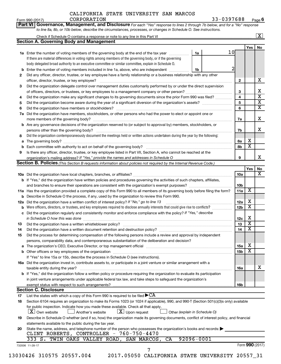Form 990 (2017) Page **6** CORPORATION 33-0397688

|     |                                                                                                                                                                                                                                                                                              |    |                 |                 |                         | $\boxed{\textbf{X}}$    |
|-----|----------------------------------------------------------------------------------------------------------------------------------------------------------------------------------------------------------------------------------------------------------------------------------------------|----|-----------------|-----------------|-------------------------|-------------------------|
|     | <b>Section A. Governing Body and Management</b>                                                                                                                                                                                                                                              |    |                 |                 |                         |                         |
|     |                                                                                                                                                                                                                                                                                              |    | 10 <sub>l</sub> |                 | Yes                     | No                      |
|     | 1a Enter the number of voting members of the governing body at the end of the tax year                                                                                                                                                                                                       | 1a |                 |                 |                         |                         |
|     | If there are material differences in voting rights among members of the governing body, or if the governing                                                                                                                                                                                  |    |                 |                 |                         |                         |
|     | body delegated broad authority to an executive committee or similar committee, explain in Schedule O.                                                                                                                                                                                        |    |                 |                 |                         |                         |
| b   | Enter the number of voting members included in line 1a, above, who are independent                                                                                                                                                                                                           | 1b | 2               |                 |                         |                         |
| 2   | Did any officer, director, trustee, or key employee have a family relationship or a business relationship with any other                                                                                                                                                                     |    |                 |                 |                         |                         |
|     | officer, director, trustee, or key employee?                                                                                                                                                                                                                                                 |    |                 | $\mathbf{2}$    |                         | x                       |
| 3   | Did the organization delegate control over management duties customarily performed by or under the direct supervision                                                                                                                                                                        |    |                 |                 |                         |                         |
|     |                                                                                                                                                                                                                                                                                              |    |                 | 3               |                         | х                       |
| 4   | Did the organization make any significant changes to its governing documents since the prior Form 990 was filed?                                                                                                                                                                             |    |                 | $\overline{4}$  |                         | $\overline{\mathbf{x}}$ |
| 5   |                                                                                                                                                                                                                                                                                              |    |                 | 5               |                         | $\overline{\mathbf{X}}$ |
| 6   |                                                                                                                                                                                                                                                                                              |    |                 | 6               |                         | $\overline{\mathbf{X}}$ |
| 7a  | Did the organization have members, stockholders, or other persons who had the power to elect or appoint one or                                                                                                                                                                               |    |                 |                 |                         |                         |
|     |                                                                                                                                                                                                                                                                                              |    |                 | 7a              |                         | X                       |
| b   | Are any governance decisions of the organization reserved to (or subject to approval by) members, stockholders, or                                                                                                                                                                           |    |                 |                 |                         |                         |
|     |                                                                                                                                                                                                                                                                                              |    |                 | 7b              |                         | x                       |
| 8   | Did the organization contemporaneously document the meetings held or written actions undertaken during the year by the following:                                                                                                                                                            |    |                 |                 |                         |                         |
| а   |                                                                                                                                                                                                                                                                                              |    |                 | 8а              | х                       |                         |
|     | Each committee with authority to act on behalf of the governing body? [11] [12] [22] [23] [23] [23] [23] [24] [                                                                                                                                                                              |    |                 | 8b              | $\overline{\textbf{X}}$ |                         |
| 9   | Is there any officer, director, trustee, or key employee listed in Part VII, Section A, who cannot be reached at the                                                                                                                                                                         |    |                 |                 |                         |                         |
|     |                                                                                                                                                                                                                                                                                              |    |                 | 9               |                         | х                       |
|     | Section B. Policies (This Section B requests information about policies not required by the Internal Revenue Code.)                                                                                                                                                                          |    |                 |                 |                         |                         |
|     |                                                                                                                                                                                                                                                                                              |    |                 |                 | Yes                     | No                      |
|     |                                                                                                                                                                                                                                                                                              |    |                 | 10a             |                         | x                       |
|     | <b>b</b> If "Yes," did the organization have written policies and procedures governing the activities of such chapters, affiliates,                                                                                                                                                          |    |                 |                 |                         |                         |
|     |                                                                                                                                                                                                                                                                                              |    |                 | 10b             |                         |                         |
|     | 11a Has the organization provided a complete copy of this Form 990 to all members of its governing body before filing the form?                                                                                                                                                              |    |                 | 11a             | X                       |                         |
|     | <b>b</b> Describe in Schedule O the process, if any, used by the organization to review this Form 990.                                                                                                                                                                                       |    |                 |                 |                         |                         |
|     | 12a Did the organization have a written conflict of interest policy? If "No," go to line 13                                                                                                                                                                                                  |    |                 | 12a             | х                       |                         |
|     | Were officers, directors, or trustees, and key employees required to disclose annually interests that could give rise to conflicts?                                                                                                                                                          |    |                 | 12 <sub>b</sub> | $\overline{\mathbf{x}}$ |                         |
|     | c Did the organization regularly and consistently monitor and enforce compliance with the policy? If "Yes," describe                                                                                                                                                                         |    |                 |                 |                         |                         |
|     |                                                                                                                                                                                                                                                                                              |    |                 |                 | х                       |                         |
|     | in Schedule O how this was done manufactured and continuum and contact the state of the state of the state of                                                                                                                                                                                |    |                 | 12c<br>13       | $\overline{\mathbf{X}}$ |                         |
| 13. | Did the organization have a written whistleblower policy? [11] manufaction manufaction manufaction manufaction<br>Did the organization have a written document retention and destruction policy? [111] manuscription manuscription have a written document retention and destruction policy? |    |                 | 14              | $\overline{\mathtt{x}}$ |                         |
| 14  |                                                                                                                                                                                                                                                                                              |    |                 |                 |                         |                         |
| 15  | Did the process for determining compensation of the following persons include a review and approval by independent                                                                                                                                                                           |    |                 |                 |                         |                         |
|     | persons, comparability data, and contemporaneous substantiation of the deliberation and decision?                                                                                                                                                                                            |    |                 |                 | х                       |                         |
| а   |                                                                                                                                                                                                                                                                                              |    |                 | 15a             | $\overline{\textbf{x}}$ |                         |
|     | b Other officers or key employees of the organization manufactured content to content of the organization manufactured content of the organization manufactured content of the organization manufactured content of the organi                                                               |    |                 | 15b             |                         |                         |
|     | If "Yes" to line 15a or 15b, describe the process in Schedule O (see instructions).                                                                                                                                                                                                          |    |                 |                 |                         |                         |
|     | 16a Did the organization invest in, contribute assets to, or participate in a joint venture or similar arrangement with a                                                                                                                                                                    |    |                 |                 |                         |                         |
|     | taxable entity during the year?                                                                                                                                                                                                                                                              |    |                 | 16a             |                         | х                       |
|     | b If "Yes," did the organization follow a written policy or procedure requiring the organization to evaluate its participation                                                                                                                                                               |    |                 |                 |                         |                         |
|     | in joint venture arrangements under applicable federal tax law, and take steps to safeguard the organization's                                                                                                                                                                               |    |                 |                 |                         |                         |
|     | exempt status with respect to such arrangements?                                                                                                                                                                                                                                             |    |                 | 16b             |                         |                         |
|     | <b>Section C. Disclosure</b>                                                                                                                                                                                                                                                                 |    |                 |                 |                         |                         |
| 17  | List the states with which a copy of this Form 990 is required to be filed $\blacktriangleright$ CA                                                                                                                                                                                          |    |                 |                 |                         |                         |
| 18  | Section 6104 requires an organization to make its Forms 1023 (or 1024 if applicable), 990, and 990-T (Section 501(c)(3)s only) available                                                                                                                                                     |    |                 |                 |                         |                         |
|     | for public inspection. Indicate how you made these available. Check all that apply.                                                                                                                                                                                                          |    |                 |                 |                         |                         |
|     | $\lfloor x \rfloor$ Upon request<br><b>X</b> Own website<br>Another's website<br>Other (explain in Schedule O)                                                                                                                                                                               |    |                 |                 |                         |                         |
| 19  | Describe in Schedule O whether (and if so, how) the organization made its governing documents, conflict of interest policy, and financial                                                                                                                                                    |    |                 |                 |                         |                         |
|     | statements available to the public during the tax year.                                                                                                                                                                                                                                      |    |                 |                 |                         |                         |
| 20  | State the name, address, and telephone number of the person who possesses the organization's books and records:                                                                                                                                                                              |    |                 |                 |                         |                         |
|     | CLINT ROBERTS, CONTROLLER - 760-750-4470                                                                                                                                                                                                                                                     |    |                 |                 |                         |                         |
|     | $92096 - 0001$<br>333 S. TWIN OAKS VALLEY ROAD, SAN MARCOS, CA                                                                                                                                                                                                                               |    |                 |                 |                         |                         |
|     | 732006 11-28-17                                                                                                                                                                                                                                                                              |    |                 |                 | Form 990 (2017)         |                         |
|     | 7                                                                                                                                                                                                                                                                                            |    |                 |                 |                         |                         |
|     | 13030426 310575 20557.004<br>2017.05050 CALIFORNIA STATE UNIVERSITY 20557_31                                                                                                                                                                                                                 |    |                 |                 |                         |                         |
|     |                                                                                                                                                                                                                                                                                              |    |                 |                 |                         |                         |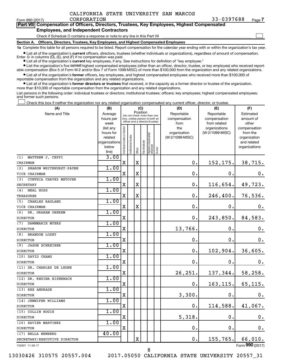$\Box$ 

|  | Part VII Compensation of Officers, Directors, Trustees, Key Employees, Highest Compensated |
|--|--------------------------------------------------------------------------------------------|
|  | <b>Employees, and Independent Contractors</b>                                              |

Check if Schedule O contains a response or note to any line in this Part VII

CORPORATION

**Section A. Officers, Directors, Trustees, Key Employees, and Highest Compensated Employees**

**1a**  Complete this table for all persons required to be listed. Report compensation for the calendar year ending with or within the organization's tax year.

**•** List all of the organization's current officers, directors, trustees (whether individuals or organizations), regardless of amount of compensation.

**•** List all of the organization's **current** key employees, if any. See instructions for definition of "key employee." Enter -0- in columns  $(D)$ ,  $(E)$ , and  $(F)$  if no compensation was paid.

**•** List the organization's five current highest compensated employees (other than an officer, director, trustee, or key employee) who received report-

**•** List all of the organization's former officers, key employees, and highest compensated employees who received more than \$100,000 of able compensation (Box 5 of Form W-2 and/or Box 7 of Form 1099-MISC) of more than \$100,000 from the organization and any related organizations. reportable compensation from the organization and any related organizations.

**•** List all of the organization's former directors or trustees that received, in the capacity as a former director or trustee of the organization, more than \$10,000 of reportable compensation from the organization and any related organizations.

List persons in the following order: individual trustees or directors; institutional trustees; officers; key employees; highest compensated employees; and former such persons.

Check this box if neither the organization nor any related organization compensated any current officer, director, or trustee.  $\Box$ 

| (A)                            | (B)                    |                               |                                 | (C)         |              |                                   |        | (D)             |                                                                                                                                                                                                 | (F)                          |
|--------------------------------|------------------------|-------------------------------|---------------------------------|-------------|--------------|-----------------------------------|--------|-----------------|-------------------------------------------------------------------------------------------------------------------------------------------------------------------------------------------------|------------------------------|
| Name and Title                 | Average                |                               | (do not check more than one     |             | Position     |                                   |        | Reportable      | Reportable                                                                                                                                                                                      | Estimated                    |
|                                | hours per              |                               | box, unless person is both an   |             |              |                                   |        | compensation    | (E)<br>compensation<br>from related<br>organizations<br>(W-2/1099-MISC)<br>152, 175.<br>О.<br>0.<br>243,850.<br>$\mathbf 0$ .<br>$\mathbf 0$ .<br>102,904.<br>0.<br>137,344.<br>163, 115.<br>0. | amount of                    |
|                                | week                   |                               | officer and a director/trustee) |             |              |                                   |        | from            |                                                                                                                                                                                                 | other                        |
|                                | (list any              |                               |                                 |             |              |                                   |        | the             |                                                                                                                                                                                                 | compensation                 |
|                                | hours for              |                               |                                 |             |              |                                   |        | organization    |                                                                                                                                                                                                 | from the                     |
|                                | related                |                               |                                 |             |              |                                   |        | (W-2/1099-MISC) |                                                                                                                                                                                                 | organization                 |
|                                | organizations<br>below |                               |                                 |             |              |                                   |        |                 |                                                                                                                                                                                                 | and related<br>organizations |
|                                | line)                  | ndividual trustee or director | nstitutional trustee            | Officer     | key employee | Highest compensated<br>  employee | Former |                 |                                                                                                                                                                                                 |                              |
| MATTHEW J. CEPPI<br>(1)        | 3.00                   |                               |                                 |             |              |                                   |        |                 |                                                                                                                                                                                                 |                              |
| CHAIRMAN                       |                        | $\mathbf X$                   |                                 | $\mathbf X$ |              |                                   |        | 0.              |                                                                                                                                                                                                 | 38,715.                      |
| SHARON WHITEHURST-PAYNE<br>(2) | 1.00                   |                               |                                 |             |              |                                   |        |                 |                                                                                                                                                                                                 |                              |
| VICE CHAIRMAN                  |                        | X                             |                                 | $\mathbf X$ |              |                                   |        | $\mathbf 0$ .   |                                                                                                                                                                                                 | 0.                           |
| CYNTHIA CHAVEZ METOYER<br>(3)  | 1.00                   |                               |                                 |             |              |                                   |        |                 |                                                                                                                                                                                                 |                              |
| <b>SECRETARY</b>               |                        | X                             |                                 | X           |              |                                   |        | 0.              | 116,654.                                                                                                                                                                                        | 49,723.                      |
| NEAL HOSS<br>(4)               | 1.00                   |                               |                                 |             |              |                                   |        |                 |                                                                                                                                                                                                 |                              |
| TREASURER                      |                        | X                             |                                 | $\rm X$     |              |                                   |        | 0.              | 246, 400.                                                                                                                                                                                       | 76,536.                      |
| (5)<br>CHARLES RAGLAND         | 1.00                   |                               |                                 |             |              |                                   |        |                 |                                                                                                                                                                                                 |                              |
| VICE CHAIRMAN                  |                        | Χ                             |                                 | X           |              |                                   |        | $\mathbf 0$     |                                                                                                                                                                                                 | 0.                           |
| (6)<br>DR. GRAHAM OBEREM       | 1.00                   |                               |                                 |             |              |                                   |        |                 |                                                                                                                                                                                                 |                              |
| <b>DIRECTOR</b>                |                        | X                             |                                 |             |              |                                   |        | 0.              |                                                                                                                                                                                                 | 84,583.                      |
| (7)<br>DAWNMARIE MYERS         | 1.00                   |                               |                                 |             |              |                                   |        |                 |                                                                                                                                                                                                 |                              |
| <b>DIRECTOR</b>                |                        | X                             |                                 |             |              |                                   |        | 13,766.         |                                                                                                                                                                                                 | $\mathbf 0$ .                |
| (8)<br><b>BRANDON LOSEY</b>    | 1.00                   |                               |                                 |             |              |                                   |        |                 |                                                                                                                                                                                                 |                              |
| <b>DIRECTOR</b>                |                        | X                             |                                 |             |              |                                   |        | о.              |                                                                                                                                                                                                 | 0.                           |
| (9)<br><b>JASON SCHREIBER</b>  | 1.00                   |                               |                                 |             |              |                                   |        |                 |                                                                                                                                                                                                 |                              |
| <b>DIRECTOR</b>                |                        | х                             |                                 |             |              |                                   |        | $\mathbf 0$ .   |                                                                                                                                                                                                 | 36,605.                      |
| (10) DAVID CHANG               | 1.00                   |                               |                                 |             |              |                                   |        |                 |                                                                                                                                                                                                 |                              |
| <b>DIRECTOR</b>                |                        | X                             |                                 |             |              |                                   |        | 0.              |                                                                                                                                                                                                 | $0$ .                        |
| (11) DR. CHARLES DE LEONE      | 1.00                   |                               |                                 |             |              |                                   |        |                 |                                                                                                                                                                                                 |                              |
| <b>DIRECTOR</b>                |                        | X                             |                                 |             |              |                                   |        | 26,251.         |                                                                                                                                                                                                 | 58,258.                      |
| (12) DR. REGINA EISENBACH      | 1.00                   |                               |                                 |             |              |                                   |        |                 |                                                                                                                                                                                                 |                              |
| <b>DIRECTOR</b>                |                        | X                             |                                 |             |              |                                   |        | 0.              |                                                                                                                                                                                                 | 65, 115.                     |
| (13) REX ANDRADE               | 1.00                   |                               |                                 |             |              |                                   |        |                 |                                                                                                                                                                                                 |                              |
| <b>DIRECTOR</b>                |                        | X                             |                                 |             |              |                                   |        | 3,300.          |                                                                                                                                                                                                 | 0.                           |
| (14) JENNIFER WILLIAMS         | 1.00                   |                               |                                 |             |              |                                   |        |                 |                                                                                                                                                                                                 |                              |
| <b>DIRECTOR</b>                |                        | $\mathbf X$                   |                                 |             |              |                                   |        | 0.              | 114,588.                                                                                                                                                                                        | 41,067.                      |
| (15) COLLIN BOGIE              | 1.00                   |                               |                                 |             |              |                                   |        |                 |                                                                                                                                                                                                 |                              |
| <b>DIRECTOR</b>                |                        | $\mathbf X$                   |                                 |             |              |                                   |        | 5,318.          | $\mathbf 0$ .                                                                                                                                                                                   | $\mathbf 0$ .                |
| (16) XAVIER MARTINEZ           | 1.00                   |                               |                                 |             |              |                                   |        |                 |                                                                                                                                                                                                 |                              |
| <b>DIRECTOR</b>                |                        | X                             |                                 |             |              |                                   |        | $\mathbf 0$     | $\mathbf 0$ .                                                                                                                                                                                   | 0.                           |
| (17) BELLA NEWBERG             | 40.00                  |                               |                                 |             |              |                                   |        |                 |                                                                                                                                                                                                 |                              |
| SECRETARY/EXECUTIVE DIRECTOR   |                        |                               |                                 | $\mathbf X$ |              |                                   |        | 0.              | 155, 765.                                                                                                                                                                                       | 66,010.                      |
| 732007 11-28-17                |                        |                               |                                 |             |              |                                   |        |                 |                                                                                                                                                                                                 | Form 990 (2017)              |

8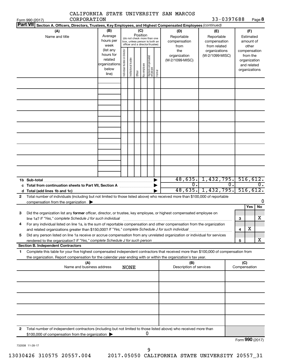|              | CADIFURNIA SIAIL UNIVERSIII SAN MARCUS<br>33-0397688<br>CORPORATION<br>Page 8<br>Form 990 (2017)                                                                                                                                                                                                                                                              |                                                                      |                                                                                                                    |                       |         |              |                                 |                                           |                                                   |                                               |                                        |                                                                          |                  |
|--------------|---------------------------------------------------------------------------------------------------------------------------------------------------------------------------------------------------------------------------------------------------------------------------------------------------------------------------------------------------------------|----------------------------------------------------------------------|--------------------------------------------------------------------------------------------------------------------|-----------------------|---------|--------------|---------------------------------|-------------------------------------------|---------------------------------------------------|-----------------------------------------------|----------------------------------------|--------------------------------------------------------------------------|------------------|
|              | Part VII Section A. Officers, Directors, Trustees, Key Employees, and Highest Compensated Employees (continued)                                                                                                                                                                                                                                               |                                                                      |                                                                                                                    |                       |         |              |                                 |                                           |                                                   |                                               |                                        |                                                                          |                  |
|              | (A)<br>Name and title                                                                                                                                                                                                                                                                                                                                         | (B)<br>Average<br>hours per<br>week                                  | (C)<br>Position<br>(do not check more than one<br>box, unless person is both an<br>officer and a director/trustee) |                       |         |              |                                 | (D)<br>Reportable<br>compensation<br>from | (E)<br>Reportable<br>compensation<br>from related |                                               | (F)<br>Estimated<br>amount of<br>other |                                                                          |                  |
|              |                                                                                                                                                                                                                                                                                                                                                               | (list any<br>hours for<br>related<br>organizations<br>below<br>line) | Individual trustee or director                                                                                     | Institutional trustee | Officer | Key employee | Highest compensated<br>employee | Former                                    | the<br>organization<br>(W-2/1099-MISC)            | organizations<br>(W-2/1099-MISC)              |                                        | compensation<br>from the<br>organization<br>and related<br>organizations |                  |
|              |                                                                                                                                                                                                                                                                                                                                                               |                                                                      |                                                                                                                    |                       |         |              |                                 |                                           |                                                   |                                               |                                        |                                                                          |                  |
|              |                                                                                                                                                                                                                                                                                                                                                               |                                                                      |                                                                                                                    |                       |         |              |                                 |                                           |                                                   |                                               |                                        |                                                                          |                  |
|              |                                                                                                                                                                                                                                                                                                                                                               |                                                                      |                                                                                                                    |                       |         |              |                                 |                                           |                                                   |                                               |                                        |                                                                          |                  |
|              |                                                                                                                                                                                                                                                                                                                                                               |                                                                      |                                                                                                                    |                       |         |              |                                 |                                           |                                                   |                                               |                                        |                                                                          |                  |
|              |                                                                                                                                                                                                                                                                                                                                                               |                                                                      |                                                                                                                    |                       |         |              |                                 | 516,612.                                  |                                                   |                                               |                                        |                                                                          |                  |
|              | 1b Sub-total                                                                                                                                                                                                                                                                                                                                                  |                                                                      |                                                                                                                    |                       |         |              |                                 |                                           | $\overline{0}$ .                                  | $48,635.$ 1, $432,795.$<br>48,635. 1,432,795. | 0.                                     | 516,612.                                                                 | $\overline{0}$ . |
| $\mathbf{2}$ | Total number of individuals (including but not limited to those listed above) who received more than \$100,000 of reportable<br>compensation from the organization $\blacktriangleright$                                                                                                                                                                      |                                                                      |                                                                                                                    |                       |         |              |                                 |                                           |                                                   |                                               |                                        |                                                                          | 0                |
| З            | Did the organization list any former officer, director, or trustee, key employee, or highest compensated employee on<br>line 1a? If "Yes," complete Schedule J for such individual                                                                                                                                                                            |                                                                      |                                                                                                                    |                       |         |              |                                 |                                           |                                                   |                                               | 3                                      | Yes                                                                      | No<br>х          |
| 4<br>5       | For any individual listed on line 1a, is the sum of reportable compensation and other compensation from the organization<br>and related organizations greater than \$150,000? If "Yes," complete Schedule J for such individual<br>Did any person listed on line 1a receive or accrue compensation from any unrelated organization or individual for services |                                                                      |                                                                                                                    |                       |         |              |                                 |                                           |                                                   |                                               | 4                                      | X                                                                        |                  |
|              |                                                                                                                                                                                                                                                                                                                                                               |                                                                      |                                                                                                                    |                       |         |              |                                 |                                           |                                                   |                                               | 5                                      |                                                                          | Χ                |
| 1            | <b>Section B. Independent Contractors</b><br>Complete this table for your five highest compensated independent contractors that received more than \$100,000 of compensation from                                                                                                                                                                             |                                                                      |                                                                                                                    |                       |         |              |                                 |                                           |                                                   |                                               |                                        |                                                                          |                  |
|              | the organization. Report compensation for the calendar year ending with or within the organization's tax year.                                                                                                                                                                                                                                                |                                                                      |                                                                                                                    |                       |         |              |                                 |                                           |                                                   |                                               |                                        |                                                                          |                  |
|              | (A)<br>Name and business address                                                                                                                                                                                                                                                                                                                              |                                                                      |                                                                                                                    | <b>NONE</b>           |         |              |                                 |                                           | (B)<br>Description of services                    |                                               |                                        | (C)<br>Compensation                                                      |                  |
|              |                                                                                                                                                                                                                                                                                                                                                               |                                                                      |                                                                                                                    |                       |         |              |                                 |                                           |                                                   |                                               |                                        |                                                                          |                  |
|              |                                                                                                                                                                                                                                                                                                                                                               |                                                                      |                                                                                                                    |                       |         |              |                                 |                                           |                                                   |                                               |                                        |                                                                          |                  |
|              |                                                                                                                                                                                                                                                                                                                                                               |                                                                      |                                                                                                                    |                       |         |              |                                 |                                           |                                                   |                                               |                                        |                                                                          |                  |
| 2            | Total number of independent contractors (including but not limited to those listed above) who received more than<br>\$100,000 of compensation from the organization                                                                                                                                                                                           |                                                                      |                                                                                                                    |                       |         | U            |                                 |                                           |                                                   |                                               |                                        | $\sim$ 000 (2017)                                                        |                  |

CALIFORNIA CUAUR UNIVERSITY SAN MARCOS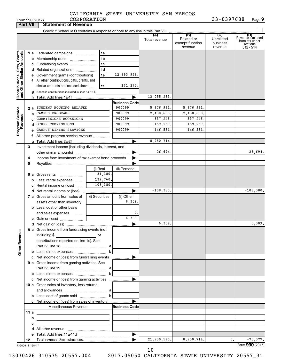| CALIFORNIA STATE UNIVERSITY SAN MARCOS |  |  |  |  |  |
|----------------------------------------|--|--|--|--|--|
|----------------------------------------|--|--|--|--|--|

|                                                           | <b>Part VIII</b> | <b>Statement of Revenue</b>                                                                                           |                |                      |               |                                          |                                  |                                                                    |
|-----------------------------------------------------------|------------------|-----------------------------------------------------------------------------------------------------------------------|----------------|----------------------|---------------|------------------------------------------|----------------------------------|--------------------------------------------------------------------|
|                                                           |                  |                                                                                                                       |                |                      |               |                                          |                                  |                                                                    |
|                                                           |                  |                                                                                                                       |                |                      | Total revenue | Related or<br>exempt function<br>revenue | Unrelated<br>business<br>revenue | (D)<br>Revenuè excluded<br>trom tax under<br>sections<br>512 - 514 |
|                                                           |                  | <b>1 a</b> Federated campaigns                                                                                        | 1a             |                      |               |                                          |                                  |                                                                    |
| Contributions, Gifts, Grants<br>and Other Similar Amounts |                  | <b>b</b> Membership dues                                                                                              | 1b             |                      |               |                                          |                                  |                                                                    |
|                                                           |                  | c Fundraising events                                                                                                  | 1c             |                      |               |                                          |                                  |                                                                    |
|                                                           |                  | d Related organizations<br>.                                                                                          | 1d             |                      |               |                                          |                                  |                                                                    |
|                                                           |                  | e Government grants (contributions)                                                                                   | 1e             | 12,893,958.          |               |                                          |                                  |                                                                    |
|                                                           |                  | f All other contributions, gifts, grants, and                                                                         |                |                      |               |                                          |                                  |                                                                    |
|                                                           |                  | similar amounts not included above                                                                                    | 1f             | 161,275.             |               |                                          |                                  |                                                                    |
|                                                           |                  | g Noncash contributions included in lines 1a-1f: \$                                                                   |                |                      |               |                                          |                                  |                                                                    |
|                                                           |                  |                                                                                                                       |                |                      | 13,055,233.   |                                          |                                  |                                                                    |
|                                                           |                  |                                                                                                                       |                | Business Code        |               |                                          |                                  |                                                                    |
| Program Service<br>Revenue                                | 2 a              | STUDENT HOUSING RELATED                                                                                               |                | 900099               | 5,876,991.    | 5,876,991                                |                                  |                                                                    |
|                                                           | b                | CAMPUS PROGRAMS                                                                                                       |                | 900099               | 2,430,688.    | 2,430,688.                               |                                  |                                                                    |
|                                                           |                  | COMMISSIONS BOOKSTORE                                                                                                 |                | 900099               | 337, 245.     | 337, 245.                                |                                  |                                                                    |
|                                                           | d                | OTHER COMMISSIONS                                                                                                     |                | 900099               | 159,259.      | 159,259.                                 |                                  |                                                                    |
|                                                           |                  | CAMPUS DINING SERVICES                                                                                                |                | 900099               | 146,531.      | 146,531                                  |                                  |                                                                    |
|                                                           |                  | All other program service revenue                                                                                     |                |                      |               |                                          |                                  |                                                                    |
|                                                           |                  |                                                                                                                       |                |                      | 8,950,714.    |                                          |                                  |                                                                    |
|                                                           | 3                | Investment income (including dividends, interest, and                                                                 |                |                      |               |                                          |                                  |                                                                    |
|                                                           |                  |                                                                                                                       |                |                      | 26,694.       |                                          |                                  | 26,694.                                                            |
|                                                           | 4                | Income from investment of tax-exempt bond proceeds                                                                    |                |                      |               |                                          |                                  |                                                                    |
|                                                           | 5                |                                                                                                                       |                |                      |               |                                          |                                  |                                                                    |
|                                                           |                  |                                                                                                                       | (i) Real       | (ii) Personal        |               |                                          |                                  |                                                                    |
|                                                           |                  | 6 a Gross rents                                                                                                       | 31,380.        |                      |               |                                          |                                  |                                                                    |
|                                                           |                  | <b>b</b> Less: rental expenses                                                                                        | 139,760.       |                      |               |                                          |                                  |                                                                    |
|                                                           |                  | c Rental income or (loss)                                                                                             | $-108,380.$    |                      |               |                                          |                                  |                                                                    |
|                                                           |                  | <b>d</b> Net rental income or (loss)                                                                                  |                |                      | $-108,380.$   |                                          |                                  | $-108,380.$                                                        |
|                                                           |                  | 7 a Gross amount from sales of                                                                                        | (i) Securities | (ii) Other           |               |                                          |                                  |                                                                    |
|                                                           |                  | assets other than inventory                                                                                           |                | 6,309.               |               |                                          |                                  |                                                                    |
|                                                           |                  | <b>b</b> Less: cost or other basis                                                                                    |                |                      |               |                                          |                                  |                                                                    |
|                                                           |                  | and sales expenses                                                                                                    |                | 0.                   |               |                                          |                                  |                                                                    |
|                                                           |                  |                                                                                                                       |                | 6, 309.              |               |                                          |                                  |                                                                    |
|                                                           |                  |                                                                                                                       |                | ▶                    | 6,309.        |                                          |                                  | 6,309.                                                             |
| <b>Other Revenue</b>                                      |                  | 8 a Gross income from fundraising events (not<br>including \$<br><u> 1980 - John Barn Barn, amerikan ba</u>           | of             |                      |               |                                          |                                  |                                                                    |
|                                                           |                  | contributions reported on line 1c). See                                                                               |                |                      |               |                                          |                                  |                                                                    |
|                                                           |                  |                                                                                                                       |                |                      |               |                                          |                                  |                                                                    |
|                                                           |                  |                                                                                                                       |                |                      |               |                                          |                                  |                                                                    |
|                                                           |                  | c Net income or (loss) from fundraising events                                                                        |                |                      |               |                                          |                                  |                                                                    |
|                                                           |                  | 9 a Gross income from gaming activities. See                                                                          |                |                      |               |                                          |                                  |                                                                    |
|                                                           |                  |                                                                                                                       |                |                      |               |                                          |                                  |                                                                    |
|                                                           |                  |                                                                                                                       |                |                      |               |                                          |                                  |                                                                    |
|                                                           |                  |                                                                                                                       |                |                      |               |                                          |                                  |                                                                    |
|                                                           |                  | 10 a Gross sales of inventory, less returns                                                                           |                |                      |               |                                          |                                  |                                                                    |
|                                                           |                  |                                                                                                                       |                |                      |               |                                          |                                  |                                                                    |
|                                                           |                  | <b>b</b> Less: cost of goods sold $\ldots$ $\ldots$ <b>b</b>                                                          |                |                      |               |                                          |                                  |                                                                    |
|                                                           |                  | c Net income or (loss) from sales of inventory                                                                        |                |                      |               |                                          |                                  |                                                                    |
|                                                           |                  | Miscellaneous Revenue                                                                                                 |                | <b>Business Code</b> |               |                                          |                                  |                                                                    |
|                                                           | 11a              |                                                                                                                       |                |                      |               |                                          |                                  |                                                                    |
|                                                           | b                | <u> 1990 - Johann Barbara, martin amerikan basar dan berasal dalam basar dalam basar dalam basar dalam basar dala</u> |                |                      |               |                                          |                                  |                                                                    |
|                                                           | с                | the control of the control of the control of the control of the control of                                            |                |                      |               |                                          |                                  |                                                                    |
|                                                           |                  |                                                                                                                       |                |                      |               |                                          |                                  |                                                                    |
|                                                           |                  |                                                                                                                       |                |                      |               |                                          |                                  |                                                                    |
|                                                           | 12               |                                                                                                                       |                |                      | 21,930,570.   | 8,950,714.                               | 0.1                              | $-75,377.$                                                         |
|                                                           | 732009 11-28-17  |                                                                                                                       |                |                      |               |                                          |                                  | Form 990 (2017)                                                    |

10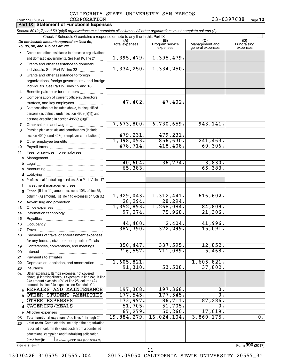#### Form 990 (2017) Page **10** CALIFORNIA STATE UNIVERSITY SAN MARCOS CORPORATION

|    | <b>Part IX Statement of Functional Expenses</b>                                                                                                           |                        |                                    |                                           |                                |
|----|-----------------------------------------------------------------------------------------------------------------------------------------------------------|------------------------|------------------------------------|-------------------------------------------|--------------------------------|
|    | Section 501(c)(3) and 501(c)(4) organizations must complete all columns. All other organizations must complete column (A).                                |                        |                                    |                                           |                                |
|    | Check if Schedule O contains a response or note to any line in this Part IX                                                                               |                        |                                    |                                           |                                |
|    | Do not include amounts reported on lines 6b,<br>7b, 8b, 9b, and 10b of Part VIII.                                                                         | (A)<br>Total expenses  | (B)<br>Program service<br>expenses | (C)<br>Management and<br>general expenses | (D)<br>Fundraising<br>expenses |
| 1. | Grants and other assistance to domestic organizations                                                                                                     |                        |                                    |                                           |                                |
|    | and domestic governments. See Part IV, line 21<br>$\mathbf{r}$                                                                                            | 1,395,479.             | 1,395,479.                         |                                           |                                |
| 2  | Grants and other assistance to domestic                                                                                                                   |                        |                                    |                                           |                                |
|    | individuals. See Part IV, line 22                                                                                                                         | 1,334,250.             | 1,334,250.                         |                                           |                                |
| 3  | Grants and other assistance to foreign                                                                                                                    |                        |                                    |                                           |                                |
|    | organizations, foreign governments, and foreign                                                                                                           |                        |                                    |                                           |                                |
|    | individuals. See Part IV, lines 15 and 16                                                                                                                 |                        |                                    |                                           |                                |
| 4  | Benefits paid to or for members                                                                                                                           |                        |                                    |                                           |                                |
| 5  | Compensation of current officers, directors,                                                                                                              |                        |                                    |                                           |                                |
|    | trustees, and key employees                                                                                                                               | 47,402.                | 47,402.                            |                                           |                                |
| 6  | Compensation not included above, to disqualified                                                                                                          |                        |                                    |                                           |                                |
|    | persons (as defined under section 4958(f)(1)) and                                                                                                         |                        |                                    |                                           |                                |
|    | persons described in section 4958(c)(3)(B)                                                                                                                |                        |                                    |                                           |                                |
| 7  | Other salaries and wages                                                                                                                                  | 7,673,800.             | 6,730,659.                         | 943,141.                                  |                                |
| 8  | Pension plan accruals and contributions (include                                                                                                          |                        |                                    |                                           |                                |
|    | section 401(k) and 403(b) employer contributions)                                                                                                         | 479,231.               | 479,231.                           |                                           |                                |
| 9  | Other employee benefits                                                                                                                                   | 1,098,093.             | 856,630.                           | 241, 463.                                 |                                |
| 10 |                                                                                                                                                           | 478, 714.              | 418,408.                           | 60, 306.                                  |                                |
| 11 | Fees for services (non-employees):                                                                                                                        |                        |                                    |                                           |                                |
|    |                                                                                                                                                           |                        |                                    |                                           |                                |
|    |                                                                                                                                                           | 40,604.                | 36,774.                            | 3,830.                                    |                                |
|    |                                                                                                                                                           | 65, 383.               |                                    | 65, 383.                                  |                                |
|    |                                                                                                                                                           |                        |                                    |                                           |                                |
|    | e Professional fundraising services. See Part IV, line 17                                                                                                 |                        |                                    |                                           |                                |
| f  | Investment management fees                                                                                                                                |                        |                                    |                                           |                                |
|    | g Other. (If line 11g amount exceeds 10% of line 25,                                                                                                      |                        |                                    |                                           |                                |
|    | column (A) amount, list line 11g expenses on Sch O.)                                                                                                      | 1,929,043.<br>28, 294. | 1,312,441.<br>28, 294.             | 616,602.                                  |                                |
| 12 |                                                                                                                                                           | 1,352,893.             | 1,268,084.                         | 84,809.                                   |                                |
| 13 |                                                                                                                                                           | 97, 274.               | 75,968.                            | 21,306.                                   |                                |
| 14 |                                                                                                                                                           |                        |                                    |                                           |                                |
| 15 |                                                                                                                                                           | 44,400.                | 2,404.                             | 41,996.                                   |                                |
| 16 |                                                                                                                                                           | 387,390.               | 372, 299.                          | 15,091.                                   |                                |
| 17 | Travel                                                                                                                                                    |                        |                                    |                                           |                                |
| 18 | Payments of travel or entertainment expenses                                                                                                              |                        |                                    |                                           |                                |
| 19 | for any federal, state, or local public officials<br>Conferences, conventions, and meetings                                                               | 350, 447.              | 337,595.                           | 12,852.                                   |                                |
| 20 | Interest                                                                                                                                                  | 716, 557.              | 711,089.                           | 5,468.                                    |                                |
| 21 |                                                                                                                                                           |                        |                                    |                                           |                                |
| 22 | Depreciation, depletion, and amortization                                                                                                                 | 1,605,821.             |                                    | 1,605,821.                                |                                |
| 23 | Insurance                                                                                                                                                 | 91,310.                | 53,508.                            | 37,802.                                   |                                |
| 24 | Other expenses. Itemize expenses not covered<br>above. (List miscellaneous expenses in line 24e. If line<br>24e amount exceeds 10% of line 25, column (A) |                        |                                    |                                           |                                |
|    | amount, list line 24e expenses on Schedule O.)                                                                                                            |                        |                                    |                                           |                                |
|    | REPAIRS AND MAINTENANCE                                                                                                                                   | 197,368.               | 197,368.                           | 0.                                        |                                |
|    | OTHER STUDENT AMENITIES                                                                                                                                   | 177,545.               | 177,545.                           | σ.                                        |                                |
|    | <b>OTHER EXPENSES</b>                                                                                                                                     | 173,997 <b>.</b>       | 86,711.                            | 87,286.                                   |                                |
|    | <b>CATERING/MEALS</b>                                                                                                                                     | 51,705.                | 51,705.                            | 0.                                        |                                |
|    | e All other expenses                                                                                                                                      | 67, 279.               | 50, 260.                           | 17,019.                                   |                                |
| 25 | Total functional expenses. Add lines 1 through 24e                                                                                                        | 19,884,279.            | 16,024,104.                        | 3,860,175.                                | $\overline{0}$ .               |
| 26 | Joint costs. Complete this line only if the organization                                                                                                  |                        |                                    |                                           |                                |
|    | reported in column (B) joint costs from a combined<br>educational campaign and fundraising solicitation.                                                  |                        |                                    |                                           |                                |
|    | Check here $\blacktriangleright$<br>if following SOP 98-2 (ASC 958-720)                                                                                   |                        |                                    |                                           |                                |
|    |                                                                                                                                                           |                        |                                    |                                           |                                |

732010 11-28-17

Form (2017) **990**

11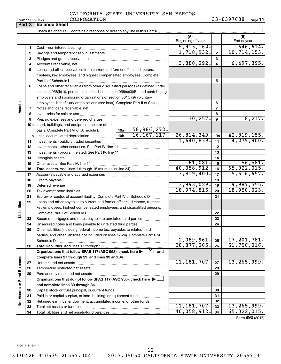| Form 990 (2017) |  |  |
|-----------------|--|--|

 $\overline{1}$ 

| Form 990 (2017) | CORPORATION                                                                                       | ৩ ୪ ୪ | Page |  |
|-----------------|---------------------------------------------------------------------------------------------------|-------|------|--|
|                 | <b>Part X   Balance Sheet</b>                                                                     |       |      |  |
|                 | $O$ beel if $O$ ebeel ile $O$ equipment is a companion of probable for a line in this $D$ eat $V$ |       |      |  |

|                             |          |                                                                                                                                            |  |               | (A)<br>Beginning of year |                         | (B)<br>End of year                  |
|-----------------------------|----------|--------------------------------------------------------------------------------------------------------------------------------------------|--|---------------|--------------------------|-------------------------|-------------------------------------|
|                             | 1        |                                                                                                                                            |  |               | 5,913,162.               | $\mathbf{1}$            | 646, 614.                           |
|                             | 2        |                                                                                                                                            |  |               | 1,718,932.               | $\mathbf{2}$            | 10, 714, 153.                       |
|                             | з        |                                                                                                                                            |  |               |                          | 3                       |                                     |
|                             | 4        |                                                                                                                                            |  |               | 3,880,292.               | $\overline{\mathbf{4}}$ | 6,497,395.                          |
|                             | 5        | Loans and other receivables from current and former officers, directors,                                                                   |  |               |                          |                         |                                     |
|                             |          | trustees, key employees, and highest compensated employees. Complete                                                                       |  |               |                          |                         |                                     |
|                             |          | Part II of Schedule L                                                                                                                      |  |               |                          | 5                       |                                     |
|                             | 6        | Loans and other receivables from other disqualified persons (as defined under                                                              |  |               |                          |                         |                                     |
|                             |          | section $4958(f)(1)$ , persons described in section $4958(c)(3)(B)$ , and contributing                                                     |  |               |                          |                         |                                     |
|                             |          | employers and sponsoring organizations of section 501(c)(9) voluntary                                                                      |  |               |                          |                         |                                     |
|                             |          | employees' beneficiary organizations (see instr). Complete Part II of Sch L                                                                |  |               |                          | 6                       |                                     |
| Assets                      | 7        |                                                                                                                                            |  |               |                          | $\overline{7}$          |                                     |
|                             | 8        |                                                                                                                                            |  |               |                          | 8                       |                                     |
|                             | 9        | Prepaid expenses and deferred charges                                                                                                      |  |               | 30, 257.                 | 9                       | 8,217.                              |
|                             |          | 10a Land, buildings, and equipment: cost or other                                                                                          |  |               |                          |                         |                                     |
|                             |          | basis. Complete Part VI of Schedule D  10a                                                                                                 |  | 58,986,272.   |                          |                         |                                     |
|                             |          |                                                                                                                                            |  | 16, 167, 117. | 26,814,349.              | 10 <sub>c</sub>         | 42,819,155.                         |
|                             | 11       |                                                                                                                                            |  | 1,640,839.    | 11                       | 4, 279, 900.            |                                     |
|                             | 12       |                                                                                                                                            |  |               | 12                       |                         |                                     |
|                             | 13       |                                                                                                                                            |  | 13            |                          |                         |                                     |
|                             | 14       |                                                                                                                                            |  |               | 14                       |                         |                                     |
|                             | 15       |                                                                                                                                            |  |               | 61,081.                  | 15                      | 56,581.                             |
|                             | 16       |                                                                                                                                            |  |               | 40,058,912.              | 16                      | 65,022,015.                         |
|                             | 17       |                                                                                                                                            |  |               | 3,819,400.               | 17                      | 5,616,657.                          |
|                             | 18       |                                                                                                                                            |  |               | 18                       |                         |                                     |
|                             | 19       |                                                                                                                                            |  |               | 3,993,029.               | 19                      | 9,987,555.                          |
|                             | 20       |                                                                                                                                            |  |               | 18,974,815.              | 20                      | 18,950,023.                         |
|                             | 21       | Escrow or custodial account liability. Complete Part IV of Schedule D                                                                      |  |               |                          | 21                      |                                     |
| Liabilities                 | 22       | Loans and other payables to current and former officers, directors, trustees,                                                              |  |               |                          |                         |                                     |
|                             |          | key employees, highest compensated employees, and disqualified persons.                                                                    |  |               |                          |                         |                                     |
|                             |          |                                                                                                                                            |  |               |                          | 22<br>23                |                                     |
|                             | 23<br>24 | Secured mortgages and notes payable to unrelated third parties                                                                             |  |               |                          | 24                      |                                     |
|                             | 25       | Unsecured notes and loans payable to unrelated third parties<br>Other liabilities (including federal income tax, payables to related third |  |               |                          |                         |                                     |
|                             |          | parties, and other liabilities not included on lines 17-24). Complete Part X of                                                            |  |               |                          |                         |                                     |
|                             |          | Schedule D                                                                                                                                 |  |               | 2,089,961.               | 25                      | 17, 201, 781.                       |
|                             | 26       |                                                                                                                                            |  |               | 28,877,205.              | 26                      | 51,756,016.                         |
|                             |          | Organizations that follow SFAS 117 (ASC 958), check here $\blacktriangleright \begin{array}{c} \boxed{X} \\ \end{array}$ and               |  |               |                          |                         |                                     |
|                             |          | complete lines 27 through 29, and lines 33 and 34.                                                                                         |  |               |                          |                         |                                     |
|                             | 27       |                                                                                                                                            |  |               | 11,181,707.              | 27                      | 13, 265, 999.                       |
|                             | 28       |                                                                                                                                            |  |               |                          | 28                      |                                     |
|                             | 29       | Permanently restricted net assets                                                                                                          |  |               |                          | 29                      |                                     |
|                             |          | Organizations that do not follow SFAS 117 (ASC 958), check here ▶ □                                                                        |  |               |                          |                         |                                     |
|                             |          | and complete lines 30 through 34.                                                                                                          |  |               |                          |                         |                                     |
|                             | 30       |                                                                                                                                            |  |               |                          | 30                      |                                     |
|                             | 31       | Paid-in or capital surplus, or land, building, or equipment fund                                                                           |  |               |                          | 31                      |                                     |
| Net Assets or Fund Balances | 32       | Retained earnings, endowment, accumulated income, or other funds                                                                           |  |               |                          | 32                      |                                     |
|                             | 33       |                                                                                                                                            |  |               | 11, 181, 707.            | 33                      | 13, 265, 999.                       |
|                             | 34       |                                                                                                                                            |  |               | 40,058,912.              | 34                      | 65,022,015.                         |
|                             |          |                                                                                                                                            |  |               |                          |                         | $F_{\text{orm}}$ QQ $\Omega$ (2017) |

Form (2017) **990**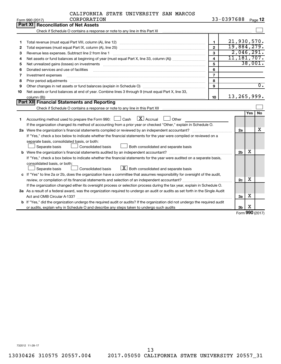|    | CORPORATION<br>Form 990 (2017)                                                                                                                                                                                                                                                                                                                                                                                                                                               |                | 33-0397688    |                           |     | Page 12          |  |  |
|----|------------------------------------------------------------------------------------------------------------------------------------------------------------------------------------------------------------------------------------------------------------------------------------------------------------------------------------------------------------------------------------------------------------------------------------------------------------------------------|----------------|---------------|---------------------------|-----|------------------|--|--|
|    | <b>Part XI Reconciliation of Net Assets</b>                                                                                                                                                                                                                                                                                                                                                                                                                                  |                |               |                           |     |                  |  |  |
|    |                                                                                                                                                                                                                                                                                                                                                                                                                                                                              |                |               |                           |     |                  |  |  |
|    |                                                                                                                                                                                                                                                                                                                                                                                                                                                                              |                |               |                           |     |                  |  |  |
| 1  |                                                                                                                                                                                                                                                                                                                                                                                                                                                                              | 1              |               | 21,930,570.               |     |                  |  |  |
| 2  |                                                                                                                                                                                                                                                                                                                                                                                                                                                                              | $\overline{2}$ |               | 19,884,279.<br>2,046,291. |     |                  |  |  |
| З  | 3<br>Revenue less expenses. Subtract line 2 from line 1<br>4                                                                                                                                                                                                                                                                                                                                                                                                                 |                |               |                           |     |                  |  |  |
| 4  |                                                                                                                                                                                                                                                                                                                                                                                                                                                                              |                | 11, 181, 707. |                           |     |                  |  |  |
| 5  |                                                                                                                                                                                                                                                                                                                                                                                                                                                                              | 5              |               |                           |     | 38,001.          |  |  |
| 6  | Donated services and use of facilities                                                                                                                                                                                                                                                                                                                                                                                                                                       | 6              |               |                           |     |                  |  |  |
| 7  | Investment expenses                                                                                                                                                                                                                                                                                                                                                                                                                                                          | $\overline{7}$ |               |                           |     |                  |  |  |
| 8  | Prior period adjustments<br>$\begin{minipage}{0.5\textwidth} \begin{tabular}{ l l l } \hline \multicolumn{1}{ l l l } \hline \multicolumn{1}{ l l } \hline \multicolumn{1}{ l } \multicolumn{1}{ l } \hline \multicolumn{1}{ l } \multicolumn{1}{ l } \multicolumn{1}{ l } \hline \multicolumn{1}{ l } \multicolumn{1}{ l } \multicolumn{1}{ l } \hline \multicolumn{1}{ l } \multicolumn{1}{ l } \hline \multicolumn{1}{ l } \multicolumn{1}{ l } \hline \multicolumn{1}{ $ | 8              |               |                           |     |                  |  |  |
| 9  |                                                                                                                                                                                                                                                                                                                                                                                                                                                                              | $\mathbf{Q}$   |               |                           |     | $\overline{0}$ . |  |  |
| 10 | Net assets or fund balances at end of year. Combine lines 3 through 9 (must equal Part X, line 33,                                                                                                                                                                                                                                                                                                                                                                           |                |               |                           |     |                  |  |  |
|    | column (B))                                                                                                                                                                                                                                                                                                                                                                                                                                                                  | 10             |               | 13, 265, 999.             |     |                  |  |  |
|    | Part XII Financial Statements and Reporting                                                                                                                                                                                                                                                                                                                                                                                                                                  |                |               |                           |     |                  |  |  |
|    |                                                                                                                                                                                                                                                                                                                                                                                                                                                                              |                |               |                           |     |                  |  |  |
|    |                                                                                                                                                                                                                                                                                                                                                                                                                                                                              |                |               |                           | Yes | <b>No</b>        |  |  |
| 1  | Accounting method used to prepare the Form 990: $\Box$ Cash $\Box X$ Accrual<br>$\Box$ Other                                                                                                                                                                                                                                                                                                                                                                                 |                |               |                           |     |                  |  |  |
|    | If the organization changed its method of accounting from a prior year or checked "Other," explain in Schedule O.                                                                                                                                                                                                                                                                                                                                                            |                |               |                           |     |                  |  |  |
|    |                                                                                                                                                                                                                                                                                                                                                                                                                                                                              |                |               |                           |     |                  |  |  |
|    | If "Yes," check a box below to indicate whether the financial statements for the year were compiled or reviewed on a                                                                                                                                                                                                                                                                                                                                                         |                |               |                           |     |                  |  |  |
|    | separate basis, consolidated basis, or both:                                                                                                                                                                                                                                                                                                                                                                                                                                 |                |               |                           |     |                  |  |  |
|    | Both consolidated and separate basis<br>Separate basis<br>Consolidated basis                                                                                                                                                                                                                                                                                                                                                                                                 |                |               |                           |     |                  |  |  |
|    |                                                                                                                                                                                                                                                                                                                                                                                                                                                                              |                |               | 2 <sub>b</sub>            | х   |                  |  |  |
|    | If "Yes," check a box below to indicate whether the financial statements for the year were audited on a separate basis,                                                                                                                                                                                                                                                                                                                                                      |                |               |                           |     |                  |  |  |
|    | consolidated basis, or both:                                                                                                                                                                                                                                                                                                                                                                                                                                                 |                |               |                           |     |                  |  |  |
|    | $\lfloor x \rfloor$ Both consolidated and separate basis<br>Separate basis<br>Consolidated basis                                                                                                                                                                                                                                                                                                                                                                             |                |               |                           |     |                  |  |  |
|    | c If "Yes" to line 2a or 2b, does the organization have a committee that assumes responsibility for oversight of the audit,                                                                                                                                                                                                                                                                                                                                                  |                |               |                           |     |                  |  |  |
|    | review, or compilation of its financial statements and selection of an independent accountant?                                                                                                                                                                                                                                                                                                                                                                               |                |               | 2c                        | х   |                  |  |  |
|    | If the organization changed either its oversight process or selection process during the tax year, explain in Schedule O.                                                                                                                                                                                                                                                                                                                                                    |                |               |                           |     |                  |  |  |
|    | 3a As a result of a federal award, was the organization required to undergo an audit or audits as set forth in the Single Audit                                                                                                                                                                                                                                                                                                                                              |                |               |                           |     |                  |  |  |
|    |                                                                                                                                                                                                                                                                                                                                                                                                                                                                              |                |               | За                        | х   |                  |  |  |
|    | b If "Yes," did the organization undergo the required audit or audits? If the organization did not undergo the required audit                                                                                                                                                                                                                                                                                                                                                |                |               |                           |     |                  |  |  |
|    |                                                                                                                                                                                                                                                                                                                                                                                                                                                                              |                |               | 3 <sub>b</sub>            | х   |                  |  |  |

Form (2017) **990**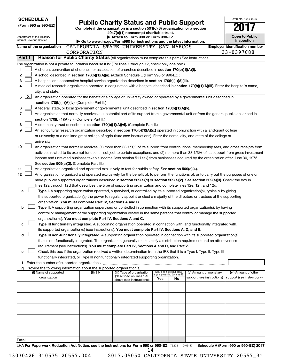|        | <b>SCHEDULE A</b>                             |                                                                          | <b>Public Charity Status and Public Support</b>                                                                                               |     |                                                                |                            |  | OMB No. 1545-0047                     |
|--------|-----------------------------------------------|--------------------------------------------------------------------------|-----------------------------------------------------------------------------------------------------------------------------------------------|-----|----------------------------------------------------------------|----------------------------|--|---------------------------------------|
|        | (Form 990 or 990-EZ)                          |                                                                          |                                                                                                                                               |     |                                                                |                            |  |                                       |
|        |                                               |                                                                          | Complete if the organization is a section 501(c)(3) organization or a section<br>4947(a)(1) nonexempt charitable trust.                       |     |                                                                |                            |  |                                       |
|        | Department of the Treasury                    |                                                                          | Attach to Form 990 or Form 990-EZ.                                                                                                            |     |                                                                |                            |  | <b>Open to Public</b>                 |
|        | Internal Revenue Service                      |                                                                          | Go to www.irs.gov/Form990 for instructions and the latest information.                                                                        |     |                                                                |                            |  | <b>Inspection</b>                     |
|        | Name of the organization                      |                                                                          | CALIFORNIA STATE UNIVERSITY SAN MARCOS                                                                                                        |     |                                                                |                            |  | <b>Employer identification number</b> |
|        |                                               | CORPORATION                                                              |                                                                                                                                               |     |                                                                |                            |  | 33-0397688                            |
|        | Part I                                        |                                                                          | Reason for Public Charity Status (All organizations must complete this part.) See instructions.                                               |     |                                                                |                            |  |                                       |
|        |                                               |                                                                          | The organization is not a private foundation because it is: (For lines 1 through 12, check only one box.)                                     |     |                                                                |                            |  |                                       |
| 1      |                                               |                                                                          | A church, convention of churches, or association of churches described in section 170(b)(1)(A)(i).                                            |     |                                                                |                            |  |                                       |
| 2      |                                               |                                                                          | A school described in section 170(b)(1)(A)(ii). (Attach Schedule E (Form 990 or 990-EZ).)                                                     |     |                                                                |                            |  |                                       |
| 3      |                                               |                                                                          | A hospital or a cooperative hospital service organization described in section 170(b)(1)(A)(iii).                                             |     |                                                                |                            |  |                                       |
| 4      |                                               |                                                                          | A medical research organization operated in conjunction with a hospital described in section 170(b)(1)(A)(iii). Enter the hospital's name,    |     |                                                                |                            |  |                                       |
|        | city, and state:                              |                                                                          |                                                                                                                                               |     |                                                                |                            |  |                                       |
| 5      | <u>x</u>                                      |                                                                          | An organization operated for the benefit of a college or university owned or operated by a governmental unit described in                     |     |                                                                |                            |  |                                       |
|        |                                               | section 170(b)(1)(A)(iv). (Complete Part II.)                            |                                                                                                                                               |     |                                                                |                            |  |                                       |
| 6      |                                               |                                                                          | A federal, state, or local government or governmental unit described in section 170(b)(1)(A)(v).                                              |     |                                                                |                            |  |                                       |
| 7      |                                               |                                                                          | An organization that normally receives a substantial part of its support from a governmental unit or from the general public described in     |     |                                                                |                            |  |                                       |
|        |                                               | section 170(b)(1)(A)(vi). (Complete Part II.)                            |                                                                                                                                               |     |                                                                |                            |  |                                       |
| 8<br>9 |                                               |                                                                          | A community trust described in section 170(b)(1)(A)(vi). (Complete Part II.)                                                                  |     |                                                                |                            |  |                                       |
|        |                                               |                                                                          | An agricultural research organization described in section 170(b)(1)(A)(ix) operated in conjunction with a land-grant college                 |     |                                                                |                            |  |                                       |
|        | university:                                   |                                                                          | or university or a non-land-grant college of agriculture (see instructions). Enter the name, city, and state of the college or                |     |                                                                |                            |  |                                       |
| 10     |                                               |                                                                          | An organization that normally receives: (1) more than 33 1/3% of its support from contributions, membership fees, and gross receipts from     |     |                                                                |                            |  |                                       |
|        |                                               |                                                                          | activities related to its exempt functions - subject to certain exceptions, and (2) no more than 33 1/3% of its support from gross investment |     |                                                                |                            |  |                                       |
|        |                                               |                                                                          | income and unrelated business taxable income (less section 511 tax) from businesses acquired by the organization after June 30, 1975.         |     |                                                                |                            |  |                                       |
|        |                                               | See section 509(a)(2). (Complete Part III.)                              |                                                                                                                                               |     |                                                                |                            |  |                                       |
| 11     |                                               |                                                                          | An organization organized and operated exclusively to test for public safety. See section 509(a)(4).                                          |     |                                                                |                            |  |                                       |
| 12     |                                               |                                                                          | An organization organized and operated exclusively for the benefit of, to perform the functions of, or to carry out the purposes of one or    |     |                                                                |                            |  |                                       |
|        |                                               |                                                                          | more publicly supported organizations described in section 509(a)(1) or section 509(a)(2). See section 509(a)(3). Check the box in            |     |                                                                |                            |  |                                       |
|        |                                               |                                                                          | lines 12a through 12d that describes the type of supporting organization and complete lines 12e, 12f, and 12g.                                |     |                                                                |                            |  |                                       |
| а      |                                               |                                                                          | Type I. A supporting organization operated, supervised, or controlled by its supported organization(s), typically by giving                   |     |                                                                |                            |  |                                       |
|        |                                               |                                                                          | the supported organization(s) the power to regularly appoint or elect a majority of the directors or trustees of the supporting               |     |                                                                |                            |  |                                       |
|        |                                               | organization. You must complete Part IV, Sections A and B.               |                                                                                                                                               |     |                                                                |                            |  |                                       |
| b      |                                               |                                                                          | Type II. A supporting organization supervised or controlled in connection with its supported organization(s), by having                       |     |                                                                |                            |  |                                       |
|        |                                               |                                                                          | control or management of the supporting organization vested in the same persons that control or manage the supported                          |     |                                                                |                            |  |                                       |
|        |                                               | organization(s). You must complete Part IV, Sections A and C.            |                                                                                                                                               |     |                                                                |                            |  |                                       |
| с      |                                               |                                                                          | Type III functionally integrated. A supporting organization operated in connection with, and functionally integrated with,                    |     |                                                                |                            |  |                                       |
|        |                                               |                                                                          | its supported organization(s) (see instructions). You must complete Part IV, Sections A, D, and E.                                            |     |                                                                |                            |  |                                       |
| d      |                                               |                                                                          | Type III non-functionally integrated. A supporting organization operated in connection with its supported organization(s)                     |     |                                                                |                            |  |                                       |
|        |                                               |                                                                          | that is not functionally integrated. The organization generally must satisfy a distribution requirement and an attentiveness                  |     |                                                                |                            |  |                                       |
|        |                                               |                                                                          | requirement (see instructions). You must complete Part IV, Sections A and D, and Part V.                                                      |     |                                                                |                            |  |                                       |
| е      |                                               |                                                                          | Check this box if the organization received a written determination from the IRS that it is a Type I, Type II, Type III                       |     |                                                                |                            |  |                                       |
|        |                                               |                                                                          | functionally integrated, or Type III non-functionally integrated supporting organization.                                                     |     |                                                                |                            |  |                                       |
|        | f Enter the number of supported organizations |                                                                          |                                                                                                                                               |     |                                                                |                            |  |                                       |
|        |                                               | g Provide the following information about the supported organization(s). |                                                                                                                                               |     |                                                                |                            |  |                                       |
|        | (i) Name of supported                         | (ii) EIN                                                                 | (iii) Type of organization<br>(described on lines 1-10                                                                                        |     | (iv) Is the organization listed<br>in your governing document? | (v) Amount of monetary     |  | (vi) Amount of other                  |
|        | organization                                  |                                                                          | above (see instructions))                                                                                                                     | Yes | No                                                             | support (see instructions) |  | support (see instructions)            |
|        |                                               |                                                                          |                                                                                                                                               |     |                                                                |                            |  |                                       |
|        |                                               |                                                                          |                                                                                                                                               |     |                                                                |                            |  |                                       |
|        |                                               |                                                                          |                                                                                                                                               |     |                                                                |                            |  |                                       |
|        |                                               |                                                                          |                                                                                                                                               |     |                                                                |                            |  |                                       |
|        |                                               |                                                                          |                                                                                                                                               |     |                                                                |                            |  |                                       |
|        |                                               |                                                                          |                                                                                                                                               |     |                                                                |                            |  |                                       |
|        |                                               |                                                                          |                                                                                                                                               |     |                                                                |                            |  |                                       |
|        |                                               |                                                                          |                                                                                                                                               |     |                                                                |                            |  |                                       |
|        |                                               |                                                                          |                                                                                                                                               |     |                                                                |                            |  |                                       |
|        |                                               |                                                                          |                                                                                                                                               |     |                                                                |                            |  |                                       |
| Total  |                                               |                                                                          |                                                                                                                                               |     |                                                                |                            |  |                                       |
|        |                                               |                                                                          | LHA For Paperwork Reduction Act Notice, see the Instructions for Form 990 or 990-EZ. 732021 10-06-17<br>14                                    |     |                                                                |                            |  | Schedule A (Form 990 or 990-EZ) 2017  |

| 13030426 310575 20557.004 |  |  |
|---------------------------|--|--|
|                           |  |  |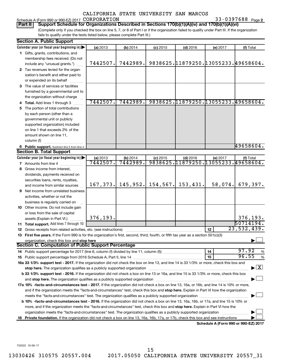#### Schedule A (Form 990 or 990-EZ) 2017  $CORPORTION$   $33-0397688$  Page

33-0397688 Page 2

(Complete only if you checked the box on line 5, 7, or 8 of Part I or if the organization failed to qualify under Part III. If the organization **Part II Support Schedule for Organizations Described in Sections 170(b)(1)(A)(iv) and 170(b)(1)(A)(vi)**

fails to qualify under the tests listed below, please complete Part III.)

|     | <b>Section A. Public Support</b>                                                                                                                                                                                                                                        |           |          |            |                                     |          |                                    |  |
|-----|-------------------------------------------------------------------------------------------------------------------------------------------------------------------------------------------------------------------------------------------------------------------------|-----------|----------|------------|-------------------------------------|----------|------------------------------------|--|
|     | Calendar year (or fiscal year beginning in)                                                                                                                                                                                                                             | (a) 2013  | (b) 2014 | $(c)$ 2015 | $(d)$ 2016                          | (e) 2017 | (f) Total                          |  |
|     | 1 Gifts, grants, contributions, and                                                                                                                                                                                                                                     |           |          |            |                                     |          |                                    |  |
|     | membership fees received. (Do not                                                                                                                                                                                                                                       |           |          |            |                                     |          |                                    |  |
|     | include any "unusual grants.")                                                                                                                                                                                                                                          | 7442507.  | 7442989. |            | 9838625.11879250.13055233.49658604. |          |                                    |  |
|     | 2 Tax revenues levied for the organ-                                                                                                                                                                                                                                    |           |          |            |                                     |          |                                    |  |
|     | ization's benefit and either paid to                                                                                                                                                                                                                                    |           |          |            |                                     |          |                                    |  |
|     | or expended on its behalf                                                                                                                                                                                                                                               |           |          |            |                                     |          |                                    |  |
|     | 3 The value of services or facilities                                                                                                                                                                                                                                   |           |          |            |                                     |          |                                    |  |
|     | furnished by a governmental unit to                                                                                                                                                                                                                                     |           |          |            |                                     |          |                                    |  |
|     | the organization without charge                                                                                                                                                                                                                                         |           |          |            |                                     |          |                                    |  |
|     | 4 Total. Add lines 1 through 3                                                                                                                                                                                                                                          | 7442507.  | 7442989. |            | 9838625.11879250.13055233.49658604. |          |                                    |  |
|     | 5 The portion of total contributions                                                                                                                                                                                                                                    |           |          |            |                                     |          |                                    |  |
|     | by each person (other than a                                                                                                                                                                                                                                            |           |          |            |                                     |          |                                    |  |
|     | governmental unit or publicly                                                                                                                                                                                                                                           |           |          |            |                                     |          |                                    |  |
|     | supported organization) included                                                                                                                                                                                                                                        |           |          |            |                                     |          |                                    |  |
|     | on line 1 that exceeds 2% of the                                                                                                                                                                                                                                        |           |          |            |                                     |          |                                    |  |
|     | amount shown on line 11,                                                                                                                                                                                                                                                |           |          |            |                                     |          |                                    |  |
|     | column (f)                                                                                                                                                                                                                                                              |           |          |            |                                     |          |                                    |  |
|     | 6 Public support. Subtract line 5 from line 4.                                                                                                                                                                                                                          |           |          |            |                                     |          | 49658604.                          |  |
|     | <b>Section B. Total Support</b>                                                                                                                                                                                                                                         |           |          |            |                                     |          |                                    |  |
|     | Calendar year (or fiscal year beginning in)                                                                                                                                                                                                                             | (a) 2013  | (b) 2014 | $(c)$ 2015 |                                     |          |                                    |  |
|     | 7 Amounts from line 4                                                                                                                                                                                                                                                   | 7442507.  | 7442989. | 9838625.   |                                     |          |                                    |  |
|     | 8 Gross income from interest,                                                                                                                                                                                                                                           |           |          |            |                                     |          |                                    |  |
|     | dividends, payments received on                                                                                                                                                                                                                                         |           |          |            |                                     |          |                                    |  |
|     | securities loans, rents, royalties,                                                                                                                                                                                                                                     |           |          |            |                                     |          |                                    |  |
|     | and income from similar sources                                                                                                                                                                                                                                         | 167, 373. | 145,952. | 154, 567.  | 153,431.                            | 58,074.  | 679,397.                           |  |
| 9   | Net income from unrelated business                                                                                                                                                                                                                                      |           |          |            |                                     |          |                                    |  |
|     | activities, whether or not the                                                                                                                                                                                                                                          |           |          |            |                                     |          |                                    |  |
|     | business is regularly carried on                                                                                                                                                                                                                                        |           |          |            |                                     |          |                                    |  |
|     | 10 Other income. Do not include gain                                                                                                                                                                                                                                    |           |          |            |                                     |          |                                    |  |
|     | or loss from the sale of capital                                                                                                                                                                                                                                        |           |          |            |                                     |          |                                    |  |
|     | assets (Explain in Part VI.)                                                                                                                                                                                                                                            | 376,193.  |          |            |                                     |          | 376, 193.                          |  |
|     | 11 Total support. Add lines 7 through 10                                                                                                                                                                                                                                |           |          |            |                                     |          | 50714194.                          |  |
| 12  | Gross receipts from related activities, etc. (see instructions)                                                                                                                                                                                                         |           |          |            |                                     | 12       | 23,532,439.                        |  |
|     | 13 First five years. If the Form 990 is for the organization's first, second, third, fourth, or fifth tax year as a section 501(c)(3)                                                                                                                                   |           |          |            |                                     |          |                                    |  |
|     | organization, check this box and stop here<br><b>Section C. Computation of Public Support Percentage</b>                                                                                                                                                                |           |          |            |                                     |          |                                    |  |
|     |                                                                                                                                                                                                                                                                         |           |          |            |                                     |          | 97.92                              |  |
|     |                                                                                                                                                                                                                                                                         |           |          |            |                                     | 14<br>15 | %<br>96.55                         |  |
|     |                                                                                                                                                                                                                                                                         |           |          |            |                                     |          | $\%$                               |  |
|     | 16a 33 1/3% support test - 2017. If the organization did not check the box on line 13, and line 14 is 33 1/3% or more, check this box and                                                                                                                               |           |          |            |                                     |          | $\blacktriangleright$ $\mathbf{X}$ |  |
|     | stop here. The organization qualifies as a publicly supported organization manufaction manufacture or the organization manufacture or the organization manufacture or the organization manufacture or the state of the state o                                          |           |          |            |                                     |          |                                    |  |
|     | b 33 1/3% support test - 2016. If the organization did not check a box on line 13 or 16a, and line 15 is 33 1/3% or more, check this box                                                                                                                                |           |          |            |                                     |          |                                    |  |
|     |                                                                                                                                                                                                                                                                         |           |          |            |                                     |          |                                    |  |
|     | 17a 10% -facts-and-circumstances test - 2017. If the organization did not check a box on line 13, 16a, or 16b, and line 14 is 10% or more,                                                                                                                              |           |          |            |                                     |          |                                    |  |
|     | and if the organization meets the "facts-and-circumstances" test, check this box and stop here. Explain in Part VI how the organization                                                                                                                                 |           |          |            |                                     |          |                                    |  |
|     | meets the "facts-and-circumstances" test. The organization qualifies as a publicly supported organization <i>manumumumum</i><br>b 10% -facts-and-circumstances test - 2016. If the organization did not check a box on line 13, 16a, 16b, or 17a, and line 15 is 10% or |           |          |            |                                     |          |                                    |  |
|     | more, and if the organization meets the "facts-and-circumstances" test, check this box and stop here. Explain in Part VI how the                                                                                                                                        |           |          |            |                                     |          |                                    |  |
|     | organization meets the "facts-and-circumstances" test. The organization qualifies as a publicly supported organization                                                                                                                                                  |           |          |            |                                     |          |                                    |  |
| 18. |                                                                                                                                                                                                                                                                         |           |          |            |                                     |          |                                    |  |
|     | Private foundation. If the organization did not check a box on line 13, 16a, 16b, 17a, or 17b, check this box and see instructions<br>Schedule A (Form 990 or 990-EZ) 2017                                                                                              |           |          |            |                                     |          |                                    |  |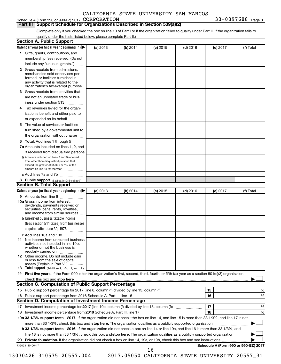#### Schedule A (Form 990 or 990-EZ) 2017  $CORPORTION$   $33-0397688$  Page

**Part III Support Schedule for Organizations Described in Section 509(a)(2)** 

33-0397688 Page 3

(Complete only if you checked the box on line 10 of Part I or if the organization failed to qualify under Part II. If the organization fails to qualify under the tests listed below, please complete Part II.)

| <b>Section A. Public Support</b>                                                                                                                                                                                                        |          |          |            |            |          |                                      |
|-----------------------------------------------------------------------------------------------------------------------------------------------------------------------------------------------------------------------------------------|----------|----------|------------|------------|----------|--------------------------------------|
| Calendar year (or fiscal year beginning in)                                                                                                                                                                                             | (a) 2013 | (b) 2014 | $(c)$ 2015 | $(d)$ 2016 | (e) 2017 | (f) Total                            |
| 1 Gifts, grants, contributions, and                                                                                                                                                                                                     |          |          |            |            |          |                                      |
| membership fees received. (Do not                                                                                                                                                                                                       |          |          |            |            |          |                                      |
| include any "unusual grants.")                                                                                                                                                                                                          |          |          |            |            |          |                                      |
| <b>2</b> Gross receipts from admissions,<br>merchandise sold or services per-<br>formed, or facilities furnished in<br>any activity that is related to the<br>organization's tax-exempt purpose                                         |          |          |            |            |          |                                      |
| 3 Gross receipts from activities that                                                                                                                                                                                                   |          |          |            |            |          |                                      |
| are not an unrelated trade or bus-                                                                                                                                                                                                      |          |          |            |            |          |                                      |
| iness under section 513                                                                                                                                                                                                                 |          |          |            |            |          |                                      |
| 4 Tax revenues levied for the organ-                                                                                                                                                                                                    |          |          |            |            |          |                                      |
| ization's benefit and either paid to                                                                                                                                                                                                    |          |          |            |            |          |                                      |
| or expended on its behalf                                                                                                                                                                                                               |          |          |            |            |          |                                      |
| 5 The value of services or facilities                                                                                                                                                                                                   |          |          |            |            |          |                                      |
| furnished by a governmental unit to                                                                                                                                                                                                     |          |          |            |            |          |                                      |
| the organization without charge                                                                                                                                                                                                         |          |          |            |            |          |                                      |
| 6 Total. Add lines 1 through 5                                                                                                                                                                                                          |          |          |            |            |          |                                      |
| 7a Amounts included on lines 1, 2, and                                                                                                                                                                                                  |          |          |            |            |          |                                      |
| 3 received from disqualified persons                                                                                                                                                                                                    |          |          |            |            |          |                                      |
| <b>b</b> Amounts included on lines 2 and 3 received<br>from other than disqualified persons that<br>exceed the greater of \$5,000 or 1% of the<br>amount on line 13 for the year                                                        |          |          |            |            |          |                                      |
| c Add lines 7a and 7b                                                                                                                                                                                                                   |          |          |            |            |          |                                      |
| 8 Public support. (Subtract line 7c from line 6.)                                                                                                                                                                                       |          |          |            |            |          |                                      |
| <b>Section B. Total Support</b>                                                                                                                                                                                                         |          |          |            |            |          |                                      |
| Calendar year (or fiscal year beginning in)                                                                                                                                                                                             | (a) 2013 | (b) 2014 | $(c)$ 2015 | $(d)$ 2016 | (e) 2017 | (f) Total                            |
| 9 Amounts from line 6                                                                                                                                                                                                                   |          |          |            |            |          |                                      |
| <b>10a</b> Gross income from interest,<br>dividends, payments received on<br>securities loans, rents, royalties,<br>and income from similar sources                                                                                     |          |          |            |            |          |                                      |
| <b>b</b> Unrelated business taxable income<br>(less section 511 taxes) from businesses<br>acquired after June 30, 1975                                                                                                                  |          |          |            |            |          |                                      |
| c Add lines 10a and 10b<br><b>11</b> Net income from unrelated business<br>activities not included in line 10b.<br>whether or not the business is<br>regularly carried on<br><b>12</b> Other income. Do not include gain                |          |          |            |            |          |                                      |
| or loss from the sale of capital<br>assets (Explain in Part VI.)                                                                                                                                                                        |          |          |            |            |          |                                      |
| <b>13</b> Total support. (Add lines 9, 10c, 11, and 12.)                                                                                                                                                                                |          |          |            |            |          |                                      |
| 14 First five years. If the Form 990 is for the organization's first, second, third, fourth, or fifth tax year as a section 501(c)(3) organization,                                                                                     |          |          |            |            |          |                                      |
| check this box and stop here <b>contained and the contained and stop here</b> check this box and stop here <b>contained and the contained and stop here</b> contained and stop here contained and and stop here contained and stop here |          |          |            |            |          |                                      |
| Section C. Computation of Public Support Percentage                                                                                                                                                                                     |          |          |            |            |          |                                      |
|                                                                                                                                                                                                                                         |          |          |            |            | 15       | ℅                                    |
| 16 Public support percentage from 2016 Schedule A, Part III, line 15                                                                                                                                                                    |          |          |            |            | 16       | %                                    |
| Section D. Computation of Investment Income Percentage                                                                                                                                                                                  |          |          |            |            |          |                                      |
|                                                                                                                                                                                                                                         |          |          |            |            | 17       | %                                    |
| 18 Investment income percentage from 2016 Schedule A, Part III, line 17                                                                                                                                                                 |          |          |            |            | 18       | %                                    |
| 19a 33 1/3% support tests - 2017. If the organization did not check the box on line 14, and line 15 is more than 33 1/3%, and line 17 is not                                                                                            |          |          |            |            |          |                                      |
| more than 33 1/3%, check this box and stop here. The organization qualifies as a publicly supported organization                                                                                                                        |          |          |            |            |          |                                      |
| b 33 1/3% support tests - 2016. If the organization did not check a box on line 14 or line 19a, and line 16 is more than 33 1/3%, and                                                                                                   |          |          |            |            |          |                                      |
| line 18 is not more than 33 1/3%, check this box and stop here. The organization qualifies as a publicly supported organization                                                                                                         |          |          |            |            |          |                                      |
|                                                                                                                                                                                                                                         |          |          |            |            |          |                                      |
| 732023 10-06-17                                                                                                                                                                                                                         |          |          | 16         |            |          | Schedule A (Form 990 or 990-EZ) 2017 |

13030426 310575 20557.004 2017.05050 CALIFORNIA STATE UNIVERSITY 20557\_31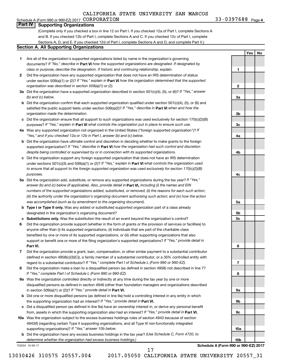#### Schedule A (Form 990 or 990-EZ) 2017  $CORPORTION$   $33-0397688$  Page **Part IV Supporting Organizations**

(Complete only if you checked a box in line 12 on Part I. If you checked 12a of Part I, complete Sections A and B. If you checked 12b of Part I, complete Sections A and C. If you checked 12c of Part I, complete Sections A, D, and E. If you checked 12d of Part I, complete Sections A and D, and complete Part V.)

#### **Section A. All Supporting Organizations**

- **1** Are all of the organization's supported organizations listed by name in the organization's governing documents? If "No," describe in Part VI how the supported organizations are designated. If designated by *class or purpose, describe the designation. If historic and continuing relationship, explain.*
- **2** Did the organization have any supported organization that does not have an IRS determination of status under section 509(a)(1) or (2)? If "Yes," explain in Part **VI** how the organization determined that the supported *organization was described in section 509(a)(1) or (2).*
- **3a** Did the organization have a supported organization described in section 501(c)(4), (5), or (6)? If "Yes," answer *(b) and (c) below.*
- **b** Did the organization confirm that each supported organization qualified under section 501(c)(4), (5), or (6) and satisfied the public support tests under section 509(a)(2)? If "Yes," describe in Part VI when and how the *organization made the determination.*
- **c** Did the organization ensure that all support to such organizations was used exclusively for section 170(c)(2)(B) purposes? If "Yes," explain in Part VI what controls the organization put in place to ensure such use.
- **4 a** *If* Was any supported organization not organized in the United States ("foreign supported organization")? *"Yes," and if you checked 12a or 12b in Part I, answer (b) and (c) below.*
- **b** Did the organization have ultimate control and discretion in deciding whether to make grants to the foreign supported organization? If "Yes," describe in Part VI how the organization had such control and discretion *despite being controlled or supervised by or in connection with its supported organizations.*
- **c** Did the organization support any foreign supported organization that does not have an IRS determination under sections 501(c)(3) and 509(a)(1) or (2)? If "Yes," explain in Part VI what controls the organization used *to ensure that all support to the foreign supported organization was used exclusively for section 170(c)(2)(B) purposes.*
- **5a** Did the organization add, substitute, or remove any supported organizations during the tax year? If "Yes," answer (b) and (c) below (if applicable). Also, provide detail in **Part VI,** including (i) the names and EIN *numbers of the supported organizations added, substituted, or removed; (ii) the reasons for each such action; (iii) the authority under the organization's organizing document authorizing such action; and (iv) how the action was accomplished (such as by amendment to the organizing document).*
- **b Type I or Type II only.** Was any added or substituted supported organization part of a class already designated in the organization's organizing document?
- **c Substitutions only.**  Was the substitution the result of an event beyond the organization's control?
- **6** Did the organization provide support (whether in the form of grants or the provision of services or facilities) to **Part VI.** support or benefit one or more of the filing organization's supported organizations? If "Yes," provide detail in anyone other than (i) its supported organizations, (ii) individuals that are part of the charitable class benefited by one or more of its supported organizations, or (iii) other supporting organizations that also
- **7** Did the organization provide a grant, loan, compensation, or other similar payment to a substantial contributor regard to a substantial contributor? If "Yes," complete Part I of Schedule L (Form 990 or 990-EZ). (defined in section 4958(c)(3)(C)), a family member of a substantial contributor, or a 35% controlled entity with
- **8** Did the organization make a loan to a disqualified person (as defined in section 4958) not described in line 7? *If "Yes," complete Part I of Schedule L (Form 990 or 990-EZ).*
- **9 a** Was the organization controlled directly or indirectly at any time during the tax year by one or more in section 509(a)(1) or (2))? If "Yes," provide detail in **Part VI.** disqualified persons as defined in section 4946 (other than foundation managers and organizations described
- **b** Did one or more disqualified persons (as defined in line 9a) hold a controlling interest in any entity in which the supporting organization had an interest? If "Yes," provide detail in Part VI.
- **c** Did a disqualified person (as defined in line 9a) have an ownership interest in, or derive any personal benefit from, assets in which the supporting organization also had an interest? If "Yes," provide detail in Part VI.
- **10 a** Was the organization subject to the excess business holdings rules of section 4943 because of section supporting organizations)? If "Yes," answer 10b below. 4943(f) (regarding certain Type II supporting organizations, and all Type III non-functionally integrated
	- **b** Did the organization have any excess business holdings in the tax year? (Use Schedule C, Form 4720, to *determine whether the organization had excess business holdings.)*

732024 10-06-17

**Schedule A (Form 990 or 990-EZ) 2017**

33-0397688 Page 4

**1**

**2**

**3a**

**3b**

**3c**

**4a**

**4b**

**4c**

**5a**

**5b 5c**

**6**

**7**

**8**

**9a**

**9b**

**9c**

**10a**

**10b**

**Yes No**

13030426 310575 20557.004 2017.05050 CALIFORNIA STATE UNIVERSITY 20557\_31 17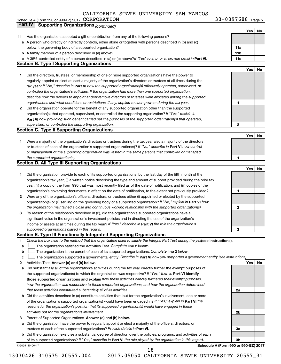33-0397688 Page 5 Schedule A (Form 990 or 990-EZ) 2017 Page CORPORATION 33-0397688

|    | Part IV<br><b>Supporting Organizations (continued)</b>                                                                          |                 |     |    |
|----|---------------------------------------------------------------------------------------------------------------------------------|-----------------|-----|----|
|    |                                                                                                                                 |                 | Yes | No |
| 11 | Has the organization accepted a gift or contribution from any of the following persons?                                         |                 |     |    |
|    | a A person who directly or indirectly controls, either alone or together with persons described in (b) and (c)                  |                 |     |    |
|    | below, the governing body of a supported organization?                                                                          | 11a             |     |    |
|    | <b>b</b> A family member of a person described in (a) above?                                                                    | 11 <sub>b</sub> |     |    |
|    | c A 35% controlled entity of a person described in (a) or (b) above? If "Yes" to a, b, or c, provide detail in Part VI.         | 11c             |     |    |
|    | <b>Section B. Type I Supporting Organizations</b>                                                                               |                 |     |    |
|    |                                                                                                                                 |                 | Yes | No |
|    |                                                                                                                                 |                 |     |    |
| 1  | Did the directors, trustees, or membership of one or more supported organizations have the power to                             |                 |     |    |
|    | regularly appoint or elect at least a majority of the organization's directors or trustees at all times during the              |                 |     |    |
|    | tax year? If "No," describe in Part VI how the supported organization(s) effectively operated, supervised, or                   |                 |     |    |
|    | controlled the organization's activities. If the organization had more than one supported organization,                         |                 |     |    |
|    | describe how the powers to appoint and/or remove directors or trustees were allocated among the supported                       |                 |     |    |
|    | organizations and what conditions or restrictions, if any, applied to such powers during the tax year.                          | 1               |     |    |
| 2  | Did the organization operate for the benefit of any supported organization other than the supported                             |                 |     |    |
|    | organization(s) that operated, supervised, or controlled the supporting organization? If "Yes," explain in                      |                 |     |    |
|    | Part VI how providing such benefit carried out the purposes of the supported organization(s) that operated,                     |                 |     |    |
|    | supervised, or controlled the supporting organization.                                                                          | 2               |     |    |
|    | <b>Section C. Type II Supporting Organizations</b>                                                                              |                 |     |    |
|    |                                                                                                                                 |                 | Yes | No |
| 1. | Were a majority of the organization's directors or trustees during the tax year also a majority of the directors                |                 |     |    |
|    | or trustees of each of the organization's supported organization(s)? If "No," describe in Part VI how control                   |                 |     |    |
|    | or management of the supporting organization was vested in the same persons that controlled or managed                          |                 |     |    |
|    | the supported organization(s).                                                                                                  | 1               |     |    |
|    | <b>Section D. All Type III Supporting Organizations</b>                                                                         |                 |     |    |
|    |                                                                                                                                 |                 | Yes | No |
| 1  | Did the organization provide to each of its supported organizations, by the last day of the fifth month of the                  |                 |     |    |
|    | organization's tax year, (i) a written notice describing the type and amount of support provided during the prior tax           |                 |     |    |
|    | year, (ii) a copy of the Form 990 that was most recently filed as of the date of notification, and (iii) copies of the          |                 |     |    |
|    | organization's governing documents in effect on the date of notification, to the extent not previously provided?                | 1               |     |    |
| 2  | Were any of the organization's officers, directors, or trustees either (i) appointed or elected by the supported                |                 |     |    |
|    | organization(s) or (ii) serving on the governing body of a supported organization? If "No," explain in Part VI how              |                 |     |    |
|    |                                                                                                                                 | $\mathbf{2}$    |     |    |
|    | the organization maintained a close and continuous working relationship with the supported organization(s).                     |                 |     |    |
| 3  | By reason of the relationship described in (2), did the organization's supported organizations have a                           |                 |     |    |
|    | significant voice in the organization's investment policies and in directing the use of the organization's                      |                 |     |    |
|    | income or assets at all times during the tax year? If "Yes," describe in Part VI the role the organization's                    |                 |     |    |
|    | supported organizations played in this regard.                                                                                  | з               |     |    |
|    | Section E. Type III Functionally Integrated Supporting Organizations                                                            |                 |     |    |
| 1  | Check the box next to the method that the organization used to satisfy the Integral Part Test during the yealsee instructions). |                 |     |    |
| a  | The organization satisfied the Activities Test. Complete line 2 below.                                                          |                 |     |    |
| b  | The organization is the parent of each of its supported organizations. Complete line 3 below.                                   |                 |     |    |
| c  | The organization supported a governmental entity. Describe in Part VI how you supported a government entity (see instructions). |                 |     |    |
| 2  | Activities Test. Answer (a) and (b) below.                                                                                      |                 | Yes | No |
| а  | Did substantially all of the organization's activities during the tax year directly further the exempt purposes of              |                 |     |    |
|    | the supported organization(s) to which the organization was responsive? If "Yes," then in Part VI identify                      |                 |     |    |
|    | those supported organizations and explain how these activities directly furthered their exempt purposes,                        |                 |     |    |
|    | how the organization was responsive to those supported organizations, and how the organization determined                       |                 |     |    |
|    | that these activities constituted substantially all of its activities.                                                          | 2a              |     |    |
| b  | Did the activities described in (a) constitute activities that, but for the organization's involvement, one or more             |                 |     |    |
|    | of the organization's supported organization(s) would have been engaged in? If "Yes," explain in Part VI the                    |                 |     |    |
|    | reasons for the organization's position that its supported organization(s) would have engaged in these                          |                 |     |    |
|    | activities but for the organization's involvement.                                                                              | 2b              |     |    |
| 3  | Parent of Supported Organizations. Answer (a) and (b) below.                                                                    |                 |     |    |
| а  | Did the organization have the power to regularly appoint or elect a majority of the officers, directors, or                     |                 |     |    |
|    | trustees of each of the supported organizations? Provide details in Part VI.                                                    | За              |     |    |
|    | <b>b</b> Did the organization exercise a substantial degree of direction over the policies, programs, and activities of each    |                 |     |    |
|    | of its supported organizations? If "Yes," describe in Part VI the role played by the organization in this regard.               | 3b              |     |    |
|    | Schedule A (Form 990 or 990-EZ) 2017<br>732025 10-06-17                                                                         |                 |     |    |
|    | 18                                                                                                                              |                 |     |    |
|    |                                                                                                                                 |                 |     |    |

<sup>13030426 310575 20557.004 2017.05050</sup> CALIFORNIA STATE UNIVERSITY 20557\_31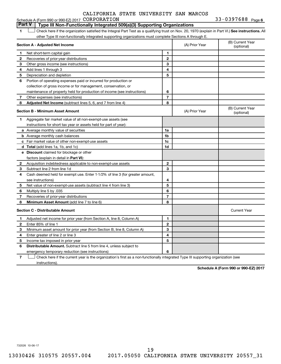#### **1 Letter See instructions.** All Check here if the organization satisfied the Integral Part Test as a qualifying trust on Nov. 20, 1970 (explain in Part VI.) See instructions. All **Section A - Adjusted Net Income 1 2 3 4 5 6 7 8 1 2 3 4 5 6 7 Adjusted Net Income** (subtract lines 5, 6, and 7 from line 4) **8 8 Section B - Minimum Asset Amount 1 2 3 4 5 6 7 8 a** Average monthly value of securities **b** Average monthly cash balances **c** Fair market value of other non-exempt-use assets **d Total**  (add lines 1a, 1b, and 1c) **e Discount** claimed for blockage or other **1a 1b 1c 1d 2 3 4 5 6 7 8** factors (explain in detail in Part VI): **Minimum Asset Amount**  (add line 7 to line 6) **Section C - Distributable Amount 1 2 3 4 5 6 1 2 3 4 5 6** Distributable Amount. Subtract line 5 from line 4, unless subject to other Type III non-functionally integrated supporting organizations must complete Sections A through E. (B) Current Year (A) Prior Year Net short-term capital gain Recoveries of prior-year distributions Other gross income (see instructions) Add lines 1 through 3 Depreciation and depletion Portion of operating expenses paid or incurred for production or collection of gross income or for management, conservation, or maintenance of property held for production of income (see instructions) Other expenses (see instructions) (B) Current Year  $(A)$  Prior Year  $\left\{\n\begin{array}{ccc}\n\end{array}\n\right\}$  (optional) Aggregate fair market value of all non-exempt-use assets (see instructions for short tax year or assets held for part of year): Acquisition indebtedness applicable to non-exempt-use assets Subtract line 2 from line 1d Cash deemed held for exempt use. Enter 1-1/2% of line 3 (for greater amount, see instructions) Net value of non-exempt-use assets (subtract line 4 from line 3) Multiply line 5 by .035 Recoveries of prior-year distributions Current Year Adjusted net income for prior year (from Section A, line 8, Column A) Enter 85% of line 1 Minimum asset amount for prior year (from Section B, line 8, Column A) Enter greater of line 2 or line 3 Income tax imposed in prior year emergency temporary reduction (see instructions) **Part V Type III Non-Functionally Integrated 509(a)(3) Supporting Organizations**   $\Box$

**7** Check here if the current year is the organization's first as a non-functionally integrated Type III supporting organization (see † instructions).

**Schedule A (Form 990 or 990-EZ) 2017**

732026 10-06-17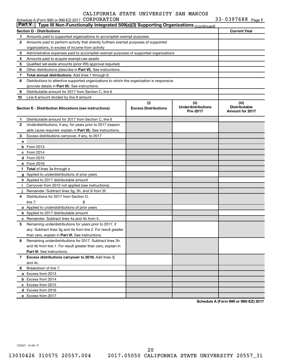|               | Schedule A (Form 990 or 990-EZ) 2017 CORPORATION                                           |                                    |                                               | 33-0397688 Page 7                                       |
|---------------|--------------------------------------------------------------------------------------------|------------------------------------|-----------------------------------------------|---------------------------------------------------------|
| <b>Part V</b> | Type III Non-Functionally Integrated 509(a)(3) Supporting Organizations (continued)        |                                    |                                               |                                                         |
|               | <b>Section D - Distributions</b>                                                           |                                    |                                               | <b>Current Year</b>                                     |
| 1             | Amounts paid to supported organizations to accomplish exempt purposes                      |                                    |                                               |                                                         |
| 2             | Amounts paid to perform activity that directly furthers exempt purposes of supported       |                                    |                                               |                                                         |
|               | organizations, in excess of income from activity                                           |                                    |                                               |                                                         |
| З             | Administrative expenses paid to accomplish exempt purposes of supported organizations      |                                    |                                               |                                                         |
| 4             | Amounts paid to acquire exempt-use assets                                                  |                                    |                                               |                                                         |
| 5             | Qualified set-aside amounts (prior IRS approval required)                                  |                                    |                                               |                                                         |
| 6             | Other distributions (describe in <b>Part VI</b> ). See instructions.                       |                                    |                                               |                                                         |
| 7             | <b>Total annual distributions.</b> Add lines 1 through 6.                                  |                                    |                                               |                                                         |
| 8             | Distributions to attentive supported organizations to which the organization is responsive |                                    |                                               |                                                         |
|               | (provide details in Part VI). See instructions.                                            |                                    |                                               |                                                         |
| 9             | Distributable amount for 2017 from Section C, line 6                                       |                                    |                                               |                                                         |
| 10            | Line 8 amount divided by line 9 amount                                                     |                                    |                                               |                                                         |
|               | Section E - Distribution Allocations (see instructions)                                    | (i)<br><b>Excess Distributions</b> | (ii)<br><b>Underdistributions</b><br>Pre-2017 | (iii)<br><b>Distributable</b><br><b>Amount for 2017</b> |
| 1             | Distributable amount for 2017 from Section C, line 6                                       |                                    |                                               |                                                         |
| 2             | Underdistributions, if any, for years prior to 2017 (reason-                               |                                    |                                               |                                                         |
|               | able cause required-explain in Part VI). See instructions.                                 |                                    |                                               |                                                         |
| 3             | Excess distributions carryover, if any, to 2017                                            |                                    |                                               |                                                         |
| a             |                                                                                            |                                    |                                               |                                                         |
|               | <b>b</b> From 2013                                                                         |                                    |                                               |                                                         |
|               | $c$ From 2014                                                                              |                                    |                                               |                                                         |
|               | d From 2015                                                                                |                                    |                                               |                                                         |
|               | e From 2016                                                                                |                                    |                                               |                                                         |
|               | f Total of lines 3a through e                                                              |                                    |                                               |                                                         |
|               | <b>g</b> Applied to underdistributions of prior years                                      |                                    |                                               |                                                         |
|               | <b>h</b> Applied to 2017 distributable amount                                              |                                    |                                               |                                                         |
| Ť.            | Carryover from 2012 not applied (see instructions)                                         |                                    |                                               |                                                         |
|               | Remainder. Subtract lines 3g, 3h, and 3i from 3f.                                          |                                    |                                               |                                                         |
| 4             | Distributions for 2017 from Section D.                                                     |                                    |                                               |                                                         |
|               | line $7:$                                                                                  |                                    |                                               |                                                         |
|               | a Applied to underdistributions of prior years                                             |                                    |                                               |                                                         |
|               | <b>b</b> Applied to 2017 distributable amount                                              |                                    |                                               |                                                         |
|               | <b>c</b> Remainder. Subtract lines 4a and 4b from 4.                                       |                                    |                                               |                                                         |
| 5             | Remaining underdistributions for years prior to 2017, if                                   |                                    |                                               |                                                         |
|               | any. Subtract lines 3g and 4a from line 2. For result greater                              |                                    |                                               |                                                         |
|               | than zero, explain in Part VI. See instructions.                                           |                                    |                                               |                                                         |
| 6             | Remaining underdistributions for 2017. Subtract lines 3h                                   |                                    |                                               |                                                         |
|               | and 4b from line 1. For result greater than zero, explain in                               |                                    |                                               |                                                         |
|               | <b>Part VI.</b> See instructions.                                                          |                                    |                                               |                                                         |
| 7             | Excess distributions carryover to 2018. Add lines 3j                                       |                                    |                                               |                                                         |
|               | and 4c.                                                                                    |                                    |                                               |                                                         |
| 8             | Breakdown of line 7:                                                                       |                                    |                                               |                                                         |
|               | a Excess from 2013                                                                         |                                    |                                               |                                                         |
|               | <b>b</b> Excess from 2014                                                                  |                                    |                                               |                                                         |
|               | c Excess from 2015                                                                         |                                    |                                               |                                                         |
|               | d Excess from 2016                                                                         |                                    |                                               |                                                         |
|               | e Excess from 2017                                                                         |                                    |                                               |                                                         |
|               |                                                                                            |                                    |                                               |                                                         |

**Schedule A (Form 990 or 990-EZ) 2017**

732027 10-06-17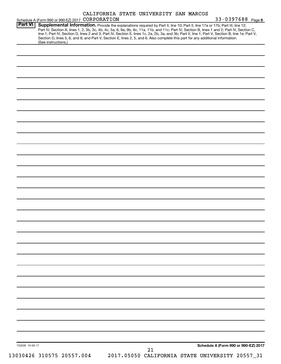|                 | Schedule A (Form 990 or 990 EZ) 2017 CORPORATION                                                                                                                                                                                                                                                                                                                                                                                                                                                                                                                                            | CALIFORNIA STATE UNIVERSITY SAN MARCOS |    |                                      | 33-0397688 Page 8 |
|-----------------|---------------------------------------------------------------------------------------------------------------------------------------------------------------------------------------------------------------------------------------------------------------------------------------------------------------------------------------------------------------------------------------------------------------------------------------------------------------------------------------------------------------------------------------------------------------------------------------------|----------------------------------------|----|--------------------------------------|-------------------|
| Part VI         | Supplemental Information. Provide the explanations required by Part II, line 10; Part II, line 17a or 17b; Part III, line 12;<br>Part IV, Section A, lines 1, 2, 3b, 3c, 4b, 4c, 5a, 6, 9a, 9b, 9c, 11a, 11b, and 11c; Part IV, Section B, lines 1 and 2; Part IV, Section C,<br>line 1; Part IV, Section D, lines 2 and 3; Part IV, Section E, lines 1c, 2a, 2b, 3a, and 3b; Part V, line 1; Part V, Section B, line 1e; Part V,<br>Section D, lines 5, 6, and 8; and Part V, Section E, lines 2, 5, and 6. Also complete this part for any additional information.<br>(See instructions.) |                                        |    |                                      |                   |
|                 |                                                                                                                                                                                                                                                                                                                                                                                                                                                                                                                                                                                             |                                        |    |                                      |                   |
|                 |                                                                                                                                                                                                                                                                                                                                                                                                                                                                                                                                                                                             |                                        |    |                                      |                   |
|                 |                                                                                                                                                                                                                                                                                                                                                                                                                                                                                                                                                                                             |                                        |    |                                      |                   |
|                 |                                                                                                                                                                                                                                                                                                                                                                                                                                                                                                                                                                                             |                                        |    |                                      |                   |
|                 |                                                                                                                                                                                                                                                                                                                                                                                                                                                                                                                                                                                             |                                        |    |                                      |                   |
|                 |                                                                                                                                                                                                                                                                                                                                                                                                                                                                                                                                                                                             |                                        |    |                                      |                   |
|                 |                                                                                                                                                                                                                                                                                                                                                                                                                                                                                                                                                                                             |                                        |    |                                      |                   |
|                 |                                                                                                                                                                                                                                                                                                                                                                                                                                                                                                                                                                                             |                                        |    |                                      |                   |
|                 |                                                                                                                                                                                                                                                                                                                                                                                                                                                                                                                                                                                             |                                        |    |                                      |                   |
|                 |                                                                                                                                                                                                                                                                                                                                                                                                                                                                                                                                                                                             |                                        |    |                                      |                   |
|                 |                                                                                                                                                                                                                                                                                                                                                                                                                                                                                                                                                                                             |                                        |    |                                      |                   |
|                 |                                                                                                                                                                                                                                                                                                                                                                                                                                                                                                                                                                                             |                                        |    |                                      |                   |
|                 |                                                                                                                                                                                                                                                                                                                                                                                                                                                                                                                                                                                             |                                        |    |                                      |                   |
|                 |                                                                                                                                                                                                                                                                                                                                                                                                                                                                                                                                                                                             |                                        |    |                                      |                   |
|                 |                                                                                                                                                                                                                                                                                                                                                                                                                                                                                                                                                                                             |                                        |    |                                      |                   |
|                 |                                                                                                                                                                                                                                                                                                                                                                                                                                                                                                                                                                                             |                                        |    |                                      |                   |
|                 |                                                                                                                                                                                                                                                                                                                                                                                                                                                                                                                                                                                             |                                        |    |                                      |                   |
|                 |                                                                                                                                                                                                                                                                                                                                                                                                                                                                                                                                                                                             |                                        |    |                                      |                   |
|                 |                                                                                                                                                                                                                                                                                                                                                                                                                                                                                                                                                                                             |                                        |    |                                      |                   |
|                 |                                                                                                                                                                                                                                                                                                                                                                                                                                                                                                                                                                                             |                                        |    |                                      |                   |
|                 |                                                                                                                                                                                                                                                                                                                                                                                                                                                                                                                                                                                             |                                        |    |                                      |                   |
|                 |                                                                                                                                                                                                                                                                                                                                                                                                                                                                                                                                                                                             |                                        |    |                                      |                   |
|                 |                                                                                                                                                                                                                                                                                                                                                                                                                                                                                                                                                                                             |                                        |    |                                      |                   |
|                 |                                                                                                                                                                                                                                                                                                                                                                                                                                                                                                                                                                                             |                                        |    |                                      |                   |
|                 |                                                                                                                                                                                                                                                                                                                                                                                                                                                                                                                                                                                             |                                        |    |                                      |                   |
|                 |                                                                                                                                                                                                                                                                                                                                                                                                                                                                                                                                                                                             |                                        |    |                                      |                   |
|                 |                                                                                                                                                                                                                                                                                                                                                                                                                                                                                                                                                                                             |                                        |    |                                      |                   |
| 732028 10-06-17 |                                                                                                                                                                                                                                                                                                                                                                                                                                                                                                                                                                                             |                                        | 21 | Schedule A (Form 990 or 990-EZ) 2017 |                   |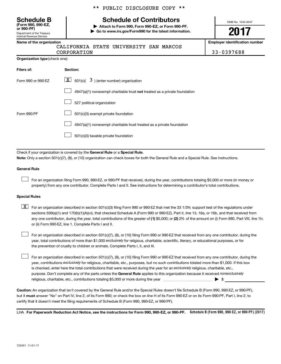Department of the Treasury **(Form 990, 990-EZ,**

| Department of the Treasury |  |
|----------------------------|--|
| Internal Revenue Service   |  |
|                            |  |

#### \*\* PUBLIC DISCLOSURE COPY \*\*

#### **Schedule B Schedule of Contributors**

**or 990-PF) | Attach to Form 990, Form 990-EZ, or Form 990-PF. | Go to www.irs.gov/Form990 for the latest information.** OMB No. 1545-0047

### **2017**

**Name of the organization Employer identification number**

| -- |    |
|----|----|
|    | CA |

CALIFORNIA STATE UNIVERSITY SAN MARCOS

CORPORATION 33-0397688

| Organization type (check one): |  |  |
|--------------------------------|--|--|
|                                |  |  |

| Filers of:         | Section:                                                                           |
|--------------------|------------------------------------------------------------------------------------|
| Form 990 or 990-EZ | $ \underline{X} $ 501(c)( 3) (enter number) organization                           |
|                    | $4947(a)(1)$ nonexempt charitable trust <b>not</b> treated as a private foundation |
|                    | 527 political organization                                                         |
| Form 990-PF        | 501(c)(3) exempt private foundation                                                |
|                    | 4947(a)(1) nonexempt charitable trust treated as a private foundation              |
|                    | 501(c)(3) taxable private foundation                                               |

Check if your organization is covered by the General Rule or a Special Rule.

**Note:**  Only a section 501(c)(7), (8), or (10) organization can check boxes for both the General Rule and a Special Rule. See instructions.

#### **General Rule**

 $\Box$ 

For an organization filing Form 990, 990-EZ, or 990-PF that received, during the year, contributions totaling \$5,000 or more (in money or property) from any one contributor. Complete Parts I and II. See instructions for determining a contributor's total contributions.

#### **Special Rules**

any one contributor, during the year, total contributions of the greater of (1) \$5,000; or (2) 2% of the amount on (i) Form 990, Part VIII, line 1h;  $\boxed{\text{X}}$  For an organization described in section 501(c)(3) filing Form 990 or 990-EZ that met the 33 1/3% support test of the regulations under sections 509(a)(1) and 170(b)(1)(A)(vi), that checked Schedule A (Form 990 or 990-EZ), Part II, line 13, 16a, or 16b, and that received from or (ii) Form 990-EZ, line 1. Complete Parts I and II.

year, total contributions of more than \$1,000 *exclusively* for religious, charitable, scientific, literary, or educational purposes, or for For an organization described in section 501(c)(7), (8), or (10) filing Form 990 or 990-EZ that received from any one contributor, during the the prevention of cruelty to children or animals. Complete Parts I, II, and III.  $\Box$ 

purpose. Don't complete any of the parts unless the General Rule applies to this organization because it received nonexclusively year, contributions exclusively for religious, charitable, etc., purposes, but no such contributions totaled more than \$1,000. If this box is checked, enter here the total contributions that were received during the year for an exclusively religious, charitable, etc., For an organization described in section 501(c)(7), (8), or (10) filing Form 990 or 990-EZ that received from any one contributor, during the religious, charitable, etc., contributions totaling \$5,000 or more during the year  $\ldots$  $\ldots$  $\ldots$  $\ldots$  $\ldots$  $\ldots$  $\Box$ 

**Caution:**  An organization that isn't covered by the General Rule and/or the Special Rules doesn't file Schedule B (Form 990, 990-EZ, or 990-PF),  **must** but it answer "No" on Part IV, line 2, of its Form 990; or check the box on line H of its Form 990-EZ or on its Form 990-PF, Part I, line 2, to certify that it doesn't meet the filing requirements of Schedule B (Form 990, 990-EZ, or 990-PF).

LHA For Paperwork Reduction Act Notice, see the instructions for Form 990, 990-EZ, or 990-PF. Schedule B (Form 990, 990-EZ, or 990-PF) (2017)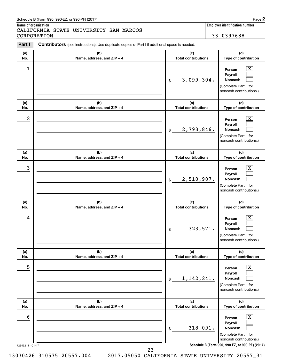#### Schedule B (Form 990, 990-EZ, or 990-PF) (2017)

**Name of organization Employer identification number** CALIFORNIA STATE UNIVERSITY SAN MARCOS CORPORATION 33-0397688

| (a)              | (b)                        | (c)                          | (d)                                                                                                                |
|------------------|----------------------------|------------------------------|--------------------------------------------------------------------------------------------------------------------|
| No.              | Name, address, and ZIP + 4 | <b>Total contributions</b>   | Type of contribution                                                                                               |
| 1                |                            | 3,099,304.<br>$\mathfrak{S}$ | $\boxed{\mathbf{X}}$<br>Person<br>Payroll<br><b>Noncash</b><br>(Complete Part II for<br>noncash contributions.)    |
| (a)              | (b)                        | (c)                          | (d)                                                                                                                |
| No.              | Name, address, and ZIP + 4 | <b>Total contributions</b>   | Type of contribution                                                                                               |
| $\boldsymbol{2}$ |                            | 2,793,846.<br>$\mathfrak{S}$ | $\mathbf{X}$<br>Person<br>Payroll<br><b>Noncash</b><br>(Complete Part II for<br>noncash contributions.)            |
| (a)              | (b)                        | (c)                          | (d)                                                                                                                |
| No.              | Name, address, and ZIP + 4 | <b>Total contributions</b>   | Type of contribution                                                                                               |
| 3                |                            | 2,510,907.<br>$\mathfrak{S}$ | $\overline{\mathbf{X}}$<br>Person<br>Payroll<br><b>Noncash</b><br>(Complete Part II for<br>noncash contributions.) |
| (a)              | (b)                        | (c)                          | (d)                                                                                                                |
| No.              | Name, address, and ZIP + 4 | <b>Total contributions</b>   | Type of contribution                                                                                               |
| 4                |                            | 323,571.<br>\$               | $\overline{\mathbf{X}}$<br>Person<br>Payroll<br><b>Noncash</b><br>(Complete Part II for<br>noncash contributions.) |
| (a)              | (b)                        | (c)                          | (d)                                                                                                                |
| No.              | Name, address, and ZIP + 4 | <b>Total contributions</b>   | Type of contribution                                                                                               |
| 5                |                            | 1, 142, 241.<br>\$           | $\overline{\text{X}}$<br>Person<br>Payroll<br><b>Noncash</b><br>(Complete Part II for<br>noncash contributions.)   |
| (a)              | (b)                        | (c)                          | (d)                                                                                                                |
| No.              | Name, address, and ZIP + 4 | <b>Total contributions</b>   | Type of contribution                                                                                               |
| 6                |                            | 318,091.<br>\$               | $\boxed{\text{X}}$<br>Person<br>Payroll<br><b>Noncash</b><br>(Complete Part II for<br>noncash contributions.)      |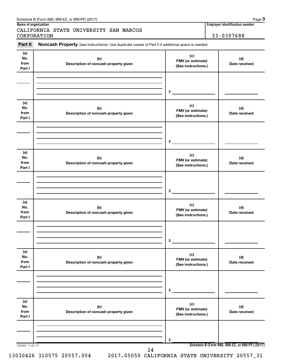| Part II                      | Noncash Property (see instructions). Use duplicate copies of Part II if additional space is needed. |                                                 |                                                 |
|------------------------------|-----------------------------------------------------------------------------------------------------|-------------------------------------------------|-------------------------------------------------|
| (a)<br>No.<br>from<br>Part I | (b)<br>Description of noncash property given                                                        | (c)<br>FMV (or estimate)<br>(See instructions.) | (d)<br>Date received                            |
|                              |                                                                                                     |                                                 |                                                 |
| (a)<br>No.                   | (b)                                                                                                 | \$<br>(c)<br>FMV (or estimate)                  | (d)                                             |
| from<br>Part I               | Description of noncash property given                                                               | (See instructions.)                             | Date received                                   |
|                              |                                                                                                     | \$                                              |                                                 |
| (a)<br>No.<br>from<br>Part I | (b)<br>Description of noncash property given                                                        | (c)<br>FMV (or estimate)<br>(See instructions.) | (d)<br>Date received                            |
|                              |                                                                                                     | \$                                              |                                                 |
| (a)<br>No.<br>from<br>Part I | (b)<br>Description of noncash property given                                                        | (c)<br>FMV (or estimate)<br>(See instructions.) | (d)<br>Date received                            |
|                              |                                                                                                     |                                                 |                                                 |
| (a)<br>No.<br>from<br>Part I | (b)<br>Description of noncash property given                                                        | (c)<br>FMV (or estimate)<br>(See instructions.) | (d)<br>Date received                            |
|                              |                                                                                                     | \$                                              |                                                 |
| (a)<br>No.<br>from<br>Part I | (b)<br>Description of noncash property given                                                        | (c)<br>FMV (or estimate)<br>(See instructions.) | (d)<br>Date received                            |
|                              |                                                                                                     |                                                 |                                                 |
| 723453 11-01-17              | 24                                                                                                  | \$                                              | Schedule B (Form 990, 990-EZ, or 990-PF) (2017) |

**Name of organization Employer identification number**

**3**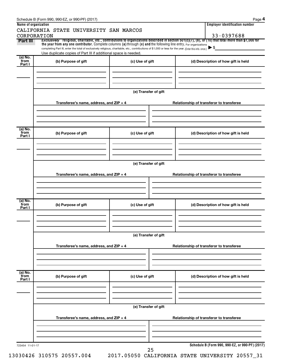|                         | CALIFORNIA STATE UNIVERSITY SAN MARCOS                                                                                                                                                                                                                                          |                      |  |                                          |  |  |  |
|-------------------------|---------------------------------------------------------------------------------------------------------------------------------------------------------------------------------------------------------------------------------------------------------------------------------|----------------------|--|------------------------------------------|--|--|--|
| CORPORATION<br>Part III | Exclusively religious, charitable, etc., contributions to organizations described in section $501(c)(7)$ , (8), or (10) that total more than \$1,000 for                                                                                                                        |                      |  | 33-0397688                               |  |  |  |
|                         | the year from any one contributor. Complete columns (a) through (e) and the following line entry. For organizations<br>completing Part III, enter the total of exclusively religious, charitable, etc., contributions of \$1,000 or less for the year. (Enter this info. once.) |                      |  | $\blacktriangleright$ \$                 |  |  |  |
|                         | Use duplicate copies of Part III if additional space is needed.                                                                                                                                                                                                                 |                      |  |                                          |  |  |  |
| (a) No.<br>from         | (b) Purpose of gift                                                                                                                                                                                                                                                             | (c) Use of gift      |  | (d) Description of how gift is held      |  |  |  |
| Part I                  |                                                                                                                                                                                                                                                                                 |                      |  |                                          |  |  |  |
|                         |                                                                                                                                                                                                                                                                                 |                      |  |                                          |  |  |  |
|                         |                                                                                                                                                                                                                                                                                 |                      |  |                                          |  |  |  |
|                         |                                                                                                                                                                                                                                                                                 | (e) Transfer of gift |  |                                          |  |  |  |
|                         |                                                                                                                                                                                                                                                                                 |                      |  |                                          |  |  |  |
|                         | Transferee's name, address, and ZIP + 4                                                                                                                                                                                                                                         |                      |  | Relationship of transferor to transferee |  |  |  |
|                         |                                                                                                                                                                                                                                                                                 |                      |  |                                          |  |  |  |
|                         |                                                                                                                                                                                                                                                                                 |                      |  |                                          |  |  |  |
| (a) No.<br>from         |                                                                                                                                                                                                                                                                                 |                      |  |                                          |  |  |  |
| Part I                  | (b) Purpose of gift                                                                                                                                                                                                                                                             | (c) Use of gift      |  | (d) Description of how gift is held      |  |  |  |
|                         |                                                                                                                                                                                                                                                                                 |                      |  |                                          |  |  |  |
|                         |                                                                                                                                                                                                                                                                                 |                      |  |                                          |  |  |  |
|                         |                                                                                                                                                                                                                                                                                 |                      |  |                                          |  |  |  |
|                         | (e) Transfer of gift                                                                                                                                                                                                                                                            |                      |  |                                          |  |  |  |
|                         | Transferee's name, address, and ZIP + 4                                                                                                                                                                                                                                         |                      |  | Relationship of transferor to transferee |  |  |  |
|                         |                                                                                                                                                                                                                                                                                 |                      |  |                                          |  |  |  |
|                         |                                                                                                                                                                                                                                                                                 |                      |  |                                          |  |  |  |
| (a) No.                 |                                                                                                                                                                                                                                                                                 |                      |  | (d) Description of how gift is held      |  |  |  |
| from<br>Part I          | (b) Purpose of gift                                                                                                                                                                                                                                                             | (c) Use of gift      |  |                                          |  |  |  |
|                         |                                                                                                                                                                                                                                                                                 |                      |  |                                          |  |  |  |
|                         |                                                                                                                                                                                                                                                                                 |                      |  |                                          |  |  |  |
|                         |                                                                                                                                                                                                                                                                                 | (e) Transfer of gift |  |                                          |  |  |  |
|                         |                                                                                                                                                                                                                                                                                 |                      |  |                                          |  |  |  |
|                         | Transferee's name, address, and ZIP + 4                                                                                                                                                                                                                                         |                      |  | Relationship of transferor to transferee |  |  |  |
|                         |                                                                                                                                                                                                                                                                                 |                      |  |                                          |  |  |  |
|                         |                                                                                                                                                                                                                                                                                 |                      |  |                                          |  |  |  |
| (a) No.<br>from         |                                                                                                                                                                                                                                                                                 |                      |  |                                          |  |  |  |
| Part I                  | (b) Purpose of gift                                                                                                                                                                                                                                                             | (c) Use of gift      |  | (d) Description of how gift is held      |  |  |  |
|                         |                                                                                                                                                                                                                                                                                 |                      |  |                                          |  |  |  |
|                         |                                                                                                                                                                                                                                                                                 |                      |  |                                          |  |  |  |
|                         | (e) Transfer of gift                                                                                                                                                                                                                                                            |                      |  |                                          |  |  |  |
|                         |                                                                                                                                                                                                                                                                                 |                      |  |                                          |  |  |  |
|                         | Transferee's name, address, and ZIP + 4                                                                                                                                                                                                                                         |                      |  | Relationship of transferor to transferee |  |  |  |
|                         |                                                                                                                                                                                                                                                                                 |                      |  |                                          |  |  |  |
|                         |                                                                                                                                                                                                                                                                                 |                      |  |                                          |  |  |  |
|                         |                                                                                                                                                                                                                                                                                 |                      |  |                                          |  |  |  |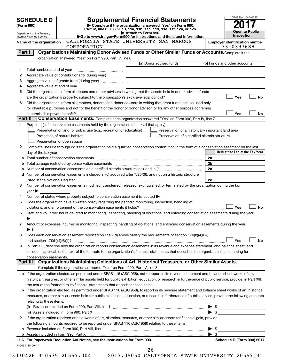|        |                                                                                                                                                                                                                                               |    | OMB No. 1545-0047                     |
|--------|-----------------------------------------------------------------------------------------------------------------------------------------------------------------------------------------------------------------------------------------------|----|---------------------------------------|
|        | <b>Supplemental Financial Statements</b><br><b>SCHEDULE D</b>                                                                                                                                                                                 |    |                                       |
|        | Complete if the organization answered "Yes" on Form 990,<br>(Form 990)<br>Part IV, line 6, 7, 8, 9, 10, 11a, 11b, 11c, 11d, 11e, 11f, 12a, or 12b.                                                                                            |    |                                       |
|        | Attach to Form 990.<br>Department of the Treasury<br>Go to www.irs.gov/Form990 for instructions and the latest information.<br>Internal Revenue Service                                                                                       |    | <b>Open to Public</b><br>Inspection   |
|        | CALIFORNIA STATE UNIVERSITY SAN MARCOS<br>Name of the organization                                                                                                                                                                            |    | <b>Employer identification number</b> |
|        | CORPORATION                                                                                                                                                                                                                                   |    | 33-0397688                            |
|        | Organizations Maintaining Donor Advised Funds or Other Similar Funds or Accounts. Complete if the<br>Part I                                                                                                                                   |    |                                       |
|        | organization answered "Yes" on Form 990, Part IV, line 6.                                                                                                                                                                                     |    |                                       |
|        | (a) Donor advised funds                                                                                                                                                                                                                       |    | (b) Funds and other accounts          |
| 1      |                                                                                                                                                                                                                                               |    |                                       |
| 2      | Aggregate value of contributions to (during year)                                                                                                                                                                                             |    |                                       |
| 3<br>4 | Aggregate value of grants from (during year)                                                                                                                                                                                                  |    |                                       |
| 5      | Did the organization inform all donors and donor advisors in writing that the assets held in donor advised funds                                                                                                                              |    |                                       |
|        |                                                                                                                                                                                                                                               |    | Yes<br><b>No</b>                      |
| 6      | Did the organization inform all grantees, donors, and donor advisors in writing that grant funds can be used only                                                                                                                             |    |                                       |
|        | for charitable purposes and not for the benefit of the donor or donor advisor, or for any other purpose conferring                                                                                                                            |    |                                       |
|        | impermissible private benefit?                                                                                                                                                                                                                |    | Yes<br>No                             |
|        | Part II<br>Conservation Easements. Complete if the organization answered "Yes" on Form 990, Part IV, line 7.                                                                                                                                  |    |                                       |
| 1.     | Purpose(s) of conservation easements held by the organization (check all that apply).                                                                                                                                                         |    |                                       |
|        | Preservation of land for public use (e.g., recreation or education)<br>Preservation of a historically important land area                                                                                                                     |    |                                       |
|        | Protection of natural habitat<br>Preservation of a certified historic structure                                                                                                                                                               |    |                                       |
|        | Preservation of open space                                                                                                                                                                                                                    |    |                                       |
| 2      | Complete lines 2a through 2d if the organization held a qualified conservation contribution in the form of a conservation easement on the last                                                                                                |    | Held at the End of the Tax Year       |
|        | day of the tax year.                                                                                                                                                                                                                          | 2a |                                       |
| b      | Total acreage restricted by conservation easements                                                                                                                                                                                            | 2b |                                       |
| с      |                                                                                                                                                                                                                                               | 2c |                                       |
| d      | Number of conservation easements included in (c) acquired after 7/25/06, and not on a historic structure                                                                                                                                      |    |                                       |
|        |                                                                                                                                                                                                                                               | 2d |                                       |
| 3      | Number of conservation easements modified, transferred, released, extinguished, or terminated by the organization during the tax                                                                                                              |    |                                       |
|        | year                                                                                                                                                                                                                                          |    |                                       |
| 4      | Number of states where property subject to conservation easement is located >                                                                                                                                                                 |    |                                       |
| 5      | Does the organization have a written policy regarding the periodic monitoring, inspection, handling of                                                                                                                                        |    |                                       |
|        | violations, and enforcement of the conservation easements it holds?                                                                                                                                                                           |    | Yes<br><b>No</b>                      |
| 6      | Staff and volunteer hours devoted to monitoring, inspecting, handling of violations, and enforcing conservation easements during the year                                                                                                     |    |                                       |
| 7      | Amount of expenses incurred in monitoring, inspecting, handling of violations, and enforcing conservation easements during the year                                                                                                           |    |                                       |
|        | $\blacktriangleright$ \$                                                                                                                                                                                                                      |    |                                       |
| 8      | Does each conservation easement reported on line 2(d) above satisfy the requirements of section 170(h)(4)(B)(i)                                                                                                                               |    |                                       |
|        |                                                                                                                                                                                                                                               |    | Yes<br><b>No</b>                      |
| 9      | In Part XIII, describe how the organization reports conservation easements in its revenue and expense statement, and balance sheet, and                                                                                                       |    |                                       |
|        | include, if applicable, the text of the footnote to the organization's financial statements that describes the organization's accounting for                                                                                                  |    |                                       |
|        | conservation easements.                                                                                                                                                                                                                       |    |                                       |
|        | Organizations Maintaining Collections of Art, Historical Treasures, or Other Similar Assets.<br>Part III                                                                                                                                      |    |                                       |
|        | Complete if the organization answered "Yes" on Form 990, Part IV, line 8.                                                                                                                                                                     |    |                                       |
|        | 1a If the organization elected, as permitted under SFAS 116 (ASC 958), not to report in its revenue statement and balance sheet works of art,                                                                                                 |    |                                       |
|        | historical treasures, or other similar assets held for public exhibition, education, or research in furtherance of public service, provide, in Part XIII,<br>the text of the footnote to its financial statements that describes these items. |    |                                       |
| b      | If the organization elected, as permitted under SFAS 116 (ASC 958), to report in its revenue statement and balance sheet works of art, historical                                                                                             |    |                                       |
|        | treasures, or other similar assets held for public exhibition, education, or research in furtherance of public service, provide the following amounts                                                                                         |    |                                       |
|        | relating to these items:                                                                                                                                                                                                                      |    |                                       |
|        |                                                                                                                                                                                                                                               |    |                                       |
|        | (ii) Assets included in Form 990, Part X [11] Marson Marson Marson Marson Marson Marson Marson Marson Marson M                                                                                                                                |    |                                       |
| 2      | If the organization received or held works of art, historical treasures, or other similar assets for financial gain, provide                                                                                                                  |    |                                       |
|        | the following amounts required to be reported under SFAS 116 (ASC 958) relating to these items:                                                                                                                                               |    |                                       |
| а      |                                                                                                                                                                                                                                               |    | SS.                                   |
|        |                                                                                                                                                                                                                                               |    | \$                                    |
|        | LHA For Paperwork Reduction Act Notice, see the Instructions for Form 990.                                                                                                                                                                    |    | Schedule D (Form 990) 2017            |
|        | 732051 10-09-17                                                                                                                                                                                                                               |    |                                       |

13030426 310575 20557.004 2017.05050 CALIFORNIA STATE UNIVERSITY 20557\_31

26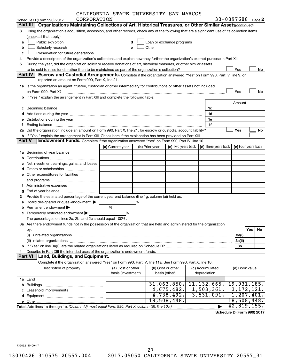|               |                                                                                                                                                                                                                                | CALIFORNIA STATE UNIVERSITY SAN MARCOS |   |                |                           |                                                 |                     |           |
|---------------|--------------------------------------------------------------------------------------------------------------------------------------------------------------------------------------------------------------------------------|----------------------------------------|---|----------------|---------------------------|-------------------------------------------------|---------------------|-----------|
|               | CORPORATION<br>Schedule D (Form 990) 2017                                                                                                                                                                                      |                                        |   |                |                           |                                                 | 33-0397688 Page 2   |           |
|               | Part III<br>Organizations Maintaining Collections of Art, Historical Treasures, or Other Similar Assets (continued)                                                                                                            |                                        |   |                |                           |                                                 |                     |           |
| З             | Using the organization's acquisition, accession, and other records, check any of the following that are a significant use of its collection items                                                                              |                                        |   |                |                           |                                                 |                     |           |
|               | (check all that apply):                                                                                                                                                                                                        |                                        |   |                |                           |                                                 |                     |           |
| a             | Public exhibition                                                                                                                                                                                                              | d                                      |   |                | Loan or exchange programs |                                                 |                     |           |
| b             | Scholarly research                                                                                                                                                                                                             | е                                      |   | Other          |                           |                                                 |                     |           |
| c             | Preservation for future generations                                                                                                                                                                                            |                                        |   |                |                           |                                                 |                     |           |
| 4             | Provide a description of the organization's collections and explain how they further the organization's exempt purpose in Part XIII.                                                                                           |                                        |   |                |                           |                                                 |                     |           |
| 5             | During the year, did the organization solicit or receive donations of art, historical treasures, or other similar assets                                                                                                       |                                        |   |                |                           |                                                 |                     |           |
|               |                                                                                                                                                                                                                                |                                        |   |                |                           |                                                 | Yes                 | No        |
|               | Part IV<br>Escrow and Custodial Arrangements. Complete if the organization answered "Yes" on Form 990, Part IV, line 9, or                                                                                                     |                                        |   |                |                           |                                                 |                     |           |
|               | reported an amount on Form 990, Part X, line 21.                                                                                                                                                                               |                                        |   |                |                           |                                                 |                     |           |
|               | 1a Is the organization an agent, trustee, custodian or other intermediary for contributions or other assets not included                                                                                                       |                                        |   |                |                           |                                                 |                     |           |
|               | on Form 990, Part X? [11] matter continuum matter contract to the contract of the contract of the contract of the contract of the contract of the contract of the contract of the contract of the contract of the contract of  |                                        |   |                |                           |                                                 | Yes                 | <b>No</b> |
|               | b If "Yes," explain the arrangement in Part XIII and complete the following table:                                                                                                                                             |                                        |   |                |                           |                                                 |                     |           |
|               |                                                                                                                                                                                                                                |                                        |   |                |                           |                                                 | Amount              |           |
|               |                                                                                                                                                                                                                                |                                        |   |                |                           |                                                 |                     |           |
|               | c Beginning balance measurements and the contract of Beginning balance measurements are all the contract of the contract of the contract of the contract of the contract of the contract of the contract of the contract of th |                                        |   |                |                           | 1c                                              |                     |           |
|               |                                                                                                                                                                                                                                |                                        |   |                |                           | 1d                                              |                     |           |
|               | e Distributions during the year manufactured and contained and contained and the year manufactured and contained and the year manufactured and contained and contained and contained and contained and contained and contained |                                        |   |                |                           | 1e                                              |                     |           |
|               |                                                                                                                                                                                                                                |                                        |   |                |                           | 1f                                              |                     |           |
|               | 2a Did the organization include an amount on Form 990, Part X, line 21, for escrow or custodial account liability?                                                                                                             |                                        |   |                |                           |                                                 | Yes                 | No        |
|               | b If "Yes," explain the arrangement in Part XIII. Check here if the explanation has been provided on Part XIII                                                                                                                 |                                        |   |                |                           |                                                 |                     |           |
| <b>Part V</b> | Endowment Funds. Complete if the organization answered "Yes" on Form 990, Part IV, line 10.                                                                                                                                    |                                        |   |                |                           |                                                 |                     |           |
|               |                                                                                                                                                                                                                                | (a) Current year                       |   | (b) Prior year |                           | (c) Two years back $\vert$ (d) Three years back | (e) Four years back |           |
|               | 1a Beginning of year balance                                                                                                                                                                                                   |                                        |   |                |                           |                                                 |                     |           |
|               |                                                                                                                                                                                                                                |                                        |   |                |                           |                                                 |                     |           |
|               | <b>c</b> Net investment earnings, gains, and losses                                                                                                                                                                            |                                        |   |                |                           |                                                 |                     |           |
|               |                                                                                                                                                                                                                                |                                        |   |                |                           |                                                 |                     |           |
|               | <b>e</b> Other expenditures for facilities                                                                                                                                                                                     |                                        |   |                |                           |                                                 |                     |           |
|               |                                                                                                                                                                                                                                |                                        |   |                |                           |                                                 |                     |           |
|               |                                                                                                                                                                                                                                |                                        |   |                |                           |                                                 |                     |           |
|               |                                                                                                                                                                                                                                |                                        |   |                |                           |                                                 |                     |           |
| g             |                                                                                                                                                                                                                                |                                        |   |                |                           |                                                 |                     |           |
| 2.            | Provide the estimated percentage of the current year end balance (line 1g, column (a)) held as:                                                                                                                                |                                        |   |                |                           |                                                 |                     |           |
| a             | Board designated or quasi-endowment                                                                                                                                                                                            |                                        | % |                |                           |                                                 |                     |           |
|               | <b>b</b> Permanent endowment $\blacktriangleright$                                                                                                                                                                             | %                                      |   |                |                           |                                                 |                     |           |
|               | <b>c</b> Temporarily restricted endowment $\blacktriangleright$                                                                                                                                                                | %                                      |   |                |                           |                                                 |                     |           |
|               | The percentages on lines 2a, 2b, and 2c should equal 100%                                                                                                                                                                      |                                        |   |                |                           |                                                 |                     |           |
|               | 3a Are there endowment funds not in the possession of the organization that are held and administered for the organization                                                                                                     |                                        |   |                |                           |                                                 |                     |           |
|               | by:                                                                                                                                                                                                                            |                                        |   |                |                           |                                                 |                     | Yes<br>No |
|               |                                                                                                                                                                                                                                |                                        |   |                |                           |                                                 | 3a(i)               |           |
|               |                                                                                                                                                                                                                                |                                        |   |                |                           |                                                 | 3a(ii)              |           |
|               |                                                                                                                                                                                                                                |                                        |   |                |                           |                                                 | 3b                  |           |
| 4             | Describe in Part XIII the intended uses of the organization's endowment funds.                                                                                                                                                 |                                        |   |                |                           |                                                 |                     |           |
|               | Land, Buildings, and Equipment.<br>Part VI                                                                                                                                                                                     |                                        |   |                |                           |                                                 |                     |           |
|               | Complete if the organization answered "Yes" on Form 990, Part IV, line 11a. See Form 990, Part X, line 10.                                                                                                                     |                                        |   |                |                           |                                                 |                     |           |
|               | Description of property                                                                                                                                                                                                        | (a) Cost or other                      |   |                | (b) Cost or other         | (c) Accumulated                                 | (d) Book value      |           |
|               |                                                                                                                                                                                                                                | basis (investment)                     |   |                | basis (other)             | depreciation                                    |                     |           |
|               |                                                                                                                                                                                                                                |                                        |   |                |                           |                                                 |                     |           |
|               |                                                                                                                                                                                                                                |                                        |   |                | 31,063,850.               | 11, 132, 665.                                   | 19,931,185.         |           |
|               |                                                                                                                                                                                                                                |                                        |   |                | 4,675,482.                | 1,503,361.                                      | 3, 172, 121.        |           |
|               |                                                                                                                                                                                                                                |                                        |   |                | 4,738,492.                | 3,531,091.                                      | 1,207,401.          |           |
|               |                                                                                                                                                                                                                                |                                        |   |                | 18,508,448.               |                                                 | 18,508,448.         |           |
|               | e Other.                                                                                                                                                                                                                       |                                        |   |                |                           |                                                 | 42,819,155.         |           |
|               | Total. Add lines 1a through 1e. (Column (d) must equal Form 990, Part X, column (B), line 10c.)                                                                                                                                |                                        |   |                |                           |                                                 |                     |           |

**Schedule D (Form 990) 2017**

732052 10-09-17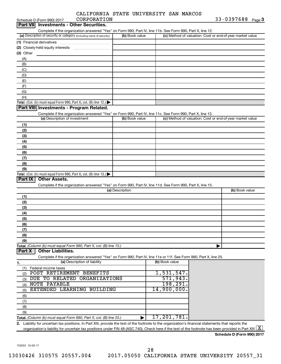|              |  | CALIFORNIA STATE UNIVERSITY SAN MARCOS |  |  |  |  |  |  |
|--------------|--|----------------------------------------|--|--|--|--|--|--|
| ------------ |  |                                        |  |  |  |  |  |  |

| CORPORATION<br>Schedule D (Form 990) 2017                                                                                                            |                       |                | $33 - 0397688$ Page 3                                     |
|------------------------------------------------------------------------------------------------------------------------------------------------------|-----------------------|----------------|-----------------------------------------------------------|
| Part VII Investments - Other Securities.                                                                                                             |                       |                |                                                           |
| Complete if the organization answered "Yes" on Form 990, Part IV, line 11b. See Form 990, Part X, line 12.                                           |                       |                |                                                           |
| (a) Description of security or category (including name of security)                                                                                 | (b) Book value        |                | (c) Method of valuation: Cost or end-of-year market value |
|                                                                                                                                                      |                       |                |                                                           |
|                                                                                                                                                      |                       |                |                                                           |
| (3) Other                                                                                                                                            |                       |                |                                                           |
| (A)                                                                                                                                                  |                       |                |                                                           |
| (B)                                                                                                                                                  |                       |                |                                                           |
| (C)                                                                                                                                                  |                       |                |                                                           |
| (D)                                                                                                                                                  |                       |                |                                                           |
| (E)                                                                                                                                                  |                       |                |                                                           |
|                                                                                                                                                      |                       |                |                                                           |
| (F)                                                                                                                                                  |                       |                |                                                           |
| (G)                                                                                                                                                  |                       |                |                                                           |
| (H)                                                                                                                                                  |                       |                |                                                           |
| Total. (Col. (b) must equal Form 990, Part X, col. (B) line 12.)                                                                                     |                       |                |                                                           |
| Part VIII Investments - Program Related.                                                                                                             |                       |                |                                                           |
| Complete if the organization answered "Yes" on Form 990, Part IV, line 11c. See Form 990, Part X, line 13.                                           |                       |                |                                                           |
| (a) Description of investment                                                                                                                        | (b) Book value        |                | (c) Method of valuation: Cost or end-of-year market value |
| (1)                                                                                                                                                  |                       |                |                                                           |
| (2)                                                                                                                                                  |                       |                |                                                           |
| (3)                                                                                                                                                  |                       |                |                                                           |
| (4)                                                                                                                                                  |                       |                |                                                           |
| (5)                                                                                                                                                  |                       |                |                                                           |
| (6)                                                                                                                                                  |                       |                |                                                           |
| (7)                                                                                                                                                  |                       |                |                                                           |
| (8)                                                                                                                                                  |                       |                |                                                           |
| (9)                                                                                                                                                  |                       |                |                                                           |
| Total. (Col. (b) must equal Form 990, Part X, col. (B) line 13.) $\blacktriangleright$                                                               |                       |                |                                                           |
| Part IX<br><b>Other Assets.</b>                                                                                                                      |                       |                |                                                           |
| Complete if the organization answered "Yes" on Form 990, Part IV, line 11d. See Form 990, Part X, line 15.                                           |                       |                |                                                           |
|                                                                                                                                                      | (a) Description       |                | (b) Book value                                            |
| (1)                                                                                                                                                  |                       |                |                                                           |
| (2)                                                                                                                                                  |                       |                |                                                           |
| (3)                                                                                                                                                  |                       |                |                                                           |
| (4)                                                                                                                                                  |                       |                |                                                           |
| (5)                                                                                                                                                  |                       |                |                                                           |
| (6)                                                                                                                                                  |                       |                |                                                           |
|                                                                                                                                                      |                       |                |                                                           |
| (7)                                                                                                                                                  |                       |                |                                                           |
| (8)                                                                                                                                                  |                       |                |                                                           |
| (9)                                                                                                                                                  |                       |                |                                                           |
| Total. (Column (b) must equal Form 990, Part X, col. (B) line 15.).<br><b>Other Liabilities.</b>                                                     |                       |                |                                                           |
| Part X                                                                                                                                               |                       |                |                                                           |
| Complete if the organization answered "Yes" on Form 990, Part IV, line 11e or 11f. See Form 990, Part X, line 25.                                    |                       |                |                                                           |
| (a) Description of liability<br>1.                                                                                                                   |                       | (b) Book value |                                                           |
| (1) Federal income taxes                                                                                                                             |                       |                |                                                           |
| POST RETIREMENT BENEFITS<br>(2)                                                                                                                      |                       | 1,531,547.     |                                                           |
| DUE TO RELATED ORGANIZATIONS<br>(3)                                                                                                                  |                       | 571,943.       |                                                           |
| <b>NOTE PAYABLE</b><br>(4)                                                                                                                           |                       | 198,291.       |                                                           |
| EXTENDED LEARNING BUILDING<br>(5)                                                                                                                    |                       | 14,900,000.    |                                                           |
| (6)                                                                                                                                                  |                       |                |                                                           |
| (7)                                                                                                                                                  |                       |                |                                                           |
| (8)                                                                                                                                                  |                       |                |                                                           |
| (9)                                                                                                                                                  |                       |                |                                                           |
| Total. (Column (b) must equal Form 990, Part X, col. (B) line 25.)                                                                                   | $\blacktriangleright$ | 17,201,781.    |                                                           |
| 2. Liability for uncertain tax positions. In Part XIII, provide the text of the footnote to the organization's financial statements that reports the |                       |                |                                                           |
|                                                                                                                                                      |                       |                |                                                           |

organization's liability for uncertain tax positions under FIN 48 (ASC 740). Check here if the text of the footnote has been provided in Part XIII  $\boxed{\text{X}}$ 

**Schedule D (Form 990) 2017**

732053 10-09-17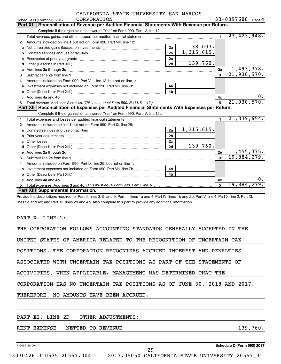|  | CALIFORNIA STATE UNIVERSITY SAN MARCOS |  |
|--|----------------------------------------|--|
|  |                                        |  |

|              | CORPORATION<br>Schedule D (Form 990) 2017                                                                      |                |            |                | 33-0397688 $_{Page 4}$ |
|--------------|----------------------------------------------------------------------------------------------------------------|----------------|------------|----------------|------------------------|
|              | Reconciliation of Revenue per Audited Financial Statements With Revenue per Return.<br><b>Part XI</b>          |                |            |                |                        |
|              | Complete if the organization answered "Yes" on Form 990, Part IV, line 12a.                                    |                |            |                |                        |
| 1            | Total revenue, gains, and other support per audited financial statements [[[[[[[[[[[[[[[[[[[[[[[[]]]]]]]]]]]]  |                |            | $\blacksquare$ | 23,423,948.            |
| $\mathbf{2}$ | Amounts included on line 1 but not on Form 990, Part VIII, line 12:                                            |                |            |                |                        |
| a            |                                                                                                                | 2a             | 38,003.    |                |                        |
| b            |                                                                                                                | 2 <sub>b</sub> | 1,315,615. |                |                        |
| C            | Recoveries of prior year grants [111] North Marconness Machines (1201) 1986                                    | 2c             |            |                |                        |
| d            |                                                                                                                | 2d             | 139,760.   |                |                        |
| e            | Add lines 2a through 2d                                                                                        |                |            | 2e             | 1,493,378.             |
| 3            |                                                                                                                |                |            | $\mathbf{a}$   | 21,930,570.            |
| 4            | Amounts included on Form 990. Part VIII. line 12, but not on line 1:                                           |                |            |                |                        |
| a            | Investment expenses not included on Form 990, Part VIII, line 7b []                                            | 4a l           |            |                |                        |
| b            |                                                                                                                | 4 <sub>h</sub> |            |                |                        |
|              | Add lines 4a and 4b                                                                                            |                |            | 4с             | 0.                     |
| 5.           |                                                                                                                |                |            | 5              | 21,930,570.            |
|              | Part XII   Reconciliation of Expenses per Audited Financial Statements With Expenses per Return.               |                |            |                |                        |
|              | Complete if the organization answered "Yes" on Form 990, Part IV, line 12a.                                    |                |            |                |                        |
| 1.           |                                                                                                                |                |            | $\blacksquare$ |                        |
| 2            |                                                                                                                |                |            |                | 21, 339, 654.          |
|              | Amounts included on line 1 but not on Form 990, Part IX, line 25:                                              |                |            |                |                        |
| a            |                                                                                                                | 2a             | 1,315,615. |                |                        |
| b            |                                                                                                                | 2 <sub>b</sub> |            |                |                        |
| C            |                                                                                                                | 2 <sub>c</sub> |            |                |                        |
| d            |                                                                                                                | 2d             | 139,760.   |                |                        |
| e            |                                                                                                                |                |            | 2e             | 1,455,375.             |
| З            |                                                                                                                |                |            | $\mathbf{a}$   | 19,884,279.            |
| 4            | Amounts included on Form 990, Part IX, line 25, but not on line 1:                                             |                |            |                |                        |
| a            | Investment expenses not included on Form 990, Part VIII, line 7b [100] [100] [100] [100] [100] [100] [100] [10 | 4a             |            |                |                        |
| b            |                                                                                                                | 4 <sub>h</sub> |            |                |                        |
|              | Add lines 4a and 4b                                                                                            |                |            | 4с             | 0.                     |
| 5            | Part XIII Supplemental Information.                                                                            |                |            | 5              | 19,884,279.            |

Provide the descriptions required for Part II, lines 3, 5, and 9; Part III, lines 1a and 4; Part IV, lines 1b and 2b; Part V, line 4; Part X, line 2; Part XI, lines 2d and 4b; and Part XII, lines 2d and 4b. Also complete this part to provide any additional information.

#### PART X, LINE 2:

| THE CORPORATION FOLLOWS ACCOUNTING STANDARDS GENERALLY ACCEPTED IN THE   |  |  |  |  |  |
|--------------------------------------------------------------------------|--|--|--|--|--|
| UNITED STATES OF AMERICA RELATED TO THE RECOGNITION OF UNCERTAIN TAX     |  |  |  |  |  |
| POSITIONS. THE CORPORATION RECOGNIZES ACCRUED INTEREST AND PENALTIES     |  |  |  |  |  |
| ASSOCIATED WITH UNCERTAIN TAX POSITIONS AS PART OF THE STATEMENTS OF     |  |  |  |  |  |
| ACTIVITIES, WHEN APPLICABLE. MANAGEMENT HAS DETERMINED THAT THE          |  |  |  |  |  |
| CORPORATION HAS NO UNCERTAIN TAX POSITIONS AS OF JUNE 30, 2018 AND 2017; |  |  |  |  |  |
| THEREFORE, NO AMOUNTS HAVE BEEN ACCRUED.                                 |  |  |  |  |  |
|                                                                          |  |  |  |  |  |
| PART XI, LINE 2D - OTHER ADJUSTMENTS:                                    |  |  |  |  |  |

RENT EXPENSE - NETTED TO REVENUE 139,760.

732054 10-09-17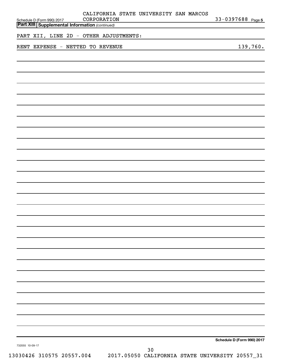| Schedule D (Form 990) 2017<br><b>Part XIII Supplemental Information (continued)</b> | CORPORATION | CALIFORNIA STATE UNIVERSITY SAN MARCOS | 33-0397688 Page 5          |
|-------------------------------------------------------------------------------------|-------------|----------------------------------------|----------------------------|
| PART XII, LINE 2D - OTHER ADJUSTMENTS:                                              |             |                                        |                            |
| RENT EXPENSE - NETTED TO REVENUE                                                    |             |                                        | 139,760.                   |
|                                                                                     |             |                                        |                            |
|                                                                                     |             |                                        |                            |
|                                                                                     |             |                                        |                            |
|                                                                                     |             |                                        |                            |
|                                                                                     |             |                                        |                            |
|                                                                                     |             |                                        |                            |
|                                                                                     |             |                                        |                            |
|                                                                                     |             |                                        |                            |
|                                                                                     |             |                                        |                            |
|                                                                                     |             |                                        |                            |
|                                                                                     |             |                                        |                            |
|                                                                                     |             |                                        |                            |
|                                                                                     |             |                                        |                            |
|                                                                                     |             |                                        |                            |
|                                                                                     |             |                                        |                            |
|                                                                                     |             |                                        |                            |
|                                                                                     |             |                                        |                            |
| 732055 10-09-17                                                                     |             | $30\,$                                 | Schedule D (Form 990) 2017 |

13030426 310575 20557.004 2017.05050 CALIFORNIA STATE UNIVERSITY 20557\_31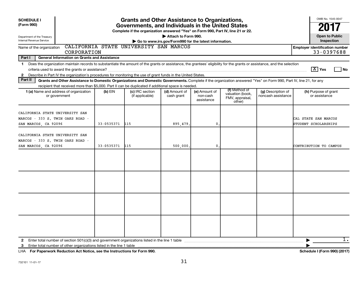| <b>Grants and Other Assistance to Organizations,</b><br><b>SCHEDULE I</b><br>(Form 990)<br>Governments, and Individuals in the United States<br>Complete if the organization answered "Yes" on Form 990, Part IV, line 21 or 22.                                                                               |            |                                        |                                                                              |                                         |                                                                |                                          |                                                     |  |
|----------------------------------------------------------------------------------------------------------------------------------------------------------------------------------------------------------------------------------------------------------------------------------------------------------------|------------|----------------------------------------|------------------------------------------------------------------------------|-----------------------------------------|----------------------------------------------------------------|------------------------------------------|-----------------------------------------------------|--|
| Department of the Treasury<br>Internal Revenue Service                                                                                                                                                                                                                                                         |            |                                        | Attach to Form 990.<br>Go to www.irs.gov/Form990 for the latest information. |                                         |                                                                |                                          | <b>Open to Public</b><br>Inspection                 |  |
| Name of the organization<br>CORPORATION                                                                                                                                                                                                                                                                        |            | CALIFORNIA STATE UNIVERSITY SAN MARCOS |                                                                              |                                         |                                                                |                                          | <b>Employer identification number</b><br>33-0397688 |  |
| Part I<br><b>General Information on Grants and Assistance</b>                                                                                                                                                                                                                                                  |            |                                        |                                                                              |                                         |                                                                |                                          |                                                     |  |
| Does the organization maintain records to substantiate the amount of the grants or assistance, the grantees' eligibility for the grants or assistance, and the selection<br>1<br>Describe in Part IV the organization's procedures for monitoring the use of grant funds in the United States.<br>$\mathbf{2}$ |            |                                        |                                                                              |                                         |                                                                |                                          | $\boxed{\text{X}}$ Yes<br>1 No                      |  |
| Part II<br>Grants and Other Assistance to Domestic Organizations and Domestic Governments. Complete if the organization answered "Yes" on Form 990, Part IV, line 21, for any                                                                                                                                  |            |                                        |                                                                              |                                         |                                                                |                                          |                                                     |  |
| recipient that received more than \$5,000. Part II can be duplicated if additional space is needed.<br>1 (a) Name and address of organization<br>or government                                                                                                                                                 | $(b)$ EIN  | (c) IRC section<br>(if applicable)     | (d) Amount of<br>cash grant                                                  | (e) Amount of<br>non-cash<br>assistance | (f) Method of<br>valuation (book,<br>FMV, appraisal,<br>other) | (g) Description of<br>noncash assistance | (h) Purpose of grant<br>or assistance               |  |
| CALIFORNIA STATE UNIVERSITY SAN<br>MARCOS - 333 S. TWIN OAKS ROAD -<br>SAN MARCOS, CA 92096                                                                                                                                                                                                                    | 33-0535371 | 115                                    | 895,479.                                                                     | $\mathbf{0}$ .                          |                                                                |                                          | CAL STATE SAN MARCOS<br>STUDENT SCHOLARSHIPS        |  |
| CALIFORNIA STATE UNIVERSITY SAN<br>MARCOS - 333 S. TWIN OAKS ROAD -<br>SAN MARCOS, CA 92096                                                                                                                                                                                                                    | 33-0535371 | 115                                    | 500,000,                                                                     | $\mathbf{0}$ .                          |                                                                |                                          | CONTRIBUTION TO CAMPUS                              |  |
|                                                                                                                                                                                                                                                                                                                |            |                                        |                                                                              |                                         |                                                                |                                          |                                                     |  |
|                                                                                                                                                                                                                                                                                                                |            |                                        |                                                                              |                                         |                                                                |                                          |                                                     |  |
|                                                                                                                                                                                                                                                                                                                |            |                                        |                                                                              |                                         |                                                                |                                          |                                                     |  |
|                                                                                                                                                                                                                                                                                                                |            |                                        |                                                                              |                                         |                                                                |                                          |                                                     |  |
| $\mathbf{2}$                                                                                                                                                                                                                                                                                                   |            |                                        |                                                                              |                                         |                                                                |                                          | 1.<br>▶                                             |  |

**For Paperwork Reduction Act Notice, see the Instructions for Form 990. Schedule I (Form 990) (2017)** LHA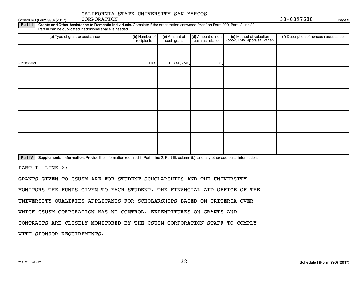Schedule I (Form 990) (2017) CORPORATION  $33-0397688$ CORPORATION

**2**

Part III | Grants and Other Assistance to Domestic Individuals. Complete if the organization answered "Yes" on Form 990, Part IV, line 22. Part III can be duplicated if additional space is needed.

| (a) Type of grant or assistance                                                                                      | (b) Number of<br>recipients | (c) Amount of<br>cash grant | (d) Amount of non-<br>cash assistance | (e) Method of valuation<br>(book, FMV, appraisal, other) | (f) Description of noncash assistance |
|----------------------------------------------------------------------------------------------------------------------|-----------------------------|-----------------------------|---------------------------------------|----------------------------------------------------------|---------------------------------------|
|                                                                                                                      |                             |                             |                                       |                                                          |                                       |
| STIPENDS                                                                                                             | 1835                        | 1,334,250.                  | $\mathbf{0}$ .                        |                                                          |                                       |
|                                                                                                                      |                             |                             |                                       |                                                          |                                       |
|                                                                                                                      |                             |                             |                                       |                                                          |                                       |
|                                                                                                                      |                             |                             |                                       |                                                          |                                       |
|                                                                                                                      |                             |                             |                                       |                                                          |                                       |
|                                                                                                                      |                             |                             |                                       |                                                          |                                       |
|                                                                                                                      |                             |                             |                                       |                                                          |                                       |
|                                                                                                                      |                             |                             |                                       |                                                          |                                       |
|                                                                                                                      |                             |                             |                                       |                                                          |                                       |
| <u>n indo i ilizin din dilizi di seria dollar anglia di seria di seria di seria di seria di seria di seria di se</u> |                             |                             |                                       |                                                          |                                       |

Part IV | Supplemental Information. Provide the information required in Part I, line 2; Part III, column (b); and any other additional information.

PART I, LINE 2:

GRANTS GIVEN TO CSUSM ARE FOR STUDENT SCHOLARSHIPS AND THE UNIVERSITY

MONITORS THE FUNDS GIVEN TO EACH STUDENT. THE FINANCIAL AID OFFICE OF THE

UNIVERSITY QUALIFIES APPLICANTS FOR SCHOLARSHIPS BASED ON CRITERIA OVER

WHICH CSUSM CORPORATION HAS NO CONTROL. EXPENDITURES ON GRANTS AND

CONTRACTS ARE CLOSELY MONITORED BY THE CSUSM CORPORATION STAFF TO COMPLY

WITH SPONSOR REQUIREMENTS.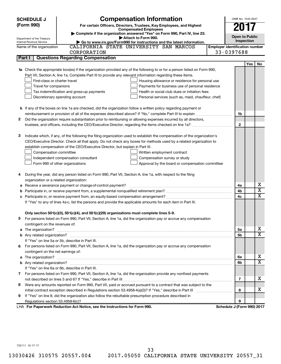| (Form 990)<br>For certain Officers, Directors, Trustees, Key Employees, and Highest<br><b>Compensated Employees</b><br>Complete if the organization answered "Yes" on Form 990, Part IV, line 23.<br><b>Open to Public</b><br>Attach to Form 990.<br>Department of the Treasury<br>Inspection<br>Go to www.irs.gov/Form990 for instructions and the latest information.<br>Internal Revenue Service<br>CALIFORNIA STATE UNIVERSITY SAN MARCOS<br><b>Employer identification number</b><br>Name of the organization<br>33-0397688<br>CORPORATION<br>Part I<br><b>Questions Regarding Compensation</b><br><b>Yes</b><br>No<br>1a Check the appropriate box(es) if the organization provided any of the following to or for a person listed on Form 990,<br>Part VII, Section A, line 1a. Complete Part III to provide any relevant information regarding these items.<br>First-class or charter travel<br>Housing allowance or residence for personal use<br>Travel for companions<br>Payments for business use of personal residence<br>Health or social club dues or initiation fees<br>Tax indemnification and gross-up payments<br>Discretionary spending account<br>Personal services (such as, maid, chauffeur, chef)<br><b>b</b> If any of the boxes on line 1a are checked, did the organization follow a written policy regarding payment or<br>1b<br>Did the organization require substantiation prior to reimbursing or allowing expenses incurred by all directors,<br>2<br>$\mathbf{2}$<br>З<br>Indicate which, if any, of the following the filing organization used to establish the compensation of the organization's<br>CEO/Executive Director. Check all that apply. Do not check any boxes for methods used by a related organization to<br>establish compensation of the CEO/Executive Director, but explain in Part III.<br>Compensation committee<br>Written employment contract<br>Independent compensation consultant<br>Compensation survey or study<br>Form 990 of other organizations<br>Approval by the board or compensation committee<br>During the year, did any person listed on Form 990, Part VII, Section A, line 1a, with respect to the filing<br>4<br>organization or a related organization:<br>х<br>Receive a severance payment or change-of-control payment?<br>4a<br>а<br>$\overline{\textbf{x}}$<br>4b<br>b<br>X<br>4c<br>c<br>If "Yes" to any of lines 4a-c, list the persons and provide the applicable amounts for each item in Part III.<br>Only section 501(c)(3), 501(c)(4), and 501(c)(29) organizations must complete lines 5-9.<br>For persons listed on Form 990, Part VII, Section A, line 1a, did the organization pay or accrue any compensation<br>contingent on the revenues of:<br>х<br>5a<br>X<br>5b<br>If "Yes" on line 5a or 5b, describe in Part III.<br>6 For persons listed on Form 990, Part VII, Section A, line 1a, did the organization pay or accrue any compensation<br>contingent on the net earnings of:<br>х<br>6a<br>X<br>6b<br>If "Yes" on line 6a or 6b, describe in Part III.<br>7 For persons listed on Form 990, Part VII, Section A, line 1a, did the organization provide any nonfixed payments<br>x<br>7<br>Were any amounts reported on Form 990, Part VII, paid or accrued pursuant to a contract that was subject to the<br>8<br>x<br>8<br>If "Yes" on line 8, did the organization also follow the rebuttable presumption procedure described in<br>9<br>9<br>LHA For Paperwork Reduction Act Notice, see the Instructions for Form 990.<br>Schedule J (Form 990) 2017 | <b>SCHEDULE J</b> | <b>Compensation Information</b> |  | OMB No. 1545-0047 |  |  |  |
|--------------------------------------------------------------------------------------------------------------------------------------------------------------------------------------------------------------------------------------------------------------------------------------------------------------------------------------------------------------------------------------------------------------------------------------------------------------------------------------------------------------------------------------------------------------------------------------------------------------------------------------------------------------------------------------------------------------------------------------------------------------------------------------------------------------------------------------------------------------------------------------------------------------------------------------------------------------------------------------------------------------------------------------------------------------------------------------------------------------------------------------------------------------------------------------------------------------------------------------------------------------------------------------------------------------------------------------------------------------------------------------------------------------------------------------------------------------------------------------------------------------------------------------------------------------------------------------------------------------------------------------------------------------------------------------------------------------------------------------------------------------------------------------------------------------------------------------------------------------------------------------------------------------------------------------------------------------------------------------------------------------------------------------------------------------------------------------------------------------------------------------------------------------------------------------------------------------------------------------------------------------------------------------------------------------------------------------------------------------------------------------------------------------------------------------------------------------------------------------------------------------------------------------------------------------------------------------------------------------------------------------------------------------------------------------------------------------------------------------------------------------------------------------------------------------------------------------------------------------------------------------------------------------------------------------------------------------------------------------------------------------------------------------------------------------------------------------------------------------------------------------------------------------------------------------------------------------------------------------------------------------------------------------------------------------------------------------------------------------------------------------------------------------------------------------------------------------------------------------------------------------------------------------------------------------|-------------------|---------------------------------|--|-------------------|--|--|--|
|                                                                                                                                                                                                                                                                                                                                                                                                                                                                                                                                                                                                                                                                                                                                                                                                                                                                                                                                                                                                                                                                                                                                                                                                                                                                                                                                                                                                                                                                                                                                                                                                                                                                                                                                                                                                                                                                                                                                                                                                                                                                                                                                                                                                                                                                                                                                                                                                                                                                                                                                                                                                                                                                                                                                                                                                                                                                                                                                                                                                                                                                                                                                                                                                                                                                                                                                                                                                                                                                                                                                                              |                   |                                 |  |                   |  |  |  |
|                                                                                                                                                                                                                                                                                                                                                                                                                                                                                                                                                                                                                                                                                                                                                                                                                                                                                                                                                                                                                                                                                                                                                                                                                                                                                                                                                                                                                                                                                                                                                                                                                                                                                                                                                                                                                                                                                                                                                                                                                                                                                                                                                                                                                                                                                                                                                                                                                                                                                                                                                                                                                                                                                                                                                                                                                                                                                                                                                                                                                                                                                                                                                                                                                                                                                                                                                                                                                                                                                                                                                              |                   |                                 |  |                   |  |  |  |
|                                                                                                                                                                                                                                                                                                                                                                                                                                                                                                                                                                                                                                                                                                                                                                                                                                                                                                                                                                                                                                                                                                                                                                                                                                                                                                                                                                                                                                                                                                                                                                                                                                                                                                                                                                                                                                                                                                                                                                                                                                                                                                                                                                                                                                                                                                                                                                                                                                                                                                                                                                                                                                                                                                                                                                                                                                                                                                                                                                                                                                                                                                                                                                                                                                                                                                                                                                                                                                                                                                                                                              |                   |                                 |  |                   |  |  |  |
|                                                                                                                                                                                                                                                                                                                                                                                                                                                                                                                                                                                                                                                                                                                                                                                                                                                                                                                                                                                                                                                                                                                                                                                                                                                                                                                                                                                                                                                                                                                                                                                                                                                                                                                                                                                                                                                                                                                                                                                                                                                                                                                                                                                                                                                                                                                                                                                                                                                                                                                                                                                                                                                                                                                                                                                                                                                                                                                                                                                                                                                                                                                                                                                                                                                                                                                                                                                                                                                                                                                                                              |                   |                                 |  |                   |  |  |  |
|                                                                                                                                                                                                                                                                                                                                                                                                                                                                                                                                                                                                                                                                                                                                                                                                                                                                                                                                                                                                                                                                                                                                                                                                                                                                                                                                                                                                                                                                                                                                                                                                                                                                                                                                                                                                                                                                                                                                                                                                                                                                                                                                                                                                                                                                                                                                                                                                                                                                                                                                                                                                                                                                                                                                                                                                                                                                                                                                                                                                                                                                                                                                                                                                                                                                                                                                                                                                                                                                                                                                                              |                   |                                 |  |                   |  |  |  |
|                                                                                                                                                                                                                                                                                                                                                                                                                                                                                                                                                                                                                                                                                                                                                                                                                                                                                                                                                                                                                                                                                                                                                                                                                                                                                                                                                                                                                                                                                                                                                                                                                                                                                                                                                                                                                                                                                                                                                                                                                                                                                                                                                                                                                                                                                                                                                                                                                                                                                                                                                                                                                                                                                                                                                                                                                                                                                                                                                                                                                                                                                                                                                                                                                                                                                                                                                                                                                                                                                                                                                              |                   |                                 |  |                   |  |  |  |
|                                                                                                                                                                                                                                                                                                                                                                                                                                                                                                                                                                                                                                                                                                                                                                                                                                                                                                                                                                                                                                                                                                                                                                                                                                                                                                                                                                                                                                                                                                                                                                                                                                                                                                                                                                                                                                                                                                                                                                                                                                                                                                                                                                                                                                                                                                                                                                                                                                                                                                                                                                                                                                                                                                                                                                                                                                                                                                                                                                                                                                                                                                                                                                                                                                                                                                                                                                                                                                                                                                                                                              |                   |                                 |  |                   |  |  |  |
|                                                                                                                                                                                                                                                                                                                                                                                                                                                                                                                                                                                                                                                                                                                                                                                                                                                                                                                                                                                                                                                                                                                                                                                                                                                                                                                                                                                                                                                                                                                                                                                                                                                                                                                                                                                                                                                                                                                                                                                                                                                                                                                                                                                                                                                                                                                                                                                                                                                                                                                                                                                                                                                                                                                                                                                                                                                                                                                                                                                                                                                                                                                                                                                                                                                                                                                                                                                                                                                                                                                                                              |                   |                                 |  |                   |  |  |  |
|                                                                                                                                                                                                                                                                                                                                                                                                                                                                                                                                                                                                                                                                                                                                                                                                                                                                                                                                                                                                                                                                                                                                                                                                                                                                                                                                                                                                                                                                                                                                                                                                                                                                                                                                                                                                                                                                                                                                                                                                                                                                                                                                                                                                                                                                                                                                                                                                                                                                                                                                                                                                                                                                                                                                                                                                                                                                                                                                                                                                                                                                                                                                                                                                                                                                                                                                                                                                                                                                                                                                                              |                   |                                 |  |                   |  |  |  |
|                                                                                                                                                                                                                                                                                                                                                                                                                                                                                                                                                                                                                                                                                                                                                                                                                                                                                                                                                                                                                                                                                                                                                                                                                                                                                                                                                                                                                                                                                                                                                                                                                                                                                                                                                                                                                                                                                                                                                                                                                                                                                                                                                                                                                                                                                                                                                                                                                                                                                                                                                                                                                                                                                                                                                                                                                                                                                                                                                                                                                                                                                                                                                                                                                                                                                                                                                                                                                                                                                                                                                              |                   |                                 |  |                   |  |  |  |
|                                                                                                                                                                                                                                                                                                                                                                                                                                                                                                                                                                                                                                                                                                                                                                                                                                                                                                                                                                                                                                                                                                                                                                                                                                                                                                                                                                                                                                                                                                                                                                                                                                                                                                                                                                                                                                                                                                                                                                                                                                                                                                                                                                                                                                                                                                                                                                                                                                                                                                                                                                                                                                                                                                                                                                                                                                                                                                                                                                                                                                                                                                                                                                                                                                                                                                                                                                                                                                                                                                                                                              |                   |                                 |  |                   |  |  |  |
|                                                                                                                                                                                                                                                                                                                                                                                                                                                                                                                                                                                                                                                                                                                                                                                                                                                                                                                                                                                                                                                                                                                                                                                                                                                                                                                                                                                                                                                                                                                                                                                                                                                                                                                                                                                                                                                                                                                                                                                                                                                                                                                                                                                                                                                                                                                                                                                                                                                                                                                                                                                                                                                                                                                                                                                                                                                                                                                                                                                                                                                                                                                                                                                                                                                                                                                                                                                                                                                                                                                                                              |                   |                                 |  |                   |  |  |  |
|                                                                                                                                                                                                                                                                                                                                                                                                                                                                                                                                                                                                                                                                                                                                                                                                                                                                                                                                                                                                                                                                                                                                                                                                                                                                                                                                                                                                                                                                                                                                                                                                                                                                                                                                                                                                                                                                                                                                                                                                                                                                                                                                                                                                                                                                                                                                                                                                                                                                                                                                                                                                                                                                                                                                                                                                                                                                                                                                                                                                                                                                                                                                                                                                                                                                                                                                                                                                                                                                                                                                                              |                   |                                 |  |                   |  |  |  |
|                                                                                                                                                                                                                                                                                                                                                                                                                                                                                                                                                                                                                                                                                                                                                                                                                                                                                                                                                                                                                                                                                                                                                                                                                                                                                                                                                                                                                                                                                                                                                                                                                                                                                                                                                                                                                                                                                                                                                                                                                                                                                                                                                                                                                                                                                                                                                                                                                                                                                                                                                                                                                                                                                                                                                                                                                                                                                                                                                                                                                                                                                                                                                                                                                                                                                                                                                                                                                                                                                                                                                              |                   |                                 |  |                   |  |  |  |
|                                                                                                                                                                                                                                                                                                                                                                                                                                                                                                                                                                                                                                                                                                                                                                                                                                                                                                                                                                                                                                                                                                                                                                                                                                                                                                                                                                                                                                                                                                                                                                                                                                                                                                                                                                                                                                                                                                                                                                                                                                                                                                                                                                                                                                                                                                                                                                                                                                                                                                                                                                                                                                                                                                                                                                                                                                                                                                                                                                                                                                                                                                                                                                                                                                                                                                                                                                                                                                                                                                                                                              |                   |                                 |  |                   |  |  |  |
|                                                                                                                                                                                                                                                                                                                                                                                                                                                                                                                                                                                                                                                                                                                                                                                                                                                                                                                                                                                                                                                                                                                                                                                                                                                                                                                                                                                                                                                                                                                                                                                                                                                                                                                                                                                                                                                                                                                                                                                                                                                                                                                                                                                                                                                                                                                                                                                                                                                                                                                                                                                                                                                                                                                                                                                                                                                                                                                                                                                                                                                                                                                                                                                                                                                                                                                                                                                                                                                                                                                                                              |                   |                                 |  |                   |  |  |  |
|                                                                                                                                                                                                                                                                                                                                                                                                                                                                                                                                                                                                                                                                                                                                                                                                                                                                                                                                                                                                                                                                                                                                                                                                                                                                                                                                                                                                                                                                                                                                                                                                                                                                                                                                                                                                                                                                                                                                                                                                                                                                                                                                                                                                                                                                                                                                                                                                                                                                                                                                                                                                                                                                                                                                                                                                                                                                                                                                                                                                                                                                                                                                                                                                                                                                                                                                                                                                                                                                                                                                                              |                   |                                 |  |                   |  |  |  |
|                                                                                                                                                                                                                                                                                                                                                                                                                                                                                                                                                                                                                                                                                                                                                                                                                                                                                                                                                                                                                                                                                                                                                                                                                                                                                                                                                                                                                                                                                                                                                                                                                                                                                                                                                                                                                                                                                                                                                                                                                                                                                                                                                                                                                                                                                                                                                                                                                                                                                                                                                                                                                                                                                                                                                                                                                                                                                                                                                                                                                                                                                                                                                                                                                                                                                                                                                                                                                                                                                                                                                              |                   |                                 |  |                   |  |  |  |
|                                                                                                                                                                                                                                                                                                                                                                                                                                                                                                                                                                                                                                                                                                                                                                                                                                                                                                                                                                                                                                                                                                                                                                                                                                                                                                                                                                                                                                                                                                                                                                                                                                                                                                                                                                                                                                                                                                                                                                                                                                                                                                                                                                                                                                                                                                                                                                                                                                                                                                                                                                                                                                                                                                                                                                                                                                                                                                                                                                                                                                                                                                                                                                                                                                                                                                                                                                                                                                                                                                                                                              |                   |                                 |  |                   |  |  |  |
|                                                                                                                                                                                                                                                                                                                                                                                                                                                                                                                                                                                                                                                                                                                                                                                                                                                                                                                                                                                                                                                                                                                                                                                                                                                                                                                                                                                                                                                                                                                                                                                                                                                                                                                                                                                                                                                                                                                                                                                                                                                                                                                                                                                                                                                                                                                                                                                                                                                                                                                                                                                                                                                                                                                                                                                                                                                                                                                                                                                                                                                                                                                                                                                                                                                                                                                                                                                                                                                                                                                                                              |                   |                                 |  |                   |  |  |  |
|                                                                                                                                                                                                                                                                                                                                                                                                                                                                                                                                                                                                                                                                                                                                                                                                                                                                                                                                                                                                                                                                                                                                                                                                                                                                                                                                                                                                                                                                                                                                                                                                                                                                                                                                                                                                                                                                                                                                                                                                                                                                                                                                                                                                                                                                                                                                                                                                                                                                                                                                                                                                                                                                                                                                                                                                                                                                                                                                                                                                                                                                                                                                                                                                                                                                                                                                                                                                                                                                                                                                                              |                   |                                 |  |                   |  |  |  |
|                                                                                                                                                                                                                                                                                                                                                                                                                                                                                                                                                                                                                                                                                                                                                                                                                                                                                                                                                                                                                                                                                                                                                                                                                                                                                                                                                                                                                                                                                                                                                                                                                                                                                                                                                                                                                                                                                                                                                                                                                                                                                                                                                                                                                                                                                                                                                                                                                                                                                                                                                                                                                                                                                                                                                                                                                                                                                                                                                                                                                                                                                                                                                                                                                                                                                                                                                                                                                                                                                                                                                              |                   |                                 |  |                   |  |  |  |
|                                                                                                                                                                                                                                                                                                                                                                                                                                                                                                                                                                                                                                                                                                                                                                                                                                                                                                                                                                                                                                                                                                                                                                                                                                                                                                                                                                                                                                                                                                                                                                                                                                                                                                                                                                                                                                                                                                                                                                                                                                                                                                                                                                                                                                                                                                                                                                                                                                                                                                                                                                                                                                                                                                                                                                                                                                                                                                                                                                                                                                                                                                                                                                                                                                                                                                                                                                                                                                                                                                                                                              |                   |                                 |  |                   |  |  |  |
|                                                                                                                                                                                                                                                                                                                                                                                                                                                                                                                                                                                                                                                                                                                                                                                                                                                                                                                                                                                                                                                                                                                                                                                                                                                                                                                                                                                                                                                                                                                                                                                                                                                                                                                                                                                                                                                                                                                                                                                                                                                                                                                                                                                                                                                                                                                                                                                                                                                                                                                                                                                                                                                                                                                                                                                                                                                                                                                                                                                                                                                                                                                                                                                                                                                                                                                                                                                                                                                                                                                                                              |                   |                                 |  |                   |  |  |  |
|                                                                                                                                                                                                                                                                                                                                                                                                                                                                                                                                                                                                                                                                                                                                                                                                                                                                                                                                                                                                                                                                                                                                                                                                                                                                                                                                                                                                                                                                                                                                                                                                                                                                                                                                                                                                                                                                                                                                                                                                                                                                                                                                                                                                                                                                                                                                                                                                                                                                                                                                                                                                                                                                                                                                                                                                                                                                                                                                                                                                                                                                                                                                                                                                                                                                                                                                                                                                                                                                                                                                                              |                   |                                 |  |                   |  |  |  |
|                                                                                                                                                                                                                                                                                                                                                                                                                                                                                                                                                                                                                                                                                                                                                                                                                                                                                                                                                                                                                                                                                                                                                                                                                                                                                                                                                                                                                                                                                                                                                                                                                                                                                                                                                                                                                                                                                                                                                                                                                                                                                                                                                                                                                                                                                                                                                                                                                                                                                                                                                                                                                                                                                                                                                                                                                                                                                                                                                                                                                                                                                                                                                                                                                                                                                                                                                                                                                                                                                                                                                              |                   |                                 |  |                   |  |  |  |
|                                                                                                                                                                                                                                                                                                                                                                                                                                                                                                                                                                                                                                                                                                                                                                                                                                                                                                                                                                                                                                                                                                                                                                                                                                                                                                                                                                                                                                                                                                                                                                                                                                                                                                                                                                                                                                                                                                                                                                                                                                                                                                                                                                                                                                                                                                                                                                                                                                                                                                                                                                                                                                                                                                                                                                                                                                                                                                                                                                                                                                                                                                                                                                                                                                                                                                                                                                                                                                                                                                                                                              |                   |                                 |  |                   |  |  |  |
|                                                                                                                                                                                                                                                                                                                                                                                                                                                                                                                                                                                                                                                                                                                                                                                                                                                                                                                                                                                                                                                                                                                                                                                                                                                                                                                                                                                                                                                                                                                                                                                                                                                                                                                                                                                                                                                                                                                                                                                                                                                                                                                                                                                                                                                                                                                                                                                                                                                                                                                                                                                                                                                                                                                                                                                                                                                                                                                                                                                                                                                                                                                                                                                                                                                                                                                                                                                                                                                                                                                                                              |                   |                                 |  |                   |  |  |  |
|                                                                                                                                                                                                                                                                                                                                                                                                                                                                                                                                                                                                                                                                                                                                                                                                                                                                                                                                                                                                                                                                                                                                                                                                                                                                                                                                                                                                                                                                                                                                                                                                                                                                                                                                                                                                                                                                                                                                                                                                                                                                                                                                                                                                                                                                                                                                                                                                                                                                                                                                                                                                                                                                                                                                                                                                                                                                                                                                                                                                                                                                                                                                                                                                                                                                                                                                                                                                                                                                                                                                                              |                   |                                 |  |                   |  |  |  |
|                                                                                                                                                                                                                                                                                                                                                                                                                                                                                                                                                                                                                                                                                                                                                                                                                                                                                                                                                                                                                                                                                                                                                                                                                                                                                                                                                                                                                                                                                                                                                                                                                                                                                                                                                                                                                                                                                                                                                                                                                                                                                                                                                                                                                                                                                                                                                                                                                                                                                                                                                                                                                                                                                                                                                                                                                                                                                                                                                                                                                                                                                                                                                                                                                                                                                                                                                                                                                                                                                                                                                              |                   |                                 |  |                   |  |  |  |
|                                                                                                                                                                                                                                                                                                                                                                                                                                                                                                                                                                                                                                                                                                                                                                                                                                                                                                                                                                                                                                                                                                                                                                                                                                                                                                                                                                                                                                                                                                                                                                                                                                                                                                                                                                                                                                                                                                                                                                                                                                                                                                                                                                                                                                                                                                                                                                                                                                                                                                                                                                                                                                                                                                                                                                                                                                                                                                                                                                                                                                                                                                                                                                                                                                                                                                                                                                                                                                                                                                                                                              |                   |                                 |  |                   |  |  |  |
|                                                                                                                                                                                                                                                                                                                                                                                                                                                                                                                                                                                                                                                                                                                                                                                                                                                                                                                                                                                                                                                                                                                                                                                                                                                                                                                                                                                                                                                                                                                                                                                                                                                                                                                                                                                                                                                                                                                                                                                                                                                                                                                                                                                                                                                                                                                                                                                                                                                                                                                                                                                                                                                                                                                                                                                                                                                                                                                                                                                                                                                                                                                                                                                                                                                                                                                                                                                                                                                                                                                                                              |                   |                                 |  |                   |  |  |  |
|                                                                                                                                                                                                                                                                                                                                                                                                                                                                                                                                                                                                                                                                                                                                                                                                                                                                                                                                                                                                                                                                                                                                                                                                                                                                                                                                                                                                                                                                                                                                                                                                                                                                                                                                                                                                                                                                                                                                                                                                                                                                                                                                                                                                                                                                                                                                                                                                                                                                                                                                                                                                                                                                                                                                                                                                                                                                                                                                                                                                                                                                                                                                                                                                                                                                                                                                                                                                                                                                                                                                                              |                   |                                 |  |                   |  |  |  |
|                                                                                                                                                                                                                                                                                                                                                                                                                                                                                                                                                                                                                                                                                                                                                                                                                                                                                                                                                                                                                                                                                                                                                                                                                                                                                                                                                                                                                                                                                                                                                                                                                                                                                                                                                                                                                                                                                                                                                                                                                                                                                                                                                                                                                                                                                                                                                                                                                                                                                                                                                                                                                                                                                                                                                                                                                                                                                                                                                                                                                                                                                                                                                                                                                                                                                                                                                                                                                                                                                                                                                              |                   |                                 |  |                   |  |  |  |
|                                                                                                                                                                                                                                                                                                                                                                                                                                                                                                                                                                                                                                                                                                                                                                                                                                                                                                                                                                                                                                                                                                                                                                                                                                                                                                                                                                                                                                                                                                                                                                                                                                                                                                                                                                                                                                                                                                                                                                                                                                                                                                                                                                                                                                                                                                                                                                                                                                                                                                                                                                                                                                                                                                                                                                                                                                                                                                                                                                                                                                                                                                                                                                                                                                                                                                                                                                                                                                                                                                                                                              |                   |                                 |  |                   |  |  |  |
|                                                                                                                                                                                                                                                                                                                                                                                                                                                                                                                                                                                                                                                                                                                                                                                                                                                                                                                                                                                                                                                                                                                                                                                                                                                                                                                                                                                                                                                                                                                                                                                                                                                                                                                                                                                                                                                                                                                                                                                                                                                                                                                                                                                                                                                                                                                                                                                                                                                                                                                                                                                                                                                                                                                                                                                                                                                                                                                                                                                                                                                                                                                                                                                                                                                                                                                                                                                                                                                                                                                                                              |                   |                                 |  |                   |  |  |  |
|                                                                                                                                                                                                                                                                                                                                                                                                                                                                                                                                                                                                                                                                                                                                                                                                                                                                                                                                                                                                                                                                                                                                                                                                                                                                                                                                                                                                                                                                                                                                                                                                                                                                                                                                                                                                                                                                                                                                                                                                                                                                                                                                                                                                                                                                                                                                                                                                                                                                                                                                                                                                                                                                                                                                                                                                                                                                                                                                                                                                                                                                                                                                                                                                                                                                                                                                                                                                                                                                                                                                                              |                   |                                 |  |                   |  |  |  |
|                                                                                                                                                                                                                                                                                                                                                                                                                                                                                                                                                                                                                                                                                                                                                                                                                                                                                                                                                                                                                                                                                                                                                                                                                                                                                                                                                                                                                                                                                                                                                                                                                                                                                                                                                                                                                                                                                                                                                                                                                                                                                                                                                                                                                                                                                                                                                                                                                                                                                                                                                                                                                                                                                                                                                                                                                                                                                                                                                                                                                                                                                                                                                                                                                                                                                                                                                                                                                                                                                                                                                              |                   |                                 |  |                   |  |  |  |
|                                                                                                                                                                                                                                                                                                                                                                                                                                                                                                                                                                                                                                                                                                                                                                                                                                                                                                                                                                                                                                                                                                                                                                                                                                                                                                                                                                                                                                                                                                                                                                                                                                                                                                                                                                                                                                                                                                                                                                                                                                                                                                                                                                                                                                                                                                                                                                                                                                                                                                                                                                                                                                                                                                                                                                                                                                                                                                                                                                                                                                                                                                                                                                                                                                                                                                                                                                                                                                                                                                                                                              |                   |                                 |  |                   |  |  |  |
|                                                                                                                                                                                                                                                                                                                                                                                                                                                                                                                                                                                                                                                                                                                                                                                                                                                                                                                                                                                                                                                                                                                                                                                                                                                                                                                                                                                                                                                                                                                                                                                                                                                                                                                                                                                                                                                                                                                                                                                                                                                                                                                                                                                                                                                                                                                                                                                                                                                                                                                                                                                                                                                                                                                                                                                                                                                                                                                                                                                                                                                                                                                                                                                                                                                                                                                                                                                                                                                                                                                                                              |                   |                                 |  |                   |  |  |  |
|                                                                                                                                                                                                                                                                                                                                                                                                                                                                                                                                                                                                                                                                                                                                                                                                                                                                                                                                                                                                                                                                                                                                                                                                                                                                                                                                                                                                                                                                                                                                                                                                                                                                                                                                                                                                                                                                                                                                                                                                                                                                                                                                                                                                                                                                                                                                                                                                                                                                                                                                                                                                                                                                                                                                                                                                                                                                                                                                                                                                                                                                                                                                                                                                                                                                                                                                                                                                                                                                                                                                                              |                   |                                 |  |                   |  |  |  |
|                                                                                                                                                                                                                                                                                                                                                                                                                                                                                                                                                                                                                                                                                                                                                                                                                                                                                                                                                                                                                                                                                                                                                                                                                                                                                                                                                                                                                                                                                                                                                                                                                                                                                                                                                                                                                                                                                                                                                                                                                                                                                                                                                                                                                                                                                                                                                                                                                                                                                                                                                                                                                                                                                                                                                                                                                                                                                                                                                                                                                                                                                                                                                                                                                                                                                                                                                                                                                                                                                                                                                              |                   |                                 |  |                   |  |  |  |
|                                                                                                                                                                                                                                                                                                                                                                                                                                                                                                                                                                                                                                                                                                                                                                                                                                                                                                                                                                                                                                                                                                                                                                                                                                                                                                                                                                                                                                                                                                                                                                                                                                                                                                                                                                                                                                                                                                                                                                                                                                                                                                                                                                                                                                                                                                                                                                                                                                                                                                                                                                                                                                                                                                                                                                                                                                                                                                                                                                                                                                                                                                                                                                                                                                                                                                                                                                                                                                                                                                                                                              |                   |                                 |  |                   |  |  |  |
|                                                                                                                                                                                                                                                                                                                                                                                                                                                                                                                                                                                                                                                                                                                                                                                                                                                                                                                                                                                                                                                                                                                                                                                                                                                                                                                                                                                                                                                                                                                                                                                                                                                                                                                                                                                                                                                                                                                                                                                                                                                                                                                                                                                                                                                                                                                                                                                                                                                                                                                                                                                                                                                                                                                                                                                                                                                                                                                                                                                                                                                                                                                                                                                                                                                                                                                                                                                                                                                                                                                                                              |                   |                                 |  |                   |  |  |  |
|                                                                                                                                                                                                                                                                                                                                                                                                                                                                                                                                                                                                                                                                                                                                                                                                                                                                                                                                                                                                                                                                                                                                                                                                                                                                                                                                                                                                                                                                                                                                                                                                                                                                                                                                                                                                                                                                                                                                                                                                                                                                                                                                                                                                                                                                                                                                                                                                                                                                                                                                                                                                                                                                                                                                                                                                                                                                                                                                                                                                                                                                                                                                                                                                                                                                                                                                                                                                                                                                                                                                                              |                   |                                 |  |                   |  |  |  |
|                                                                                                                                                                                                                                                                                                                                                                                                                                                                                                                                                                                                                                                                                                                                                                                                                                                                                                                                                                                                                                                                                                                                                                                                                                                                                                                                                                                                                                                                                                                                                                                                                                                                                                                                                                                                                                                                                                                                                                                                                                                                                                                                                                                                                                                                                                                                                                                                                                                                                                                                                                                                                                                                                                                                                                                                                                                                                                                                                                                                                                                                                                                                                                                                                                                                                                                                                                                                                                                                                                                                                              |                   |                                 |  |                   |  |  |  |
|                                                                                                                                                                                                                                                                                                                                                                                                                                                                                                                                                                                                                                                                                                                                                                                                                                                                                                                                                                                                                                                                                                                                                                                                                                                                                                                                                                                                                                                                                                                                                                                                                                                                                                                                                                                                                                                                                                                                                                                                                                                                                                                                                                                                                                                                                                                                                                                                                                                                                                                                                                                                                                                                                                                                                                                                                                                                                                                                                                                                                                                                                                                                                                                                                                                                                                                                                                                                                                                                                                                                                              |                   |                                 |  |                   |  |  |  |
|                                                                                                                                                                                                                                                                                                                                                                                                                                                                                                                                                                                                                                                                                                                                                                                                                                                                                                                                                                                                                                                                                                                                                                                                                                                                                                                                                                                                                                                                                                                                                                                                                                                                                                                                                                                                                                                                                                                                                                                                                                                                                                                                                                                                                                                                                                                                                                                                                                                                                                                                                                                                                                                                                                                                                                                                                                                                                                                                                                                                                                                                                                                                                                                                                                                                                                                                                                                                                                                                                                                                                              |                   |                                 |  |                   |  |  |  |
|                                                                                                                                                                                                                                                                                                                                                                                                                                                                                                                                                                                                                                                                                                                                                                                                                                                                                                                                                                                                                                                                                                                                                                                                                                                                                                                                                                                                                                                                                                                                                                                                                                                                                                                                                                                                                                                                                                                                                                                                                                                                                                                                                                                                                                                                                                                                                                                                                                                                                                                                                                                                                                                                                                                                                                                                                                                                                                                                                                                                                                                                                                                                                                                                                                                                                                                                                                                                                                                                                                                                                              |                   |                                 |  |                   |  |  |  |
|                                                                                                                                                                                                                                                                                                                                                                                                                                                                                                                                                                                                                                                                                                                                                                                                                                                                                                                                                                                                                                                                                                                                                                                                                                                                                                                                                                                                                                                                                                                                                                                                                                                                                                                                                                                                                                                                                                                                                                                                                                                                                                                                                                                                                                                                                                                                                                                                                                                                                                                                                                                                                                                                                                                                                                                                                                                                                                                                                                                                                                                                                                                                                                                                                                                                                                                                                                                                                                                                                                                                                              |                   |                                 |  |                   |  |  |  |
|                                                                                                                                                                                                                                                                                                                                                                                                                                                                                                                                                                                                                                                                                                                                                                                                                                                                                                                                                                                                                                                                                                                                                                                                                                                                                                                                                                                                                                                                                                                                                                                                                                                                                                                                                                                                                                                                                                                                                                                                                                                                                                                                                                                                                                                                                                                                                                                                                                                                                                                                                                                                                                                                                                                                                                                                                                                                                                                                                                                                                                                                                                                                                                                                                                                                                                                                                                                                                                                                                                                                                              |                   |                                 |  |                   |  |  |  |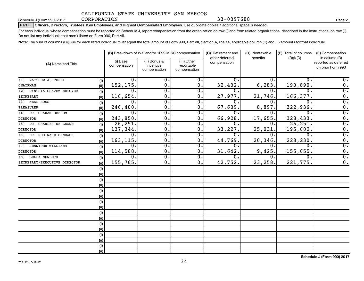#### CALIFORNIA STATE UNIVERSITY SAN MARCOS CORPORATION

Schedule J (Form 990) 2017 CORPORATION 33-0397688

Part II | Officers, Directors, Trustees, Key Employees, and Highest Compensated Employees. Use duplicate copies if additional space is needed.

For each individual whose compensation must be reported on Schedule J, report compensation from the organization on row (i) and from related organizations, described in the instructions, on row (ii). Do not list any individuals that aren't listed on Form 990, Part VII.

Note: The sum of columns (B)(i)-(iii) for each listed individual must equal the total amount of Form 990, Part VII, Section A, line 1a, applicable column (D) and (E) amounts for that individual.

|                               |      |                          | (B) Breakdown of W-2 and/or 1099-MISC compensation |                                           | (C) Retirement and<br>other deferred | (D) Nontaxable<br>benefits | (E) Total of columns | (F) Compensation<br>in column (B)         |  |
|-------------------------------|------|--------------------------|----------------------------------------------------|-------------------------------------------|--------------------------------------|----------------------------|----------------------|-------------------------------------------|--|
| (A) Name and Title            |      | (i) Base<br>compensation | (ii) Bonus &<br>incentive<br>compensation          | (iii) Other<br>reportable<br>compensation | compensation                         |                            | $(B)(i)-(D)$         | reported as deferred<br>on prior Form 990 |  |
| MATTHEW J. CEPPI<br>(1)       | (i)  | 0.                       | 0.                                                 | Ο.                                        | $\overline{0}$ .                     | 0.                         | Ω.                   | $0$ .                                     |  |
| CHAIRMAN                      | (ii) | 152, 175.                | $\mathbf 0$ .                                      | 0.                                        | 32,432.                              | 6, 283.                    | 190, 890.            | $\overline{0}$ .                          |  |
| CYNTHIA CHAVEZ METOYER<br>(2) | (i)  | 0.                       | $\mathbf 0$ .                                      | Ο.                                        | $\overline{0}$ .                     | Ω.                         | Ω.                   | $\overline{0}$ .                          |  |
| <b>SECRETARY</b>              | (ii) | 116,654.                 | $\mathbf 0$ .                                      | $\overline{0}$ .                          | 27,977.                              | 21,746.                    | 166,377.             | $\overline{0}$ .                          |  |
| (3) NEAL HOSS                 | (i)  | $\overline{0}$ .         | $\mathbf 0$ .                                      | Ο.                                        | 0.                                   | Ω.                         | 0.                   | $\overline{0}$ .                          |  |
| TREASURER                     | (ii) | 246, 400.                | $\mathbf 0$ .                                      | Ο.                                        | 67,639.                              | 8,897.                     | 322,936.             | $\overline{0}$ .                          |  |
| DR. GRAHAM OBEREM<br>(4)      | (i)  | 0.                       | $\mathbf 0$ .                                      | Ο.                                        | 0.                                   | Ω.                         | 0                    | $\overline{0}$ .                          |  |
| <b>DIRECTOR</b>               | (ii) | 243,850.                 | $\mathbf 0$ .                                      | Ο.                                        | 66,928.                              | 17,655.                    | 328, 433.            | $\overline{0}$ .                          |  |
| (5) DR. CHARLES DE LEONE      | (i)  | 26, 251.                 | $\mathbf 0$ .                                      | Ο.                                        | 0.                                   | 0.                         | 26, 251.             | $\overline{0}$ .                          |  |
| <b>DIRECTOR</b>               | (ii) | 137,344.                 | $\mathbf 0$ .                                      | Ο.                                        | 33,227.                              | 25,031                     | 195,602.             | $\overline{0}$ .                          |  |
| (6) DR. REGINA EISENBACH      | (i)  | 0.                       | $\mathbf 0$ .                                      | Ο.                                        | 0.                                   | 0.                         | Ω.                   | $\overline{0}$ .                          |  |
| <b>DIRECTOR</b>               | (ii) | 163, 115.                | $\overline{0}$                                     | Ο.                                        | 44,769.                              | 20, 346.                   | 228, 230.            | $\overline{0}$ .                          |  |
| JENNIFER WILLIAMS<br>(7)      | (i)  | Ο.                       | $\mathbf 0$ .                                      | Ο.                                        | О.                                   | 0.                         | Ω.                   | $\overline{0}$ .                          |  |
| <b>DIRECTOR</b>               | (ii) | 114,588.                 | $\overline{0}$                                     | Ο.                                        | 31,642.                              | 9,425.                     | 155,655.             | $\overline{0}$ .                          |  |
| <b>BELLA NEWBERG</b><br>(8)   | (i)  | 0.                       | $\mathbf 0$ .                                      | Ο.                                        | о.                                   | Ω.                         | 0.                   | $\overline{0}$ .                          |  |
| SECRETARY/EXECUTIVE DIRECTOR  | (ii) | 155, 765.                | 0.                                                 | 0.                                        | 42,752.                              | 23, 258.                   | 221,775.             | $\overline{0}$ .                          |  |
|                               | (i)  |                          |                                                    |                                           |                                      |                            |                      |                                           |  |
|                               | (ii) |                          |                                                    |                                           |                                      |                            |                      |                                           |  |
|                               | (i)  |                          |                                                    |                                           |                                      |                            |                      |                                           |  |
|                               | (ii) |                          |                                                    |                                           |                                      |                            |                      |                                           |  |
|                               | (i)  |                          |                                                    |                                           |                                      |                            |                      |                                           |  |
|                               | (ii) |                          |                                                    |                                           |                                      |                            |                      |                                           |  |
|                               | (i)  |                          |                                                    |                                           |                                      |                            |                      |                                           |  |
|                               | (ii) |                          |                                                    |                                           |                                      |                            |                      |                                           |  |
|                               | (i)  |                          |                                                    |                                           |                                      |                            |                      |                                           |  |
|                               | (ii) |                          |                                                    |                                           |                                      |                            |                      |                                           |  |
|                               | (i)  |                          |                                                    |                                           |                                      |                            |                      |                                           |  |
|                               | (ii) |                          |                                                    |                                           |                                      |                            |                      |                                           |  |
|                               | (i)  |                          |                                                    |                                           |                                      |                            |                      |                                           |  |
|                               | (ii) |                          |                                                    |                                           |                                      |                            |                      |                                           |  |
|                               | (i)  |                          |                                                    |                                           |                                      |                            |                      |                                           |  |
|                               | (ii) |                          |                                                    |                                           |                                      |                            |                      |                                           |  |

**2**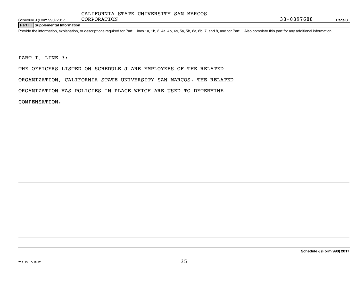Schedule J (Form 990) 2017 CORPORATION CORPORATION 33-0397688

#### **Part III Supplemental Information**

Provide the information, explanation, or descriptions required for Part I, lines 1a, 1b, 3, 4a, 4b, 4c, 5a, 5b, 6a, 6b, 7, and 8, and for Part II. Also complete this part for any additional information.

PART I, LINE 3:

THE OFFICERS LISTED ON SCHEDULE J ARE EMPLOYEES OF THE RELATED

CORPORATION

ORGANIZATION, CALIFORNIA STATE UNIVERSITY SAN MARCOS. THE RELATED

ORGANIZATION HAS POLICIES IN PLACE WHICH ARE USED TO DETERMINE

COMPENSATION.

**Schedule J (Form 990) 2017**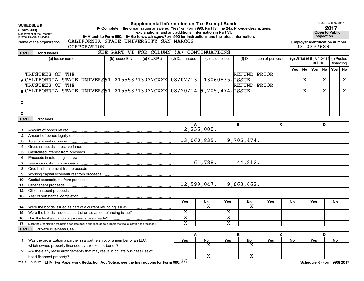|              | <b>Supplemental Information on Tax-Exempt Bonds</b><br><b>SCHEDULE K</b><br>Complete if the organization answered "Yes" on Form 990, Part IV, line 24a. Provide descriptions,<br>(Form 990)<br>explanations, and any additional information in Part VI.<br>Department of the Treasury<br>▶ Attach to Form 990. ♦ Go to www.irs.gov/Form990 for instructions and the latest information.<br>Internal Revenue Service<br>CALIFORNIA STATE UNIVERSITY SAN MARCOS |                                          |                 |                         |              |                         |                     |                            |    |          |                                                     | OMB No. 1545-0047<br><b>Open to Public</b><br>Inspection | 2017       |    |
|--------------|---------------------------------------------------------------------------------------------------------------------------------------------------------------------------------------------------------------------------------------------------------------------------------------------------------------------------------------------------------------------------------------------------------------------------------------------------------------|------------------------------------------|-----------------|-------------------------|--------------|-------------------------|---------------------|----------------------------|----|----------|-----------------------------------------------------|----------------------------------------------------------|------------|----|
|              | Name of the organization<br>CORPORATION                                                                                                                                                                                                                                                                                                                                                                                                                       |                                          |                 |                         |              |                         |                     |                            |    |          | <b>Employer identification number</b><br>33-0397688 |                                                          |            |    |
| Part I       | <b>Bond Issues</b>                                                                                                                                                                                                                                                                                                                                                                                                                                            | SEE PART VI FOR COLUMN (A) CONTINUATIONS |                 |                         |              |                         |                     |                            |    |          |                                                     |                                                          |            |    |
|              | (a) Issuer name                                                                                                                                                                                                                                                                                                                                                                                                                                               | (b) Issuer EIN                           | $(c)$ CUSIP $#$ | (d) Date issued         |              | (e) Issue price         |                     | (f) Description of purpose |    |          | (g) Defeased (h) On behalf                          |                                                          | (i) Pooled |    |
|              |                                                                                                                                                                                                                                                                                                                                                                                                                                                               |                                          |                 |                         |              |                         |                     |                            |    |          |                                                     | of issuer                                                | financing  |    |
|              |                                                                                                                                                                                                                                                                                                                                                                                                                                                               |                                          |                 |                         |              |                         |                     |                            |    | Yes   No | Yes   No                                            |                                                          | Yes        | No |
|              | TRUSTEES OF THE                                                                                                                                                                                                                                                                                                                                                                                                                                               |                                          |                 |                         |              |                         | <b>REFUND PRIOR</b> |                            |    |          |                                                     |                                                          |            |    |
|              | A CALIFORNIA STATE UNIVERS 91-2155587 13077 CXXX 08/07/13                                                                                                                                                                                                                                                                                                                                                                                                     |                                          |                 |                         |              |                         | 13060835.LSSUE      |                            |    | Χ        |                                                     | x                                                        |            | x  |
|              | TRUSTEES OF THE                                                                                                                                                                                                                                                                                                                                                                                                                                               |                                          |                 |                         |              |                         | REFUND PRIOR        |                            |    |          |                                                     |                                                          |            |    |
|              | B CALIFORNIA STATE UNIVERS 91-2155587 13077 CXXX 08/20/14 9,705,474. ISSUE                                                                                                                                                                                                                                                                                                                                                                                    |                                          |                 |                         |              |                         |                     |                            |    | х        |                                                     | x                                                        |            | X  |
|              |                                                                                                                                                                                                                                                                                                                                                                                                                                                               |                                          |                 |                         |              |                         |                     |                            |    |          |                                                     |                                                          |            |    |
| C            |                                                                                                                                                                                                                                                                                                                                                                                                                                                               |                                          |                 |                         |              |                         |                     |                            |    |          |                                                     |                                                          |            |    |
|              |                                                                                                                                                                                                                                                                                                                                                                                                                                                               |                                          |                 |                         |              |                         |                     |                            |    |          |                                                     |                                                          |            |    |
| D            |                                                                                                                                                                                                                                                                                                                                                                                                                                                               |                                          |                 |                         |              |                         |                     |                            |    |          |                                                     |                                                          |            |    |
| Part II      | <b>Proceeds</b>                                                                                                                                                                                                                                                                                                                                                                                                                                               |                                          |                 |                         |              |                         |                     |                            |    |          |                                                     |                                                          |            |    |
|              |                                                                                                                                                                                                                                                                                                                                                                                                                                                               |                                          |                 |                         |              |                         | В                   | C                          |    |          |                                                     | D                                                        |            |    |
| 1.           |                                                                                                                                                                                                                                                                                                                                                                                                                                                               |                                          |                 |                         | 2, 235, 000. |                         |                     |                            |    |          |                                                     |                                                          |            |    |
| $\mathbf{2}$ |                                                                                                                                                                                                                                                                                                                                                                                                                                                               |                                          |                 |                         |              |                         |                     |                            |    |          |                                                     |                                                          |            |    |
| 3            |                                                                                                                                                                                                                                                                                                                                                                                                                                                               |                                          |                 |                         | 13,060,835.  |                         | 9,705,474.          |                            |    |          |                                                     |                                                          |            |    |
| 4            |                                                                                                                                                                                                                                                                                                                                                                                                                                                               |                                          |                 |                         |              |                         |                     |                            |    |          |                                                     |                                                          |            |    |
| 5            | Capitalized interest from proceeds                                                                                                                                                                                                                                                                                                                                                                                                                            |                                          |                 |                         |              |                         |                     |                            |    |          |                                                     |                                                          |            |    |
| 6            | Proceeds in refunding escrows                                                                                                                                                                                                                                                                                                                                                                                                                                 |                                          |                 |                         |              |                         |                     |                            |    |          |                                                     |                                                          |            |    |
| 7            | Issuance costs from proceeds                                                                                                                                                                                                                                                                                                                                                                                                                                  |                                          |                 |                         | 61,788.      |                         | 44,812.             |                            |    |          |                                                     |                                                          |            |    |
| 8            | Credit enhancement from proceeds                                                                                                                                                                                                                                                                                                                                                                                                                              |                                          |                 |                         |              |                         |                     |                            |    |          |                                                     |                                                          |            |    |
| 9            |                                                                                                                                                                                                                                                                                                                                                                                                                                                               |                                          |                 |                         |              |                         |                     |                            |    |          |                                                     |                                                          |            |    |
| 10           |                                                                                                                                                                                                                                                                                                                                                                                                                                                               |                                          |                 |                         |              |                         |                     |                            |    |          |                                                     |                                                          |            |    |
| 11           | Other spent proceeds                                                                                                                                                                                                                                                                                                                                                                                                                                          |                                          |                 |                         | 12,999,047.  |                         | 9,660,662.          |                            |    |          |                                                     |                                                          |            |    |
| 12           | Other unspent proceeds                                                                                                                                                                                                                                                                                                                                                                                                                                        |                                          |                 |                         |              |                         |                     |                            |    |          |                                                     |                                                          |            |    |
| 13           |                                                                                                                                                                                                                                                                                                                                                                                                                                                               |                                          |                 |                         |              |                         |                     |                            |    |          |                                                     |                                                          |            |    |
|              |                                                                                                                                                                                                                                                                                                                                                                                                                                                               |                                          |                 | Yes                     | No           | Yes                     | No                  | <b>Yes</b>                 | No |          | <b>Yes</b>                                          |                                                          | No         |    |
| 14           | Were the bonds issued as part of a current refunding issue?                                                                                                                                                                                                                                                                                                                                                                                                   |                                          |                 |                         | х            |                         | х                   |                            |    |          |                                                     |                                                          |            |    |
| 15           |                                                                                                                                                                                                                                                                                                                                                                                                                                                               |                                          |                 | $\overline{\textbf{x}}$ |              | x                       |                     |                            |    |          |                                                     |                                                          |            |    |
| 16           |                                                                                                                                                                                                                                                                                                                                                                                                                                                               |                                          |                 | $\overline{\text{x}}$   |              | $\overline{\texttt{x}}$ |                     |                            |    |          |                                                     |                                                          |            |    |
| 17           | Does the organization maintain adequate books and records to support the final allocation of proceeds?                                                                                                                                                                                                                                                                                                                                                        |                                          |                 | $\overline{\text{x}}$   |              | $\overline{\texttt{x}}$ |                     |                            |    |          |                                                     |                                                          |            |    |
|              | Part III Private Business Use                                                                                                                                                                                                                                                                                                                                                                                                                                 |                                          |                 |                         |              |                         |                     |                            |    |          |                                                     |                                                          |            |    |
|              |                                                                                                                                                                                                                                                                                                                                                                                                                                                               |                                          |                 | A                       |              |                         | B                   | C                          |    |          |                                                     | D                                                        |            |    |
| 1.           | Was the organization a partner in a partnership, or a member of an LLC,                                                                                                                                                                                                                                                                                                                                                                                       |                                          |                 | Yes                     | No           | Yes                     | No                  | Yes                        | No |          | Yes                                                 |                                                          | No         |    |
|              |                                                                                                                                                                                                                                                                                                                                                                                                                                                               |                                          |                 |                         | X            |                         | X                   |                            |    |          |                                                     |                                                          |            |    |
| $\mathbf{2}$ | Are there any lease arrangements that may result in private business use of                                                                                                                                                                                                                                                                                                                                                                                   |                                          |                 |                         |              |                         |                     |                            |    |          |                                                     |                                                          |            |    |
|              |                                                                                                                                                                                                                                                                                                                                                                                                                                                               |                                          |                 |                         | x            |                         | X                   |                            |    |          |                                                     |                                                          |            |    |
|              | 732121 10-18-17 LHA For Paperwork Reduction Act Notice, see the Instructions for Form 990. 36                                                                                                                                                                                                                                                                                                                                                                 |                                          |                 |                         |              |                         |                     |                            |    |          | Schedule K (Form 990) 2017                          |                                                          |            |    |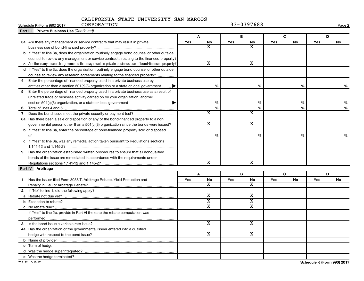#### CALIFORNIA STATE UNIVERSITY SAN MARCOS CORPORATION 33-0397688

| Schedule K (Form 990) 2017<br><b>CORPORATION</b>                                                                |     |                         |            | 33-039/688              |     |    |     | Page 2 |
|-----------------------------------------------------------------------------------------------------------------|-----|-------------------------|------------|-------------------------|-----|----|-----|--------|
| <b>Part III</b> Private Business Use (Continued)                                                                |     |                         |            |                         |     |    |     |        |
|                                                                                                                 |     | A                       |            | В                       |     | C  | D   |        |
| 3a Are there any management or service contracts that may result in private                                     | Yes | No                      | Yes        | No                      | Yes | No | Yes | No     |
|                                                                                                                 |     | х                       |            | x                       |     |    |     |        |
| <b>b</b> If "Yes" to line 3a, does the organization routinely engage bond counsel or other outside              |     |                         |            |                         |     |    |     |        |
| counsel to review any management or service contracts relating to the financed property?                        |     |                         |            |                         |     |    |     |        |
| $\epsilon$ Are there any research agreements that may result in private business use of bond-financed property? |     | $\overline{\texttt{x}}$ |            | $\overline{\texttt{x}}$ |     |    |     |        |
| d If "Yes" to line 3c, does the organization routinely engage bond counsel or other outside                     |     |                         |            |                         |     |    |     |        |
| counsel to review any research agreements relating to the financed property?                                    |     |                         |            |                         |     |    |     |        |
| Enter the percentage of financed property used in a private business use by<br>4                                |     |                         |            |                         |     |    |     |        |
| entities other than a section 501(c)(3) organization or a state or local government $\ldots$                    |     | %                       |            | %                       |     | %  |     | %      |
| 5<br>Enter the percentage of financed property used in a private business use as a result of                    |     |                         |            |                         |     |    |     |        |
| unrelated trade or business activity carried on by your organization, another                                   |     |                         |            |                         |     |    |     |        |
|                                                                                                                 |     | %                       |            | %                       |     | %  |     | %      |
| 6                                                                                                               |     | %                       |            | %                       |     | %  |     | %      |
| $\overline{7}$                                                                                                  |     | $\overline{\textbf{x}}$ |            | $\overline{\mathbf{X}}$ |     |    |     |        |
| 8a Has there been a sale or disposition of any of the bond-financed property to a non-                          |     |                         |            |                         |     |    |     |        |
| governmental person other than a 501(c)(3) organization since the bonds were issued?                            |     | $\mathbf X$             |            | X                       |     |    |     |        |
| <b>b</b> If "Yes" to line 8a, enter the percentage of bond-financed property sold or disposed                   |     |                         |            |                         |     |    |     |        |
|                                                                                                                 |     | %                       |            | %                       |     | %  |     | %      |
| c If "Yes" to line 8a, was any remedial action taken pursuant to Regulations sections                           |     |                         |            |                         |     |    |     |        |
|                                                                                                                 |     |                         |            |                         |     |    |     |        |
| Has the organization established written procedures to ensure that all nongualified<br>9                        |     |                         |            |                         |     |    |     |        |
| bonds of the issue are remediated in accordance with the requirements under                                     |     |                         |            |                         |     |    |     |        |
| Regulations sections 1.141-12 and 1.145-2?                                                                      |     | X.                      |            | x                       |     |    |     |        |
| Part IV Arbitrage                                                                                               |     |                         |            |                         |     |    |     |        |
|                                                                                                                 |     | A                       | B          |                         | C   |    | D   |        |
| Has the issuer filed Form 8038-T, Arbitrage Rebate, Yield Reduction and<br>1.                                   | Yes | <b>No</b>               | <b>Yes</b> | No                      | Yes | No | Yes | No     |
|                                                                                                                 |     | $\overline{\textbf{x}}$ |            | X                       |     |    |     |        |
|                                                                                                                 |     |                         |            |                         |     |    |     |        |
|                                                                                                                 |     | $\overline{\texttt{x}}$ |            | $\overline{\texttt{x}}$ |     |    |     |        |
|                                                                                                                 |     | $\overline{\textbf{x}}$ |            | $\overline{\texttt{x}}$ |     |    |     |        |
|                                                                                                                 |     | $\overline{\textbf{x}}$ |            | $\overline{\texttt{x}}$ |     |    |     |        |
| If "Yes" to line 2c, provide in Part VI the date the rebate computation was                                     |     |                         |            |                         |     |    |     |        |
|                                                                                                                 |     |                         |            |                         |     |    |     |        |
| 3                                                                                                               |     | $\overline{\texttt{x}}$ |            | $\overline{\mathbf{X}}$ |     |    |     |        |
| 4a Has the organization or the governmental issuer entered into a qualified                                     |     |                         |            |                         |     |    |     |        |
|                                                                                                                 |     | x                       |            | x                       |     |    |     |        |
|                                                                                                                 |     |                         |            |                         |     |    |     |        |
|                                                                                                                 |     |                         |            |                         |     |    |     |        |
|                                                                                                                 |     |                         |            |                         |     |    |     |        |
|                                                                                                                 |     |                         |            |                         |     |    |     |        |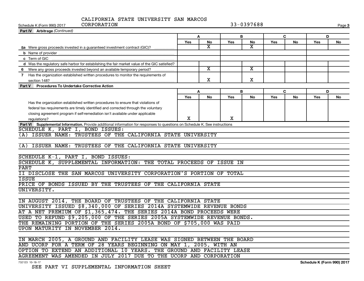| CORPORATION<br>Schedule K (Form 990) 2017                                                                                                                                                                                                                                                                                                                                                                                                                                                                                                                                                                                                               |     |    |     | 33-0397688  |     |    |     | Page 3                     |
|---------------------------------------------------------------------------------------------------------------------------------------------------------------------------------------------------------------------------------------------------------------------------------------------------------------------------------------------------------------------------------------------------------------------------------------------------------------------------------------------------------------------------------------------------------------------------------------------------------------------------------------------------------|-----|----|-----|-------------|-----|----|-----|----------------------------|
| Part IV Arbitrage (Continued)                                                                                                                                                                                                                                                                                                                                                                                                                                                                                                                                                                                                                           |     |    |     |             |     |    |     |                            |
|                                                                                                                                                                                                                                                                                                                                                                                                                                                                                                                                                                                                                                                         | A   |    | в   |             | C   |    | D   |                            |
|                                                                                                                                                                                                                                                                                                                                                                                                                                                                                                                                                                                                                                                         | Yes | No | Yes | No          | Yes | No | Yes | No                         |
| 5a Were gross proceeds invested in a guaranteed investment contract (GIC)?                                                                                                                                                                                                                                                                                                                                                                                                                                                                                                                                                                              |     | x  |     | X           |     |    |     |                            |
|                                                                                                                                                                                                                                                                                                                                                                                                                                                                                                                                                                                                                                                         |     |    |     |             |     |    |     |                            |
| c Term of GIC                                                                                                                                                                                                                                                                                                                                                                                                                                                                                                                                                                                                                                           |     |    |     |             |     |    |     |                            |
| d Was the regulatory safe harbor for establishing the fair market value of the GIC satisfied?                                                                                                                                                                                                                                                                                                                                                                                                                                                                                                                                                           |     |    |     |             |     |    |     |                            |
| 6 Were any gross proceeds invested beyond an available temporary period?                                                                                                                                                                                                                                                                                                                                                                                                                                                                                                                                                                                |     | X  |     | $\mathbf x$ |     |    |     |                            |
| 7 Has the organization established written procedures to monitor the requirements of                                                                                                                                                                                                                                                                                                                                                                                                                                                                                                                                                                    |     |    |     |             |     |    |     |                            |
|                                                                                                                                                                                                                                                                                                                                                                                                                                                                                                                                                                                                                                                         |     | x  |     | х           |     |    |     |                            |
| <b>Procedures To Undertake Corrective Action</b><br>Part V                                                                                                                                                                                                                                                                                                                                                                                                                                                                                                                                                                                              |     |    |     |             |     |    |     |                            |
|                                                                                                                                                                                                                                                                                                                                                                                                                                                                                                                                                                                                                                                         | A   |    | в   |             | C   |    | D   |                            |
|                                                                                                                                                                                                                                                                                                                                                                                                                                                                                                                                                                                                                                                         | Yes | No | Yes | No          | Yes | No | Yes | No                         |
| Has the organization established written procedures to ensure that violations of                                                                                                                                                                                                                                                                                                                                                                                                                                                                                                                                                                        |     |    |     |             |     |    |     |                            |
| federal tax requirements are timely identified and corrected through the voluntary                                                                                                                                                                                                                                                                                                                                                                                                                                                                                                                                                                      |     |    |     |             |     |    |     |                            |
| closing agreement program if self-remediation isn't available under applicable                                                                                                                                                                                                                                                                                                                                                                                                                                                                                                                                                                          |     |    |     |             |     |    |     |                            |
| regulations?                                                                                                                                                                                                                                                                                                                                                                                                                                                                                                                                                                                                                                            | х   |    | x   |             |     |    |     |                            |
| (A) ISSUER NAME: TRUSTEES OF THE CALIFORNIA STATE UNIVERSITY<br>ISSUER NAME: TRUSTEES OF THE CALIFORNIA STATE UNIVERSITY<br>(A)<br>SCHEDULE K-1, PART I, BOND ISSUES:<br>SCHEDULE K, SUPPLEMENTAL INFORMATION: THE TOTAL PROCEEDS OF ISSUE IN<br><b>PART</b><br>II DISCLOSE THE SAN MARCOS UNIVERSITY CORPORATION'S PORTION OF TOTAL<br><b>ISSUE</b><br>PRICE OF BONDS ISSUED BY THE TRUSTEES OF THE CALIFORNIA STATE<br>UNIVERSITY.<br>IN AUGUST 2014, THE BOARD OF TRUSTEES OF THE CALIFORNIA STATE<br>UNIVERSITY ISSUED \$8,340,000 OF SERIES 2014A SYSTEMWIDE REVENUE BONDS<br>AT A NET PREMIUM OF \$1,365,474. THE SERIES 2014A BOND PROCEEDS WERE |     |    |     |             |     |    |     |                            |
| USED TO REFUND \$9,205,000 OF THE SERIES 2005A SYSTEMWIDE REVENUE BONDS.                                                                                                                                                                                                                                                                                                                                                                                                                                                                                                                                                                                |     |    |     |             |     |    |     |                            |
| THE REMAINING PORTION OF THE SERIES 2005A BOND OF \$705,000 WAS PAID<br>UPON MATURITY IN NOVEMBER 2014.                                                                                                                                                                                                                                                                                                                                                                                                                                                                                                                                                 |     |    |     |             |     |    |     |                            |
| IN MARCH 2005, A GROUND AND FACILITY LEASE WAS SIGNED BETWEEN THE BOARD<br>AND UCORP FOR A TERM OF 28 YEARS BEGINNING ON MAY 1, 2005, WITH AN<br>OPTION TO EXTEND AN ADDITIONAL 10 YEARS. THE GROUND AND FACILITY LEASE<br>AGREEMENT WAS AMENDED IN JULY 2017 DUE TO THE UCORP AND CORPORATION                                                                                                                                                                                                                                                                                                                                                          |     |    |     |             |     |    |     |                            |
| 732123 10-18-17                                                                                                                                                                                                                                                                                                                                                                                                                                                                                                                                                                                                                                         |     |    |     |             |     |    |     | Schedule K (Form 990) 2017 |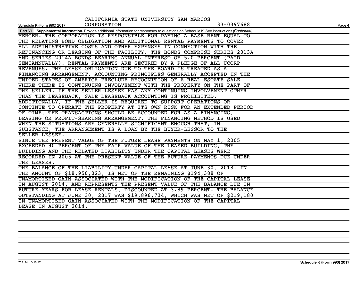| CALIFORNIA STATE UNIVERSITY SAN MARCOS                                                                                                  |        |
|-----------------------------------------------------------------------------------------------------------------------------------------|--------|
| CORPORATION<br>33-0397688<br>Schedule K (Form 990) 2017                                                                                 | Page 4 |
| Part VI Supplemental Information. Provide additional information for responses to questions on Schedule K. See instructions (Continued) |        |
| MERGER. THE CORPORATION IS RESPONSIBLE FOR PAYING A BASE RENT EQUAL TO                                                                  |        |
| THE RELATING BOND OBLIGATION AND ADDITIONAL RENTAL PAYMENTS TO COVER                                                                    |        |
| ALL ADMINISTRATIVE COSTS AND OTHER EXPENSES IN CONNECTION WITH THE                                                                      |        |
| REFINANCING OR LEASING OF THE FACILITY. THE BONDS COMPRISE SERIES 2013A                                                                 |        |
| AND SERIES 2014A BONDS BEARING ANNUAL INTEREST OF 5.0 PERCENT (PAID                                                                     |        |
| SEMIANNUALLY). RENTAL PAYMENTS ARE SECURED BY A PLEDGE OF ALL UCORP                                                                     |        |
| REVENUES. THE LEASE OBLIGATION DUE TO THE BOARD IS TREATED AS A                                                                         |        |
| FINANCING ARRANGEMENT. ACCOUNTING PRINCIPLES GENERALLY ACCEPTED IN THE                                                                  |        |
| UNITED STATES OF AMERICA PRECLUDE RECOGNITION OF A REAL ESTATE SALE                                                                     |        |
| WHERE THERE IS CONTINUING INVOLVEMENT WITH THE PROPERTY ON THE PART OF                                                                  |        |
| THE SELLER. IF THE SELLER-LESSEE HAS ANY CONTINUING INVOLVEMENT OTHER                                                                   |        |
| THAN THE LEASEBACK, SALE LEASEBACK ACCOUNTING IS PROHIBITED.                                                                            |        |
| ADDITIONALLY, IF THE SELLER IS REQUIRED TO SUPPORT OPERATIONS OR                                                                        |        |
| CONTINUE TO OPERATE THE PROPERTY AT ITS OWN RISK FOR AN EXTENDED PERIOD                                                                 |        |
| OF TIME, THE TRANSACTIONS SHOULD BE ACCOUNTED FOR AS A FINANCING,                                                                       |        |
| LEASING OR PROFIT-SHARING ARRANGEMENT. THE FINANCING METHOD IS USED                                                                     |        |
| WHEN THE SITUATIONS ARE GENERALLY SIGNIFICANT ENOUGH THAT, IN                                                                           |        |
| SUBSTANCE, THE ARRANGEMENT IS A LOAN BY THE BUYER-LESSOR TO THE                                                                         |        |
| SELLER-LESSEE.                                                                                                                          |        |
| SINCE THE PRESENT VALUE OF THE FUTURE LEASE PAYMENTS ON MAY 1, 2005                                                                     |        |
| EXCEEDED 90 PERCENT OF THE FAIR VALUE OF THE LEASED BUILDING, THE                                                                       |        |
| BUILDING AND THE RELATED LIABILITY UNDER THE CAPITAL LEASES WERE                                                                        |        |
| RECORDED IN 2005 AT THE PRESENT VALUE OF THE FUTURE PAYMENTS DUE UNDER                                                                  |        |
| THE LEASES.                                                                                                                             |        |
| THE BALANCE OF THE LIABILITY UNDER CAPITAL LEASE AT JUNE 30, 2018, IN                                                                   |        |
| THE AMOUNT OF \$18,950,023, IS NET OF THE REMAINING \$194,388 OF                                                                        |        |
| UNAMORTIZED GAIN ASSOCIATED WITH THE MODIFICATION OF THE CAPITAL LEASE                                                                  |        |
| IN AUGUST 2014, AND REPRESENTS THE PRESENT VALUE OF THE BALANCE DUE IN                                                                  |        |
| FUTURE YEARS FOR LEASE RENTALS, DISCOUNTED AT 3.89 PERCENT. THE BALANCE                                                                 |        |
| OUTSTANDING AT JUNE 30, 2017 WAS \$19,896,734, WHICH WAS NET OF \$219,180                                                               |        |
| IN UNAMORTIZED GAIN ASSOCIATED WITH THE MODIFICATION OF THE CAPITAL                                                                     |        |
| LEASE IN AUGUST 2014.                                                                                                                   |        |
|                                                                                                                                         |        |
|                                                                                                                                         |        |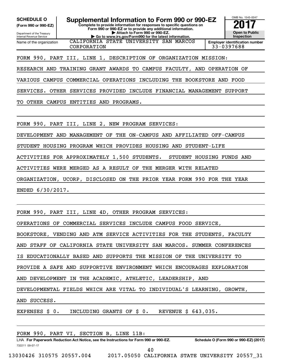**(Form 990 or 990-EZ)**

Department of the Treasury Internal Revenue Service Name of the organization

**Complete to provide information for responses to specific questions on Form 990 or 990-EZ or to provide any additional information. | Attach to Form 990 or 990-EZ. | Go to www.irs.gov/Form990 for the latest information. SCHEDULE O Supplemental Information to Form 990 or 990-EZ** <br>(Form 990 or 990-EZ) Complete to provide information for responses to specific questions on



CALIFORNIA STATE UNIVERSITY SAN MARCOS CORPORATION 33-0397688

FORM 990, PART III, LINE 1, DESCRIPTION OF ORGANIZATION MISSION:

RESEARCH AND TRAINING GRANT AWARDS TO CAMPUS FACULTY, AND OPERATION OF

VARIOUS CAMPUS COMMERCIAL OPERATIONS INCLUDING THE BOOKSTORE AND FOOD

SERVICES. OTHER SERVICES PROVIDED INCLUDE FINANCIAL MANAGEMENT SUPPORT

TO OTHER CAMPUS ENTITIES AND PROGRAMS.

FORM 990, PART III, LINE 2, NEW PROGRAM SERVICES:

DEVELOPMENT AND MANAGEMENT OF THE ON-CAMPUS AND AFFILIATED OFF-CAMPUS

STUDENT HOUSING PROGRAM WHICH PROVIDES HOUSING AND STUDENT-LIFE

ACTIVITIES FOR APPROXIMATELY 1,500 STUDENTS. STUDENT HOUSING FUNDS AND

ACTIVITIES WERE MERGED AS A RESULT OF THE MERGER WITH RELATED

ORGANIZATION, UCORP, DISCLOSED ON THE PRIOR YEAR FORM 990 FOR THE YEAR

ENDED 6/30/2017.

FORM 990, PART III, LINE 4D, OTHER PROGRAM SERVICES:

OPERATIONS OF COMMERCIAL SERVICES INCLUDE CAMPUS FOOD SERVICE,

BOOKSTORE, VENDING AND ATM SERVICE ACTIVITIES FOR THE STUDENTS, FACULTY

AND STAFF OF CALIFORNIA STATE UNIVERSITY SAN MARCOS. SUMMER CONFERENCES

IS EDUCATIONALLY BASED AND SUPPORTS THE MISSION OF THE UNIVERSITY TO

PROVIDE A SAFE AND SUPPORTIVE ENVIRONMENT WHICH ENCOURAGES EXPLORATION

AND DEVELOPMENT IN THE ACADEMIC, ATHLETIC, LEADERSHIP, AND

DEVELOPMENTAL FIELDS WHICH ARE VITAL TO INDIVIDUAL'S LEARNING, GROWTH,

AND SUCCESS.

EXPENSES \$ 0. INCLUDING GRANTS OF \$ 0. REVENUE \$ 643,035.

732211 09-07-17 LHA For Paperwork Reduction Act Notice, see the Instructions for Form 990 or 990-EZ. Schedule O (Form 990 or 990-EZ) (2017) FORM 990, PART VI, SECTION B, LINE 11B: 13030426 310575 20557.004 2017.05050 CALIFORNIA STATE UNIVERSITY 20557\_31 40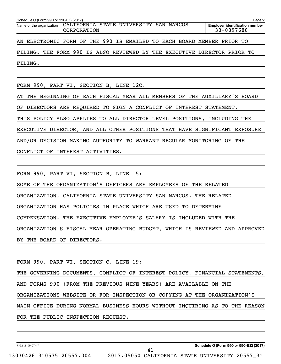| Schedule O (Form 990 or 990-EZ) (2017) |                                                                                | Page 2                                              |
|----------------------------------------|--------------------------------------------------------------------------------|-----------------------------------------------------|
|                                        | Name of the organization CALIFORNIA STATE UNIVERSITY SAN MARCOS<br>CORPORATION | <b>Employer identification number</b><br>33-0397688 |
|                                        | AN ELECTRONIC FORM OF THE 990 IS EMAILED TO EACH BOARD MEMBER PRIOR TO         |                                                     |
|                                        | FILING. THE FORM 990 IS ALSO REVIEWED BY THE EXECUTIVE DIRECTOR PRIOR TO       |                                                     |
| FILING.                                |                                                                                |                                                     |
|                                        |                                                                                |                                                     |

FORM 990, PART VI, SECTION B, LINE 12C:

AT THE BEGINNING OF EACH FISCAL YEAR ALL MEMBERS OF THE AUXILIARY'S BOARD OF DIRECTORS ARE REQUIRED TO SIGN A CONFLICT OF INTEREST STATEMENT. THIS POLICY ALSO APPLIES TO ALL DIRECTOR LEVEL POSITIONS, INCLUDING THE EXECUTIVE DIRECTOR, AND ALL OTHER POSITIONS THAT HAVE SIGNIFICANT EXPOSURE AND/OR DECISION MAKING AUTHORITY TO WARRANT REGULAR MONITORING OF THE CONFLICT OF INTEREST ACTIVITIES.

FORM 990, PART VI, SECTION B, LINE 15:

SOME OF THE ORGANIZATION'S OFFICERS ARE EMPLOYEES OF THE RELATED

ORGANIZATION, CALIFORNIA STATE UNIVERSITY SAN MARCOS. THE RELATED

ORGANIZATION HAS POLICIES IN PLACE WHICH ARE USED TO DETERMINE

COMPENSATION. THE EXECUTIVE EMPLOYEE'S SALARY IS INCLUDED WITH THE

ORGANIZATION'S FISCAL YEAR OPERATING BUDGET, WHICH IS REVIEWED AND APPROVED BY THE BOARD OF DIRECTORS.

|  |  | FORM 990, PART VI, SECTION C, LINE 19: |  |  |  |  |                                                                          |  |                                                                             |
|--|--|----------------------------------------|--|--|--|--|--------------------------------------------------------------------------|--|-----------------------------------------------------------------------------|
|  |  |                                        |  |  |  |  |                                                                          |  | THE GOVERNING DOCUMENTS, CONFLICT OF INTEREST POLICY, FINANCIAL STATEMENTS, |
|  |  |                                        |  |  |  |  | AND FORMS 990 (FROM THE PREVIOUS NINE YEARS) ARE AVAILABLE ON THE        |  |                                                                             |
|  |  |                                        |  |  |  |  | ORGANIZATIONS WEBSITE OR FOR INSPECTION OR COPYING AT THE ORGANIZATION'S |  |                                                                             |
|  |  |                                        |  |  |  |  |                                                                          |  | MAIN OFFICE DURING NORMAL BUSINESS HOURS WITHOUT INQUIRING AS TO THE REASON |
|  |  | FOR THE PUBLIC INSPECTION REQUEST.     |  |  |  |  |                                                                          |  |                                                                             |

732212 09-07-17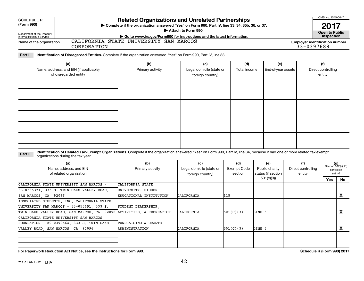| <b>SCHEDULE R</b><br>(Form 990)<br>Department of the Treasury<br>Internal Revenue Service<br>Name of the organization<br>CORPORATION<br>Identification of Disregarded Entities. Complete if the organization answered "Yes" on Form 990, Part IV, line 33.<br>Part I | <b>Related Organizations and Unrelated Partnerships</b><br>> Complete if the organization answered "Yes" on Form 990, Part IV, line 33, 34, 35b, 36, or 37.<br>Go to www.irs.gov/Form990 for instructions and the latest information.<br>CALIFORNIA STATE UNIVERSITY SAN MARCOS | Attach to Form 990.                                 |                               |                                      | <b>Employer identification number</b><br>$33 - 0397688$ | OMB No. 1545-0047<br>2017<br><b>Open to Public</b><br>Inspection |                                                      |
|----------------------------------------------------------------------------------------------------------------------------------------------------------------------------------------------------------------------------------------------------------------------|---------------------------------------------------------------------------------------------------------------------------------------------------------------------------------------------------------------------------------------------------------------------------------|-----------------------------------------------------|-------------------------------|--------------------------------------|---------------------------------------------------------|------------------------------------------------------------------|------------------------------------------------------|
| (a)<br>Name, address, and EIN (if applicable)<br>of disregarded entity                                                                                                                                                                                               | (b)<br>Primary activity                                                                                                                                                                                                                                                         | (c)<br>Legal domicile (state or<br>foreign country) | (d)<br>Total income           | (e)<br>End-of-year assets            |                                                         | (f)<br>Direct controlling<br>entity                              |                                                      |
|                                                                                                                                                                                                                                                                      |                                                                                                                                                                                                                                                                                 |                                                     |                               |                                      |                                                         |                                                                  |                                                      |
| Identification of Related Tax-Exempt Organizations. Complete if the organization answered "Yes" on Form 990, Part IV, line 34, because it had one or more related tax-exempt<br>Part II<br>organizations during the tax year.<br>(a)                                 | (b)                                                                                                                                                                                                                                                                             | (c)                                                 | (d)                           | (e)                                  | (f)                                                     |                                                                  |                                                      |
| Name, address, and EIN<br>of related organization                                                                                                                                                                                                                    | Primary activity                                                                                                                                                                                                                                                                | Legal domicile (state or<br>foreign country)        | <b>Exempt Code</b><br>section | Public charity<br>status (if section | Direct controlling<br>entity                            |                                                                  | $(g)$<br>Section 512(b)(13)<br>controlled<br>entity? |
|                                                                                                                                                                                                                                                                      |                                                                                                                                                                                                                                                                                 |                                                     |                               | 501(c)(3)                            |                                                         | Yes                                                              | No.                                                  |
| CALIFORNIA STATE UNIVERSITY SAN MARCOS -<br>33-0535371, 333 S. TWIN OAKS VALLEY ROAD<br>SAN MARCOS, CA 92096                                                                                                                                                         | CALIFORNIA STATE<br>UNIVERSITY- HIGHER                                                                                                                                                                                                                                          |                                                     | 115                           |                                      |                                                         |                                                                  | $\mathbf X$                                          |
|                                                                                                                                                                                                                                                                      | EDUCATIONAL INSTITUTION                                                                                                                                                                                                                                                         | CALIFORNIA                                          |                               |                                      |                                                         |                                                                  |                                                      |
| ASSOCIATED STUDENTS, INC. CALIFORNIA STATE<br>UNIVERSITY SAN MARCOS - 33-055691, 333 S.                                                                                                                                                                              | STUDENT LEADERSHIP,                                                                                                                                                                                                                                                             |                                                     |                               |                                      |                                                         |                                                                  |                                                      |
| TWIN OAKS VALLEY ROAD, SAN MARCOS, CA 92096                                                                                                                                                                                                                          | ACTIVITIES, & RECREATION                                                                                                                                                                                                                                                        | CALIFORNIA                                          | 501(C)(3)                     | LINE 5                               |                                                         |                                                                  | X                                                    |
| CALIFORNIA STATE UNIVERSITY SAN MARCOS                                                                                                                                                                                                                               |                                                                                                                                                                                                                                                                                 |                                                     |                               |                                      |                                                         |                                                                  |                                                      |
| FOUNDATION - 80-0390564, 333 S. TWIN OAKS                                                                                                                                                                                                                            | <b>FUNDRAISING &amp; GRANTS</b>                                                                                                                                                                                                                                                 |                                                     |                               |                                      |                                                         |                                                                  |                                                      |
| VALLEY ROAD, SAN MARCOS, CA 92096                                                                                                                                                                                                                                    | <b>ADMINISTRATION</b>                                                                                                                                                                                                                                                           | CALIFORNIA                                          | 501(C)(3)                     | LINE 5                               |                                                         |                                                                  | $\mathbf X$                                          |
|                                                                                                                                                                                                                                                                      |                                                                                                                                                                                                                                                                                 |                                                     |                               |                                      |                                                         |                                                                  |                                                      |
|                                                                                                                                                                                                                                                                      |                                                                                                                                                                                                                                                                                 |                                                     |                               |                                      |                                                         |                                                                  |                                                      |
|                                                                                                                                                                                                                                                                      |                                                                                                                                                                                                                                                                                 |                                                     |                               |                                      |                                                         |                                                                  |                                                      |

**For Paperwork Reduction Act Notice, see the Instructions for Form 990. Schedule R (Form 990) 2017**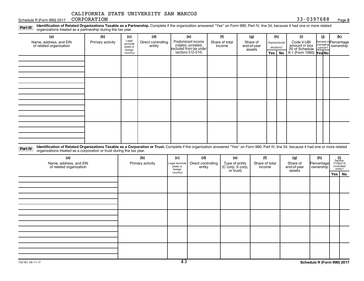Schedule R (Form 990) 2017 CORPORATION 33-0397688 CORPORATION

Part III Identification of Related Organizations Taxable as a Partnership. Complete if the organization answered "Yes" on Form 990, Part IV, line 34, because it had one or more related<br>Part III International tracted as a p organizations treated as a partnership during the tax year.

| (a)                                                                                                                                                                                                                                                                         | (b)              | (c)                                       | (d)                          | (e)                                                                   | (f)                      | (g)                               | (h)                              | (i)                                           | (i) | (k)                                         |
|-----------------------------------------------------------------------------------------------------------------------------------------------------------------------------------------------------------------------------------------------------------------------------|------------------|-------------------------------------------|------------------------------|-----------------------------------------------------------------------|--------------------------|-----------------------------------|----------------------------------|-----------------------------------------------|-----|---------------------------------------------|
| Name, address, and EIN<br>of related organization                                                                                                                                                                                                                           | Primary activity | Legal<br>domicile<br>(state or<br>foreign | Direct controlling<br>entity | Predominant income<br>(related, unrelated,<br>excluded from tax under | Share of total<br>income | Share of<br>end-of-year<br>assets | Disproportionate<br>allocations? | Code V-UBI<br>amount in box<br>20 of Schedule |     | General or Percentage<br>managing ownership |
|                                                                                                                                                                                                                                                                             |                  | country)                                  |                              | sections 512-514)                                                     |                          |                                   | Yes   No                         | K-1 (Form 1065) <b>Yes No</b>                 |     |                                             |
|                                                                                                                                                                                                                                                                             |                  |                                           |                              |                                                                       |                          |                                   |                                  |                                               |     |                                             |
|                                                                                                                                                                                                                                                                             |                  |                                           |                              |                                                                       |                          |                                   |                                  |                                               |     |                                             |
|                                                                                                                                                                                                                                                                             |                  |                                           |                              |                                                                       |                          |                                   |                                  |                                               |     |                                             |
|                                                                                                                                                                                                                                                                             |                  |                                           |                              |                                                                       |                          |                                   |                                  |                                               |     |                                             |
|                                                                                                                                                                                                                                                                             |                  |                                           |                              |                                                                       |                          |                                   |                                  |                                               |     |                                             |
|                                                                                                                                                                                                                                                                             |                  |                                           |                              |                                                                       |                          |                                   |                                  |                                               |     |                                             |
|                                                                                                                                                                                                                                                                             |                  |                                           |                              |                                                                       |                          |                                   |                                  |                                               |     |                                             |
|                                                                                                                                                                                                                                                                             |                  |                                           |                              |                                                                       |                          |                                   |                                  |                                               |     |                                             |
|                                                                                                                                                                                                                                                                             |                  |                                           |                              |                                                                       |                          |                                   |                                  |                                               |     |                                             |
|                                                                                                                                                                                                                                                                             |                  |                                           |                              |                                                                       |                          |                                   |                                  |                                               |     |                                             |
|                                                                                                                                                                                                                                                                             |                  |                                           |                              |                                                                       |                          |                                   |                                  |                                               |     |                                             |
|                                                                                                                                                                                                                                                                             |                  |                                           |                              |                                                                       |                          |                                   |                                  |                                               |     |                                             |
|                                                                                                                                                                                                                                                                             |                  |                                           |                              |                                                                       |                          |                                   |                                  |                                               |     |                                             |
|                                                                                                                                                                                                                                                                             |                  |                                           |                              |                                                                       |                          |                                   |                                  |                                               |     |                                             |
|                                                                                                                                                                                                                                                                             |                  |                                           |                              |                                                                       |                          |                                   |                                  |                                               |     |                                             |
|                                                                                                                                                                                                                                                                             |                  |                                           |                              |                                                                       |                          |                                   |                                  |                                               |     |                                             |
| Identification of Related Organizations Taxable as a Corporation or Trust. Complete if the organization answered "Yes" on Form 990, Part IV, line 34, because it had one or more related<br>Part IV<br>organizations treated as a corporation or trust during the tax year. |                  |                                           |                              |                                                                       |                          |                                   |                                  |                                               |     |                                             |

| (a)                                               | (b)              | (c)                                    | (d)                          | (e)                                             | (f)                      | (g)                               | (h)                       |                                                                                                                                 |
|---------------------------------------------------|------------------|----------------------------------------|------------------------------|-------------------------------------------------|--------------------------|-----------------------------------|---------------------------|---------------------------------------------------------------------------------------------------------------------------------|
| Name, address, and EIN<br>of related organization | Primary activity | Legal domicile<br>(state or<br>foreign | Direct controlling<br>entity | Type of entity<br>(C corp, S corp,<br>or trust) | Share of total<br>income | Share of<br>end-of-year<br>assets | Percentage<br>  ownership | $\begin{array}{c} \textbf{(i)}\\ \text{Section}\\ 512 \text{(b)} \text{(13)}\\ \text{controlled} \\ \text{entity?} \end{array}$ |
|                                                   |                  | country)                               |                              |                                                 |                          |                                   |                           | Yes   No                                                                                                                        |
|                                                   |                  |                                        |                              |                                                 |                          |                                   |                           |                                                                                                                                 |
|                                                   |                  |                                        |                              |                                                 |                          |                                   |                           |                                                                                                                                 |
|                                                   |                  |                                        |                              |                                                 |                          |                                   |                           |                                                                                                                                 |
|                                                   |                  |                                        |                              |                                                 |                          |                                   |                           |                                                                                                                                 |
|                                                   |                  |                                        |                              |                                                 |                          |                                   |                           |                                                                                                                                 |
|                                                   |                  |                                        |                              |                                                 |                          |                                   |                           |                                                                                                                                 |
|                                                   |                  |                                        |                              |                                                 |                          |                                   |                           |                                                                                                                                 |
|                                                   |                  |                                        |                              |                                                 |                          |                                   |                           |                                                                                                                                 |
|                                                   |                  |                                        |                              |                                                 |                          |                                   |                           |                                                                                                                                 |
|                                                   |                  |                                        |                              |                                                 |                          |                                   |                           |                                                                                                                                 |
|                                                   |                  |                                        |                              |                                                 |                          |                                   |                           |                                                                                                                                 |
|                                                   |                  |                                        |                              |                                                 |                          |                                   |                           |                                                                                                                                 |
|                                                   |                  |                                        |                              |                                                 |                          |                                   |                           |                                                                                                                                 |
|                                                   |                  |                                        |                              |                                                 |                          |                                   |                           |                                                                                                                                 |
|                                                   |                  |                                        |                              |                                                 |                          |                                   |                           |                                                                                                                                 |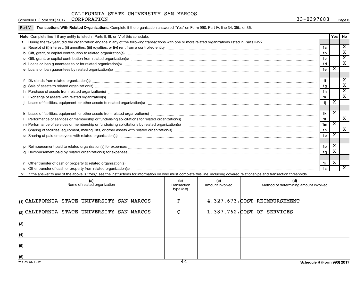**3** Schedule R (Form 990) 2017 Page CORPORATION

|  | Part V Transactions With Related Organizations. Complete if the organization answered "Yes" on Form 990, Part IV, line 34, 35b, or 36. |
|--|----------------------------------------------------------------------------------------------------------------------------------------|
|--|----------------------------------------------------------------------------------------------------------------------------------------|

|          | Note: Complete line 1 if any entity is listed in Parts II, III, or IV of this schedule.                                                                                                                                        |                 | <b>Yes</b>              | <b>No</b>                   |
|----------|--------------------------------------------------------------------------------------------------------------------------------------------------------------------------------------------------------------------------------|-----------------|-------------------------|-----------------------------|
| 1.       | During the tax year, did the organization engage in any of the following transactions with one or more related organizations listed in Parts II-IV?                                                                            |                 |                         |                             |
|          |                                                                                                                                                                                                                                | 1a              |                         | $\overline{\textnormal{x}}$ |
|          |                                                                                                                                                                                                                                | 1 <sub>b</sub>  |                         | х                           |
|          |                                                                                                                                                                                                                                | 1c              |                         | $\overline{\textbf{x}}$     |
|          | d Loans or loan guarantees to or for related organization(s) www.communically.com/www.communically.com/www.communically.com/www.communically.com/www.communically.com/www.communically.com/www.communically.com/www.communical | 1 <sub>d</sub>  |                         | $\overline{\textnormal{x}}$ |
|          |                                                                                                                                                                                                                                | 1e              | х                       |                             |
|          |                                                                                                                                                                                                                                |                 |                         |                             |
|          |                                                                                                                                                                                                                                | 1f              |                         | х                           |
| g        | Sale of assets to related organization(s) www.communically.communically content to related organization(s) www.communically content of the set of assets to related organization(s) www.communically content of the set of the | 1g              |                         | $\overline{\textbf{x}}$     |
|          | h Purchase of assets from related organization(s) manufactured content to the content of the content of the content of the content of the content of the content of the content of the content of the content of the content o | 1 <sub>h</sub>  |                         | $\overline{\text{x}}$       |
|          | Exchange of assets with related organization(s) manufactured and content to the content of the content of the content of the content of the content of the content of the content of the content of the content of the content | 11              |                         | $\overline{\textbf{X}}$     |
|          |                                                                                                                                                                                                                                | 1j              | $\overline{\textbf{x}}$ |                             |
|          |                                                                                                                                                                                                                                |                 |                         |                             |
|          |                                                                                                                                                                                                                                | 1k              | х                       |                             |
|          |                                                                                                                                                                                                                                | 11              |                         | X                           |
|          |                                                                                                                                                                                                                                | 1 <sub>m</sub>  | х                       |                             |
|          |                                                                                                                                                                                                                                | 1n              |                         | X                           |
|          | o Sharing of paid employees with related organization(s) manufaction contains and an example and an example and the state organization (s) manufacture and an example and an example and an example and an example and state a | 10 <sub>o</sub> | X                       |                             |
|          |                                                                                                                                                                                                                                |                 |                         |                             |
| <b>D</b> |                                                                                                                                                                                                                                | 1 <sub>p</sub>  | х                       |                             |
|          |                                                                                                                                                                                                                                | 1q              | Χ                       |                             |
|          |                                                                                                                                                                                                                                |                 |                         |                             |
| r        |                                                                                                                                                                                                                                | 1r              | х                       |                             |
|          |                                                                                                                                                                                                                                | 1s              |                         | $\overline{\mathbf{x}}$     |
|          | 2 If the answer to any of the above is "Yes," see the instructions for information on who must complete this line, including covered relationships and transaction thresholds.                                                 |                 |                         |                             |

| (a)<br>Name of related organization        | (b)<br>Transaction<br>type (a-s) | (c)<br>Amount involved | (d)<br>Method of determining amount involved |
|--------------------------------------------|----------------------------------|------------------------|----------------------------------------------|
| (1) CALIFORNIA STATE UNIVERSITY SAN MARCOS | P                                |                        | 4,327,673. COST REIMBURSEMENT                |
| (2) CALIFORNIA STATE UNIVERSITY SAN MARCOS | Q                                |                        | 1,387,762. COST OF SERVICES                  |
| (3)                                        |                                  |                        |                                              |
| (4)                                        |                                  |                        |                                              |
| (5)                                        |                                  |                        |                                              |
| (6)                                        | 1 A                              |                        |                                              |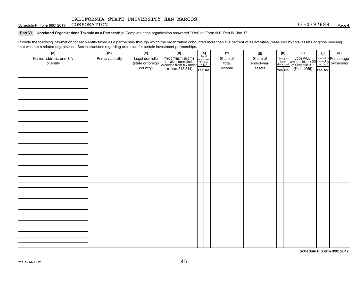Schedule R (Form 990) 2017 CORPORATION 33-0397688 CORPORATION

#### Part VI Unrelated Organizations Taxable as a Partnership. Complete if the organization answered "Yes" on Form 990, Part IV, line 37.

Provide the following information for each entity taxed as a partnership through which the organization conducted more than five percent of its activities (measured by total assets or gross revenue) that was not a related organization. See instructions regarding exclusion for certain investment partnerships.

| that was not a related organization. Occ instructions regarding exclusion for certain investment partnerships.<br>(a) | (b)              | (c)               |                                                                                                                                                                                                                                                                                                                       |  | (f)      | (g)         |        | (h)                              | (i)                                                                                                                                                                                                                                                       | (j)    | (k) |
|-----------------------------------------------------------------------------------------------------------------------|------------------|-------------------|-----------------------------------------------------------------------------------------------------------------------------------------------------------------------------------------------------------------------------------------------------------------------------------------------------------------------|--|----------|-------------|--------|----------------------------------|-----------------------------------------------------------------------------------------------------------------------------------------------------------------------------------------------------------------------------------------------------------|--------|-----|
| Name, address, and EIN                                                                                                | Primary activity | Legal domicile    | (d)<br>Predominant income<br>(related, unrelated, $\begin{bmatrix} 1 & 1 & 1 \\ 1 & 1 & 1 \\ 1 & 1 & 1 \\ 1 & 1 & 1 \\ 1 & 1 & 1 \\ 1 & 1 & 1 \\ 1 & 1 & 1 \\ 1 & 1 & 1 \\ 1 & 1 & 1 \\ 1 & 1 & 1 \\ 1 & 1 & 1 \\ 1 & 1 & 1 \\ 1 & 1 & 1 \\ 1 & 1 & 1 \\ 1 & 1 & 1 \\ 1 & 1 & 1 \\ 1 & 1 & 1 \\ 1 & 1 & 1 \\ 1 & 1 &$ |  | Share of | Share of    |        |                                  |                                                                                                                                                                                                                                                           |        |     |
| of entity                                                                                                             |                  | (state or foreign |                                                                                                                                                                                                                                                                                                                       |  | total    | end-of-year |        | Disproportionate<br>allocations? |                                                                                                                                                                                                                                                           |        |     |
|                                                                                                                       |                  | country)          |                                                                                                                                                                                                                                                                                                                       |  | income   | assets      | Yes No |                                  | Code V-UBI<br>amount in box 20 managing<br>2 of Schedule K-1<br>Form 1065)<br>The No Managing<br>The No Managing<br>The No Managing<br>The No Managing<br>The No Managing<br>The No Managing<br>The No Managing<br>The No Managing<br>The No Managing<br> | Yes NO |     |
|                                                                                                                       |                  |                   |                                                                                                                                                                                                                                                                                                                       |  |          |             |        |                                  |                                                                                                                                                                                                                                                           |        |     |
|                                                                                                                       |                  |                   |                                                                                                                                                                                                                                                                                                                       |  |          |             |        |                                  |                                                                                                                                                                                                                                                           |        |     |
|                                                                                                                       |                  |                   |                                                                                                                                                                                                                                                                                                                       |  |          |             |        |                                  |                                                                                                                                                                                                                                                           |        |     |
|                                                                                                                       |                  |                   |                                                                                                                                                                                                                                                                                                                       |  |          |             |        |                                  |                                                                                                                                                                                                                                                           |        |     |
|                                                                                                                       |                  |                   |                                                                                                                                                                                                                                                                                                                       |  |          |             |        |                                  |                                                                                                                                                                                                                                                           |        |     |
|                                                                                                                       |                  |                   |                                                                                                                                                                                                                                                                                                                       |  |          |             |        |                                  |                                                                                                                                                                                                                                                           |        |     |
|                                                                                                                       |                  |                   |                                                                                                                                                                                                                                                                                                                       |  |          |             |        |                                  |                                                                                                                                                                                                                                                           |        |     |
|                                                                                                                       |                  |                   |                                                                                                                                                                                                                                                                                                                       |  |          |             |        |                                  |                                                                                                                                                                                                                                                           |        |     |
|                                                                                                                       |                  |                   |                                                                                                                                                                                                                                                                                                                       |  |          |             |        |                                  |                                                                                                                                                                                                                                                           |        |     |
|                                                                                                                       |                  |                   |                                                                                                                                                                                                                                                                                                                       |  |          |             |        |                                  |                                                                                                                                                                                                                                                           |        |     |
|                                                                                                                       |                  |                   |                                                                                                                                                                                                                                                                                                                       |  |          |             |        |                                  |                                                                                                                                                                                                                                                           |        |     |
|                                                                                                                       |                  |                   |                                                                                                                                                                                                                                                                                                                       |  |          |             |        |                                  |                                                                                                                                                                                                                                                           |        |     |
|                                                                                                                       |                  |                   |                                                                                                                                                                                                                                                                                                                       |  |          |             |        |                                  |                                                                                                                                                                                                                                                           |        |     |
|                                                                                                                       |                  |                   |                                                                                                                                                                                                                                                                                                                       |  |          |             |        |                                  |                                                                                                                                                                                                                                                           |        |     |
|                                                                                                                       |                  |                   |                                                                                                                                                                                                                                                                                                                       |  |          |             |        |                                  |                                                                                                                                                                                                                                                           |        |     |
|                                                                                                                       |                  |                   |                                                                                                                                                                                                                                                                                                                       |  |          |             |        |                                  |                                                                                                                                                                                                                                                           |        |     |
|                                                                                                                       |                  |                   |                                                                                                                                                                                                                                                                                                                       |  |          |             |        |                                  |                                                                                                                                                                                                                                                           |        |     |
|                                                                                                                       |                  |                   |                                                                                                                                                                                                                                                                                                                       |  |          |             |        |                                  |                                                                                                                                                                                                                                                           |        |     |
|                                                                                                                       |                  |                   |                                                                                                                                                                                                                                                                                                                       |  |          |             |        |                                  |                                                                                                                                                                                                                                                           |        |     |
|                                                                                                                       |                  |                   |                                                                                                                                                                                                                                                                                                                       |  |          |             |        |                                  |                                                                                                                                                                                                                                                           |        |     |
|                                                                                                                       |                  |                   |                                                                                                                                                                                                                                                                                                                       |  |          |             |        |                                  |                                                                                                                                                                                                                                                           |        |     |
|                                                                                                                       |                  |                   |                                                                                                                                                                                                                                                                                                                       |  |          |             |        |                                  |                                                                                                                                                                                                                                                           |        |     |
|                                                                                                                       |                  |                   |                                                                                                                                                                                                                                                                                                                       |  |          |             |        |                                  |                                                                                                                                                                                                                                                           |        |     |
|                                                                                                                       |                  |                   |                                                                                                                                                                                                                                                                                                                       |  |          |             |        |                                  |                                                                                                                                                                                                                                                           |        |     |
|                                                                                                                       |                  |                   |                                                                                                                                                                                                                                                                                                                       |  |          |             |        |                                  |                                                                                                                                                                                                                                                           |        |     |
|                                                                                                                       |                  |                   |                                                                                                                                                                                                                                                                                                                       |  |          |             |        |                                  |                                                                                                                                                                                                                                                           |        |     |
|                                                                                                                       |                  |                   |                                                                                                                                                                                                                                                                                                                       |  |          |             |        |                                  |                                                                                                                                                                                                                                                           |        |     |
|                                                                                                                       |                  |                   |                                                                                                                                                                                                                                                                                                                       |  |          |             |        |                                  |                                                                                                                                                                                                                                                           |        |     |
|                                                                                                                       |                  |                   |                                                                                                                                                                                                                                                                                                                       |  |          |             |        |                                  |                                                                                                                                                                                                                                                           |        |     |
|                                                                                                                       |                  |                   |                                                                                                                                                                                                                                                                                                                       |  |          |             |        |                                  |                                                                                                                                                                                                                                                           |        |     |
|                                                                                                                       |                  |                   |                                                                                                                                                                                                                                                                                                                       |  |          |             |        |                                  |                                                                                                                                                                                                                                                           |        |     |
|                                                                                                                       |                  |                   |                                                                                                                                                                                                                                                                                                                       |  |          |             |        |                                  |                                                                                                                                                                                                                                                           |        |     |
|                                                                                                                       |                  |                   |                                                                                                                                                                                                                                                                                                                       |  |          |             |        |                                  |                                                                                                                                                                                                                                                           |        |     |

**Schedule R (Form 990) 2017**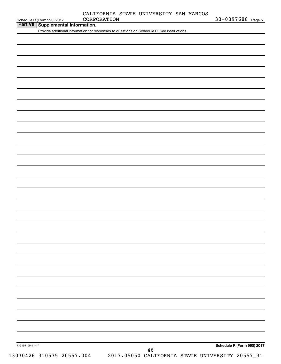|             | CALIFORNIA STATE UNIVERSITY SAN MARCOS |  |
|-------------|----------------------------------------|--|
| CORPORATION |                                        |  |

Schedule R (Form 990) 2017 CORPORATION 3 3-0 39 7 6 8 8 Page 5

| Schedule R (Form 990) 2017 |  |  |
|----------------------------|--|--|
|                            |  |  |

#### **Part VII Supplemental Information.**

Provide additional information for responses to questions on Schedule R. See instructions.

| 732165 09-11-17 |                           |  |  |                                                 |  | Schedule R (Form 990) 2017 |
|-----------------|---------------------------|--|--|-------------------------------------------------|--|----------------------------|
|                 |                           |  |  | 46                                              |  |                            |
|                 | 13030426 310575 20557.004 |  |  | 2017.05050 CALIFORNIA STATE UNIVERSITY 20557_31 |  |                            |
|                 |                           |  |  |                                                 |  |                            |